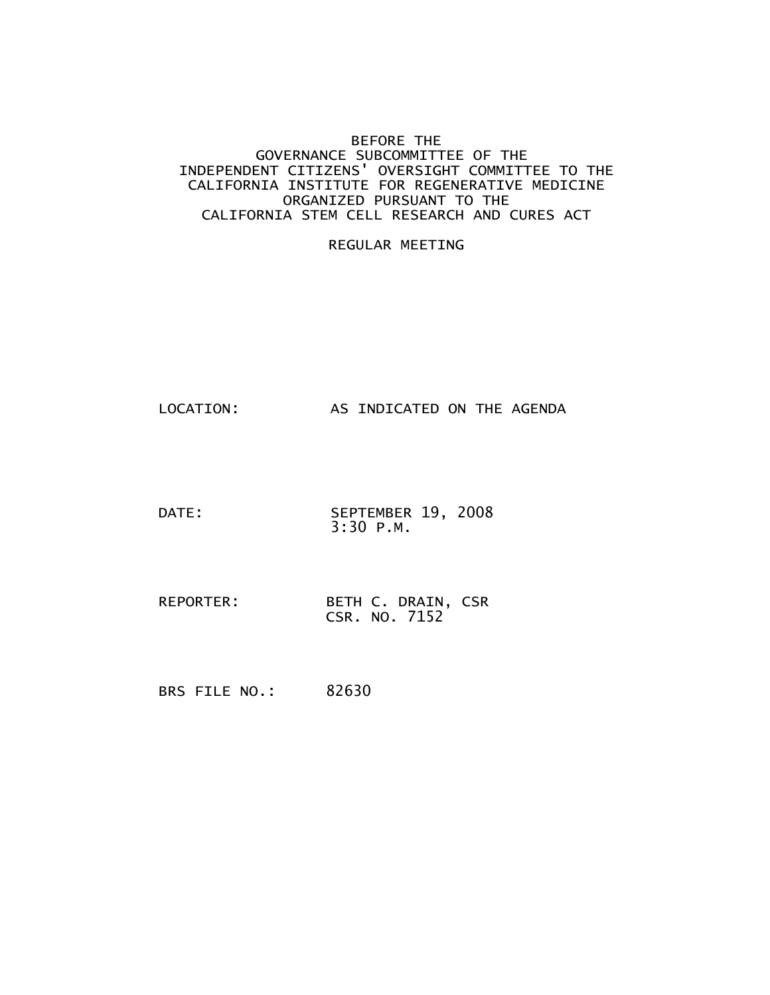#### BEFORE THE GOVERNANCE SUBCOMMITTEE OF THE INDEPENDENT CITIZENS' OVERSIGHT COMMITTEE TO THE CALIFORNIA INSTITUTE FOR REGENERATIVE MEDICINE ORGANIZED PURSUANT TO THE CALIFORNIA STEM CELL RESEARCH AND CURES ACT

#### REGULAR MEETING

```
LOCATION: AS INDICATED ON THE AGENDA
```
- DATE: SEPTEMBER 19, 2008 3:30 P.M.
- REPORTER: BETH C. DRAIN, CSR CSR. NO. 7152

BRS FILE NO.: 82630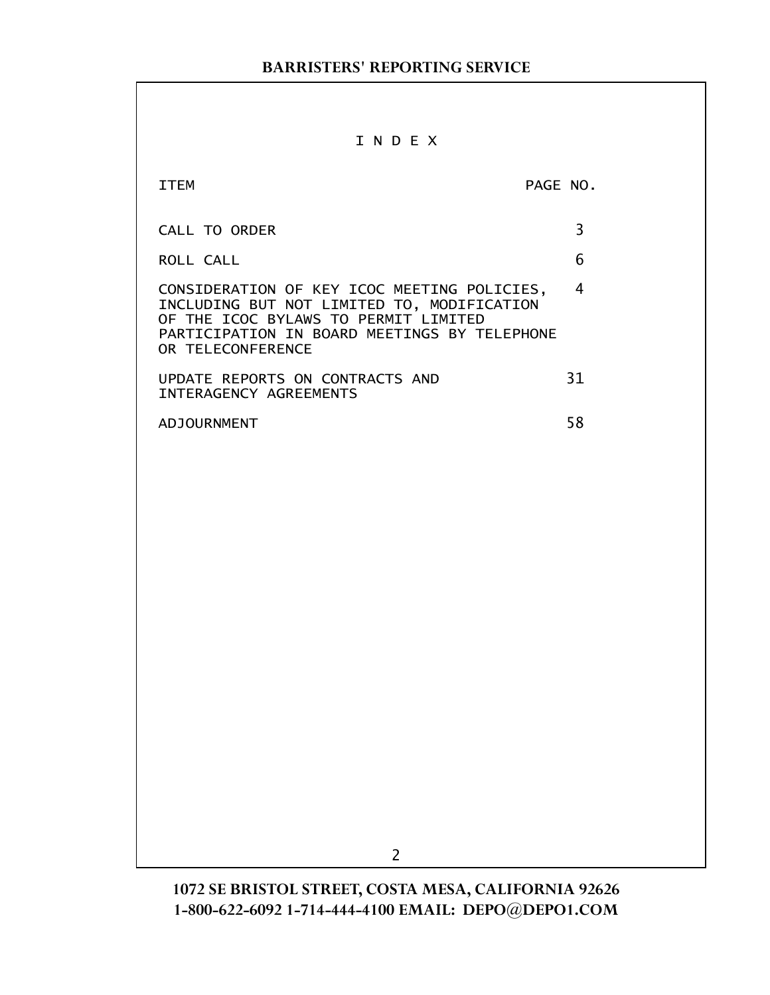#### I N D E X

| TTFM                                                                                                                                                                                                   | PAGE NO. |
|--------------------------------------------------------------------------------------------------------------------------------------------------------------------------------------------------------|----------|
| CALL TO ORDER                                                                                                                                                                                          | 3        |
| ROLL CALL                                                                                                                                                                                              | հ        |
| CONSIDERATION OF KEY ICOC MEETING POLICIES,<br>INCLUDING BUT NOT LIMITED TO, MODIFICATION<br>OF THE ICOC BYLAWS TO PERMIT LIMITED<br>PARTICIPATION IN BOARD MEETINGS BY TELEPHONE<br>OR TELECONFERENCE |          |
| UPDATE REPORTS ON CONTRACTS AND<br><b>INTERAGENCY AGREEMENTS</b>                                                                                                                                       | 31       |
| <b>ADJOURNMENT</b>                                                                                                                                                                                     | 58       |

2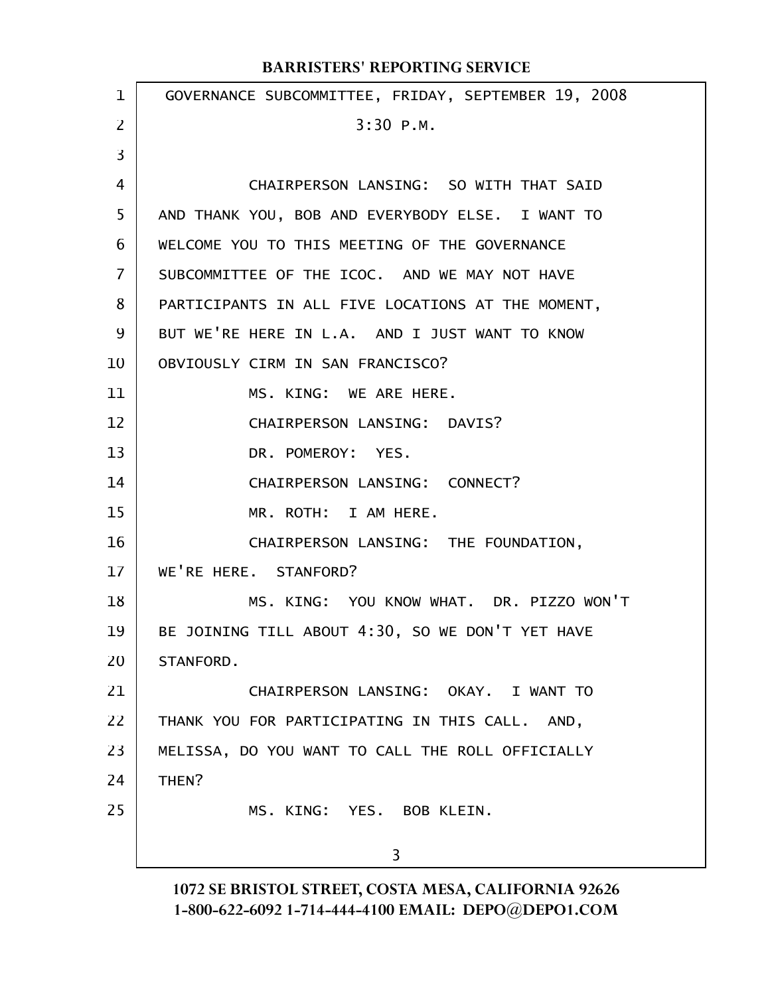| $\mathbf{1}$ | GOVERNANCE SUBCOMMITTEE, FRIDAY, SEPTEMBER 19, 2008 |
|--------------|-----------------------------------------------------|
| 2            | $3:30$ P.M.                                         |
| 3            |                                                     |
| 4            | CHAIRPERSON LANSING: SO WITH THAT SAID              |
| 5            | AND THANK YOU, BOB AND EVERYBODY ELSE. I WANT TO    |
| 6            | WELCOME YOU TO THIS MEETING OF THE GOVERNANCE       |
| 7            | SUBCOMMITTEE OF THE ICOC. AND WE MAY NOT HAVE       |
| 8            | PARTICIPANTS IN ALL FIVE LOCATIONS AT THE MOMENT,   |
| 9            | BUT WE'RE HERE IN L.A. AND I JUST WANT TO KNOW      |
| 10           | OBVIOUSLY CIRM IN SAN FRANCISCO?                    |
| 11           | MS. KING: WE ARE HERE.                              |
| 12           | CHAIRPERSON LANSING: DAVIS?                         |
| 13           | DR. POMEROY: YES.                                   |
| 14           | CHAIRPERSON LANSING: CONNECT?                       |
| 15           | MR. ROTH: I AM HERE.                                |
| 16           | CHAIRPERSON LANSING: THE FOUNDATION,                |
| $17 \,$      | WE'RE HERE. STANFORD?                               |
| 18           | MS. KING: YOU KNOW WHAT. DR. PIZZO WON'T            |
| 19           | BE JOINING TILL ABOUT 4:30, SO WE DON'T YET HAVE    |
| 20           | STANFORD.                                           |
| 21           | CHAIRPERSON LANSING: OKAY. I WANT TO                |
| 22           | THANK YOU FOR PARTICIPATING IN THIS CALL. AND,      |
| 23           | MELISSA, DO YOU WANT TO CALL THE ROLL OFFICIALLY    |
| 24           | THEN?                                               |
| 25           | MS. KING: YES. BOB KLEIN.                           |
|              | 3                                                   |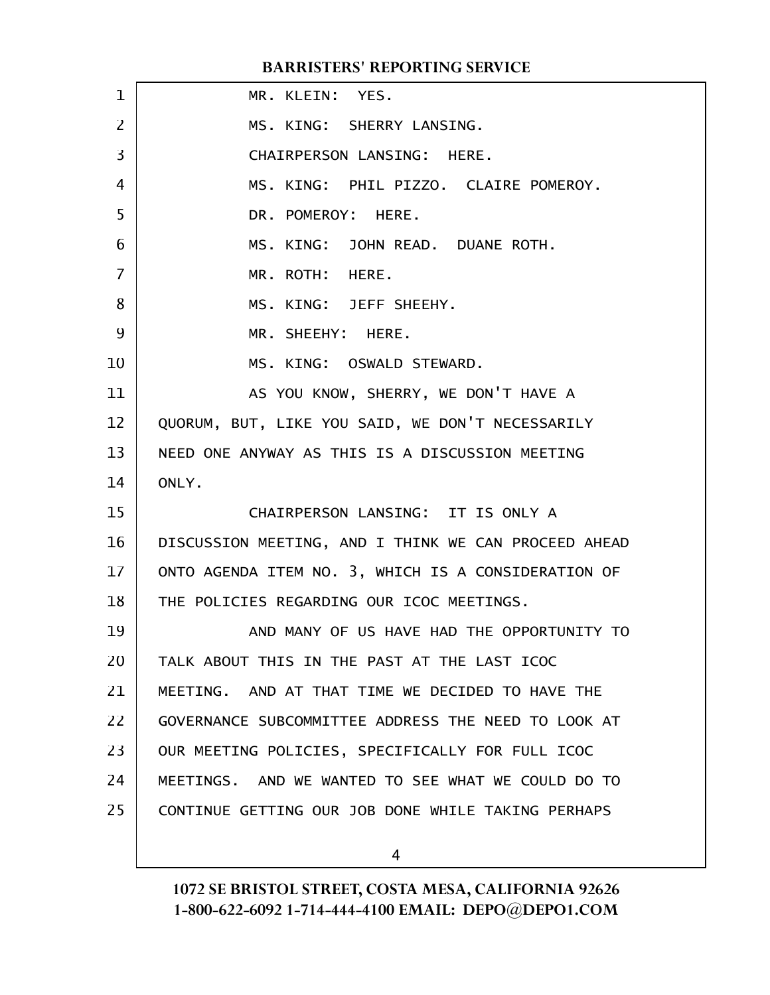|    | <b>BARRISTERS' REPORTING SERVICE</b>                 |
|----|------------------------------------------------------|
| 1  | MR. KLEIN: YES.                                      |
| 2  | MS. KING: SHERRY LANSING.                            |
| 3  | CHAIRPERSON LANSING: HERE.                           |
| 4  | MS. KING: PHIL PIZZO. CLAIRE POMEROY.                |
| 5  | DR. POMEROY: HERE.                                   |
| 6  | MS. KING: JOHN READ. DUANE ROTH.                     |
| 7  | MR. ROTH: HERE.                                      |
| 8  | MS. KING: JEFF SHEEHY.                               |
| 9  | MR. SHEEHY: HERE.                                    |
| 10 | MS. KING: OSWALD STEWARD.                            |
| 11 | AS YOU KNOW, SHERRY, WE DON'T HAVE A                 |
| 12 | QUORUM, BUT, LIKE YOU SAID, WE DON'T NECESSARILY     |
| 13 | NEED ONE ANYWAY AS THIS IS A DISCUSSION MEETING      |
| 14 | ONLY.                                                |
| 15 | CHAIRPERSON LANSING: IT IS ONLY A                    |
| 16 | DISCUSSION MEETING, AND I THINK WE CAN PROCEED AHEAD |
| 17 | ONTO AGENDA ITEM NO. 3, WHICH IS A CONSIDERATION OF  |
| 18 | THE POLICIES REGARDING OUR ICOC MEETINGS.            |
| 19 | AND MANY OF US HAVE HAD THE OPPORTUNITY TO           |
| 20 | TALK ABOUT THIS IN THE PAST AT THE LAST ICOC         |
| 21 | MEETING. AND AT THAT TIME WE DECIDED TO HAVE THE     |
| 22 | GOVERNANCE SUBCOMMITTEE ADDRESS THE NEED TO LOOK AT  |
| 23 | OUR MEETING POLICIES, SPECIFICALLY FOR FULL ICOC     |
| 24 | MEETINGS. AND WE WANTED TO SEE WHAT WE COULD DO TO   |
| 25 | CONTINUE GETTING OUR JOB DONE WHILE TAKING PERHAPS   |
|    |                                                      |

4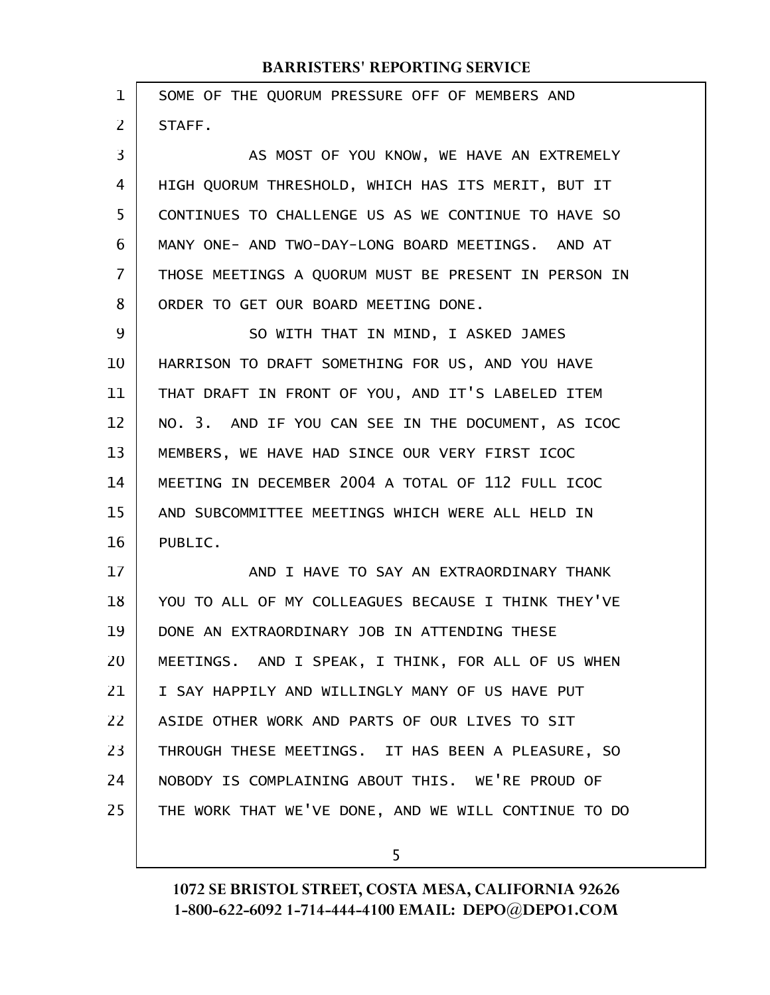| $\mathbf 1$ | SOME OF THE QUORUM PRESSURE OFF OF MEMBERS AND       |
|-------------|------------------------------------------------------|
| 2           | STAFF.                                               |
| 3           | AS MOST OF YOU KNOW, WE HAVE AN EXTREMELY            |
| 4           | HIGH QUORUM THRESHOLD, WHICH HAS ITS MERIT, BUT IT   |
| 5           | CONTINUES TO CHALLENGE US AS WE CONTINUE TO HAVE SO  |
| 6           | MANY ONE- AND TWO-DAY-LONG BOARD MEETINGS. AND AT    |
| 7           | THOSE MEETINGS A QUORUM MUST BE PRESENT IN PERSON IN |
| 8           | ORDER TO GET OUR BOARD MEETING DONE.                 |
| 9           | SO WITH THAT IN MIND, I ASKED JAMES                  |
| 10          | HARRISON TO DRAFT SOMETHING FOR US, AND YOU HAVE     |
| 11          | THAT DRAFT IN FRONT OF YOU, AND IT'S LABELED ITEM    |
| 12          | NO. 3. AND IF YOU CAN SEE IN THE DOCUMENT, AS ICOC   |
| 13          | MEMBERS, WE HAVE HAD SINCE OUR VERY FIRST ICOC       |
| 14          | MEETING IN DECEMBER 2004 A TOTAL OF 112 FULL ICOC    |
| 15          | AND SUBCOMMITTEE MEETINGS WHICH WERE ALL HELD IN     |
| 16          | PUBLIC.                                              |
| 17          | AND I HAVE TO SAY AN EXTRAORDINARY THANK             |
| 18          | YOU TO ALL OF MY COLLEAGUES BECAUSE I THINK THEY'VE  |
| 19          | DONE AN EXTRAORDINARY JOB IN ATTENDING THESE         |
| 20          | MEETINGS. AND I SPEAK, I THINK, FOR ALL OF US WHEN   |
| 21          | I SAY HAPPILY AND WILLINGLY MANY OF US HAVE PUT      |
| 22          | ASIDE OTHER WORK AND PARTS OF OUR LIVES TO SIT       |
| 23          | THROUGH THESE MEETINGS. IT HAS BEEN A PLEASURE, SO   |
| 24          | NOBODY IS COMPLAINING ABOUT THIS. WE'RE PROUD OF     |
| 25          | THE WORK THAT WE'VE DONE, AND WE WILL CONTINUE TO DO |
|             |                                                      |

5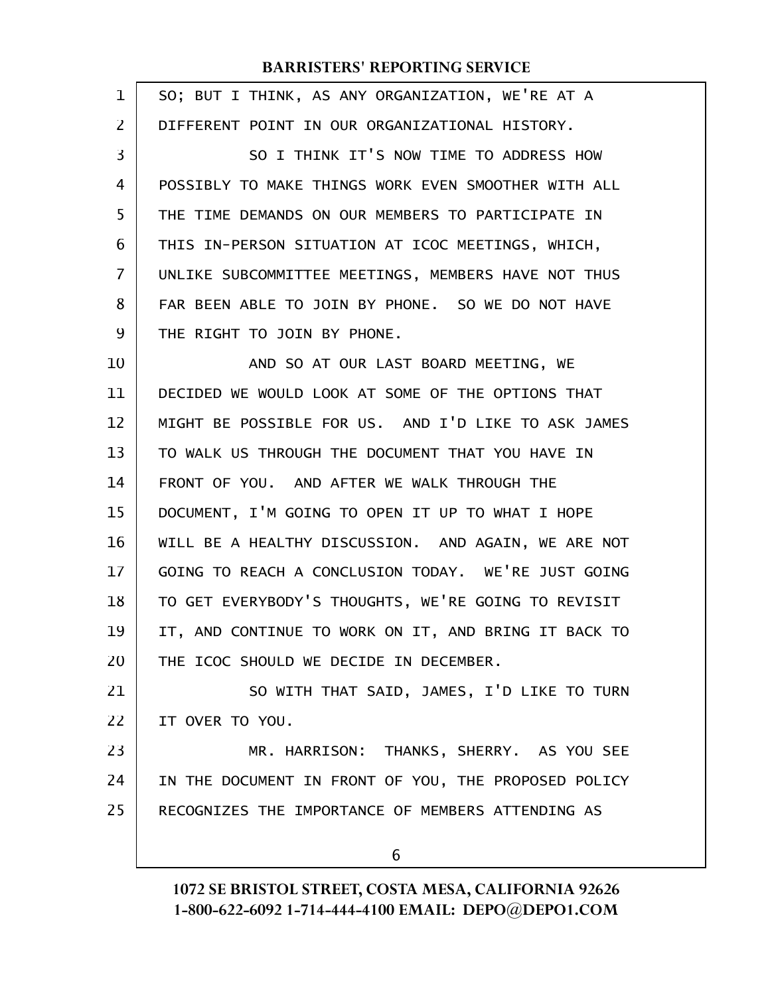| 1  | SO; BUT I THINK, AS ANY ORGANIZATION, WE'RE AT A     |
|----|------------------------------------------------------|
| 2  | DIFFERENT POINT IN OUR ORGANIZATIONAL HISTORY.       |
| 3  | SO I THINK IT'S NOW TIME TO ADDRESS HOW              |
| 4  | POSSIBLY TO MAKE THINGS WORK EVEN SMOOTHER WITH ALL  |
| 5  | THE TIME DEMANDS ON OUR MEMBERS TO PARTICIPATE IN    |
| 6  | THIS IN-PERSON SITUATION AT ICOC MEETINGS, WHICH,    |
| 7  | UNLIKE SUBCOMMITTEE MEETINGS, MEMBERS HAVE NOT THUS  |
| 8  | FAR BEEN ABLE TO JOIN BY PHONE. SO WE DO NOT HAVE    |
| 9  | THE RIGHT TO JOIN BY PHONE.                          |
| 10 | AND SO AT OUR LAST BOARD MEETING, WE                 |
| 11 | DECIDED WE WOULD LOOK AT SOME OF THE OPTIONS THAT    |
| 12 | MIGHT BE POSSIBLE FOR US. AND I'D LIKE TO ASK JAMES  |
| 13 | TO WALK US THROUGH THE DOCUMENT THAT YOU HAVE IN     |
| 14 | FRONT OF YOU. AND AFTER WE WALK THROUGH THE          |
| 15 | DOCUMENT, I'M GOING TO OPEN IT UP TO WHAT I HOPE     |
| 16 | WILL BE A HEALTHY DISCUSSION. AND AGAIN, WE ARE NOT  |
| 17 | GOING TO REACH A CONCLUSION TODAY. WE'RE JUST GOING  |
| 18 | TO GET EVERYBODY'S THOUGHTS, WE'RE GOING TO REVISIT  |
| 19 | IT, AND CONTINUE TO WORK ON IT, AND BRING IT BACK TO |
| 20 | THE ICOC SHOULD WE DECIDE IN DECEMBER.               |
| 21 | SO WITH THAT SAID, JAMES, I'D LIKE TO TURN           |
| 22 | IT OVER TO YOU.                                      |
| 23 | MR. HARRISON: THANKS, SHERRY. AS YOU SEE             |
| 24 | IN THE DOCUMENT IN FRONT OF YOU, THE PROPOSED POLICY |
| 25 | RECOGNIZES THE IMPORTANCE OF MEMBERS ATTENDING AS    |
|    | 6                                                    |
|    |                                                      |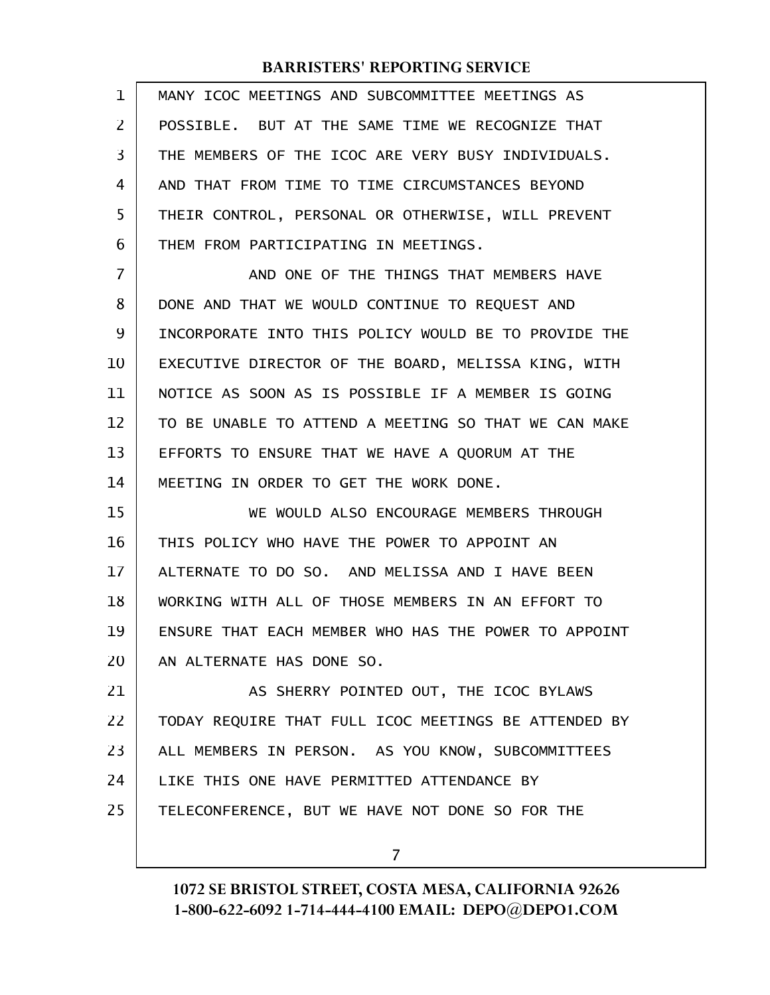| 1  | MANY ICOC MEETINGS AND SUBCOMMITTEE MEETINGS AS      |
|----|------------------------------------------------------|
| 2  | POSSIBLE. BUT AT THE SAME TIME WE RECOGNIZE THAT     |
| 3  | THE MEMBERS OF THE ICOC ARE VERY BUSY INDIVIDUALS.   |
| 4  | AND THAT FROM TIME TO TIME CIRCUMSTANCES BEYOND      |
| 5  | THEIR CONTROL, PERSONAL OR OTHERWISE, WILL PREVENT   |
| 6  | THEM FROM PARTICIPATING IN MEETINGS.                 |
| 7  | AND ONE OF THE THINGS THAT MEMBERS HAVE              |
| 8  | DONE AND THAT WE WOULD CONTINUE TO REQUEST AND       |
| 9  | INCORPORATE INTO THIS POLICY WOULD BE TO PROVIDE THE |
| 10 | EXECUTIVE DIRECTOR OF THE BOARD, MELISSA KING, WITH  |
| 11 | NOTICE AS SOON AS IS POSSIBLE IF A MEMBER IS GOING   |
| 12 | TO BE UNABLE TO ATTEND A MEETING SO THAT WE CAN MAKE |
| 13 | EFFORTS TO ENSURE THAT WE HAVE A QUORUM AT THE       |
| 14 | MEETING IN ORDER TO GET THE WORK DONE.               |
| 15 | WE WOULD ALSO ENCOURAGE MEMBERS THROUGH              |
| 16 | THIS POLICY WHO HAVE THE POWER TO APPOINT AN         |
| 17 | ALTERNATE TO DO SO. AND MELISSA AND I HAVE BEEN      |
| 18 | WORKING WITH ALL OF THOSE MEMBERS IN AN EFFORT TO    |
| 19 | ENSURE THAT EACH MEMBER WHO HAS THE POWER TO APPOINT |
| 20 | AN ALTERNATE HAS DONE SO.                            |
| 21 | AS SHERRY POINTED OUT, THE ICOC BYLAWS               |
| 22 | TODAY REQUIRE THAT FULL ICOC MEETINGS BE ATTENDED BY |
| 23 | ALL MEMBERS IN PERSON. AS YOU KNOW, SUBCOMMITTEES    |
| 24 | LIKE THIS ONE HAVE PERMITTED ATTENDANCE BY           |
| 25 | TELECONFERENCE, BUT WE HAVE NOT DONE SO FOR THE      |
|    | 7                                                    |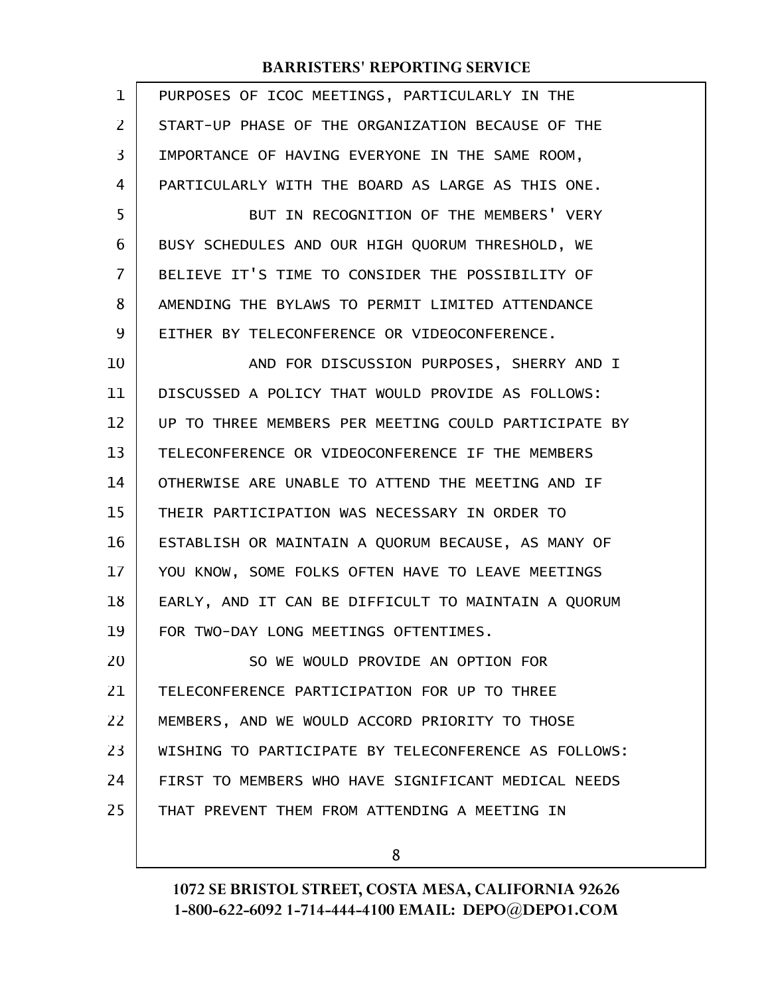| $\mathbf 1$ | PURPOSES OF ICOC MEETINGS, PARTICULARLY IN THE       |
|-------------|------------------------------------------------------|
| 2           | START-UP PHASE OF THE ORGANIZATION BECAUSE OF THE    |
| 3           | IMPORTANCE OF HAVING EVERYONE IN THE SAME ROOM,      |
| 4           | PARTICULARLY WITH THE BOARD AS LARGE AS THIS ONE.    |
| 5           | BUT IN RECOGNITION OF THE MEMBERS' VERY              |
| 6           | BUSY SCHEDULES AND OUR HIGH QUORUM THRESHOLD, WE     |
| 7           | BELIEVE IT'S TIME TO CONSIDER THE POSSIBILITY OF     |
| 8           | AMENDING THE BYLAWS TO PERMIT LIMITED ATTENDANCE     |
| 9           | EITHER BY TELECONFERENCE OR VIDEOCONFERENCE.         |
| 10          | AND FOR DISCUSSION PURPOSES, SHERRY AND I            |
| 11          | DISCUSSED A POLICY THAT WOULD PROVIDE AS FOLLOWS:    |
| 12          | UP TO THREE MEMBERS PER MEETING COULD PARTICIPATE BY |
| 13          | TELECONFERENCE OR VIDEOCONFERENCE IF THE MEMBERS     |
| 14          | OTHERWISE ARE UNABLE TO ATTEND THE MEETING AND IF    |
| 15          | THEIR PARTICIPATION WAS NECESSARY IN ORDER TO        |
| 16          | ESTABLISH OR MAINTAIN A QUORUM BECAUSE, AS MANY OF   |
| 17          | YOU KNOW, SOME FOLKS OFTEN HAVE TO LEAVE MEETINGS    |
| 18          | EARLY, AND IT CAN BE DIFFICULT TO MAINTAIN A QUORUM  |
| 19          | FOR TWO-DAY LONG MEETINGS OFTENTIMES.                |
| 20          | SO WE WOULD PROVIDE AN OPTION FOR                    |
| 21          | TELECONFERENCE PARTICIPATION FOR UP TO THREE         |
| 22          | MEMBERS, AND WE WOULD ACCORD PRIORITY TO THOSE       |
| 23          | WISHING TO PARTICIPATE BY TELECONFERENCE AS FOLLOWS: |
| 24          | FIRST TO MEMBERS WHO HAVE SIGNIFICANT MEDICAL NEEDS  |
| 25          | THAT PREVENT THEM FROM ATTENDING A MEETING IN        |
|             |                                                      |

8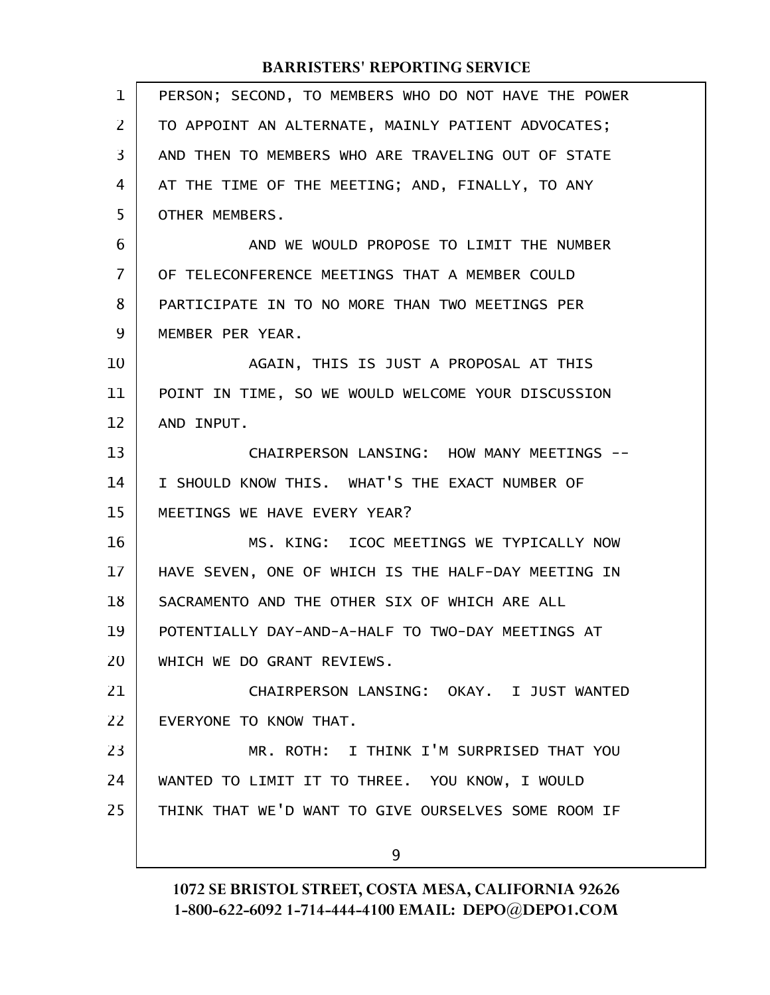| 1              | PERSON; SECOND, TO MEMBERS WHO DO NOT HAVE THE POWER |
|----------------|------------------------------------------------------|
| 2              | TO APPOINT AN ALTERNATE, MAINLY PATIENT ADVOCATES;   |
| 3              | AND THEN TO MEMBERS WHO ARE TRAVELING OUT OF STATE   |
| 4              | AT THE TIME OF THE MEETING; AND, FINALLY, TO ANY     |
| 5              | OTHER MEMBERS.                                       |
| 6              | AND WE WOULD PROPOSE TO LIMIT THE NUMBER             |
| $\overline{7}$ | OF TELECONFERENCE MEETINGS THAT A MEMBER COULD       |
| 8              | PARTICIPATE IN TO NO MORE THAN TWO MEETINGS PER      |
| 9              | MEMBER PER YEAR.                                     |
| 10             | AGAIN, THIS IS JUST A PROPOSAL AT THIS               |
| 11             | POINT IN TIME, SO WE WOULD WELCOME YOUR DISCUSSION   |
| 12             | AND INPUT.                                           |
| 13             | CHAIRPERSON LANSING: HOW MANY MEETINGS --            |
| 14             | I SHOULD KNOW THIS. WHAT'S THE EXACT NUMBER OF       |
| 15             | MEETINGS WE HAVE EVERY YEAR?                         |
| 16             | MS. KING: ICOC MEETINGS WE TYPICALLY NOW             |
| 17             | HAVE SEVEN, ONE OF WHICH IS THE HALF-DAY MEETING IN  |
| 18             | SACRAMENTO AND THE OTHER SIX OF WHICH ARE ALL        |
| 19             | POTENTIALLY DAY-AND-A-HALF TO TWO-DAY MEETINGS AT    |
| 20             | WHICH WE DO GRANT REVIEWS.                           |
| 21             | CHAIRPERSON LANSING: OKAY, I JUST WANTED             |
| 22             | EVERYONE TO KNOW THAT.                               |
| 23             | MR. ROTH: I THINK I'M SURPRISED THAT YOU             |
| 24             | WANTED TO LIMIT IT TO THREE. YOU KNOW, I WOULD       |
| 25             | THINK THAT WE'D WANT TO GIVE OURSELVES SOME ROOM IF  |
|                | 9                                                    |
|                |                                                      |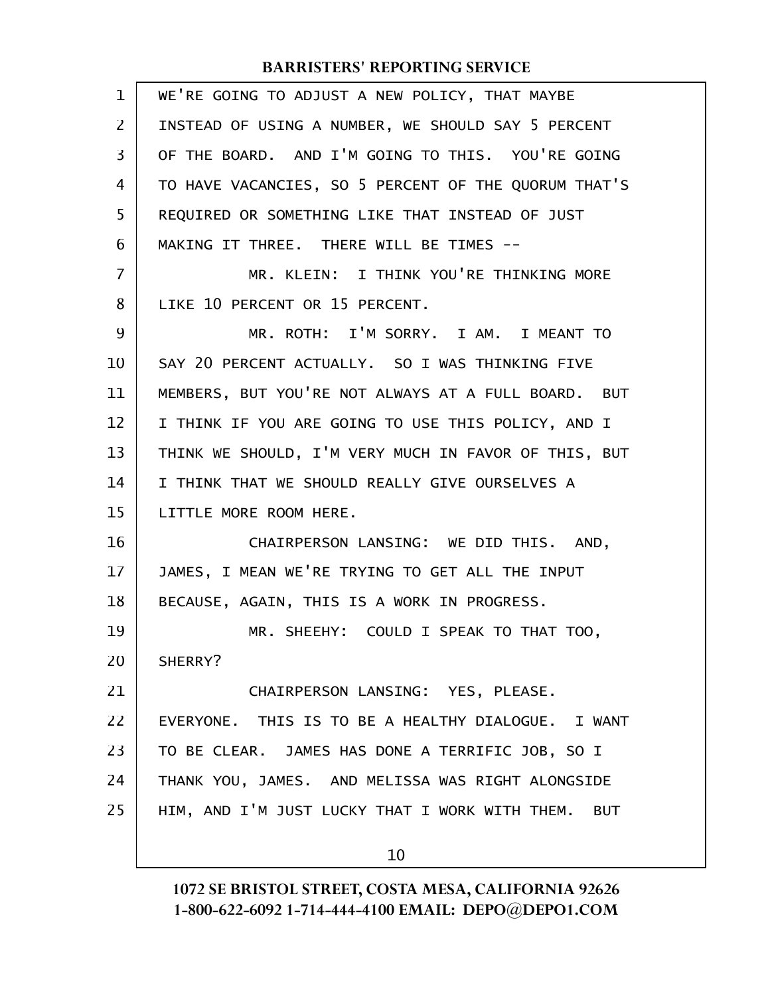| $\mathbf 1$    | WE'RE GOING TO ADJUST A NEW POLICY, THAT MAYBE       |
|----------------|------------------------------------------------------|
| $\overline{2}$ | INSTEAD OF USING A NUMBER, WE SHOULD SAY 5 PERCENT   |
| 3              | OF THE BOARD. AND I'M GOING TO THIS. YOU'RE GOING    |
| 4              | TO HAVE VACANCIES, SO 5 PERCENT OF THE QUORUM THAT'S |
| 5              | REQUIRED OR SOMETHING LIKE THAT INSTEAD OF JUST      |
| 6              | MAKING IT THREE. THERE WILL BE TIMES --              |
| $\overline{7}$ | MR. KLEIN: I THINK YOU'RE THINKING MORE              |
| 8              | LIKE 10 PERCENT OR 15 PERCENT.                       |
| 9              | MR. ROTH: I'M SORRY. I AM. I MEANT TO                |
| 10             | SAY 20 PERCENT ACTUALLY. SO I WAS THINKING FIVE      |
| 11             | MEMBERS, BUT YOU'RE NOT ALWAYS AT A FULL BOARD. BUT  |
| 12             | I THINK IF YOU ARE GOING TO USE THIS POLICY, AND I   |
| 13             | THINK WE SHOULD, I'M VERY MUCH IN FAVOR OF THIS, BUT |
| 14             | I THINK THAT WE SHOULD REALLY GIVE OURSELVES A       |
| 15             | LITTLE MORE ROOM HERE.                               |
| 16             | CHAIRPERSON LANSING: WE DID THIS. AND,               |
| 17             | JAMES, I MEAN WE'RE TRYING TO GET ALL THE INPUT      |
| 18             | BECAUSE, AGAIN, THIS IS A WORK IN PROGRESS.          |
| 19             | MR. SHEEHY: COULD I SPEAK TO THAT TOO,               |
| 20             | SHERRY?                                              |
| 21             | CHAIRPERSON LANSING: YES, PLEASE.                    |
| 22             | EVERYONE. THIS IS TO BE A HEALTHY DIALOGUE. I WANT   |
| 23             | TO BE CLEAR. JAMES HAS DONE A TERRIFIC JOB, SO I     |
| 24             | THANK YOU, JAMES. AND MELISSA WAS RIGHT ALONGSIDE    |
| 25             | HIM, AND I'M JUST LUCKY THAT I WORK WITH THEM. BUT   |
|                | 10                                                   |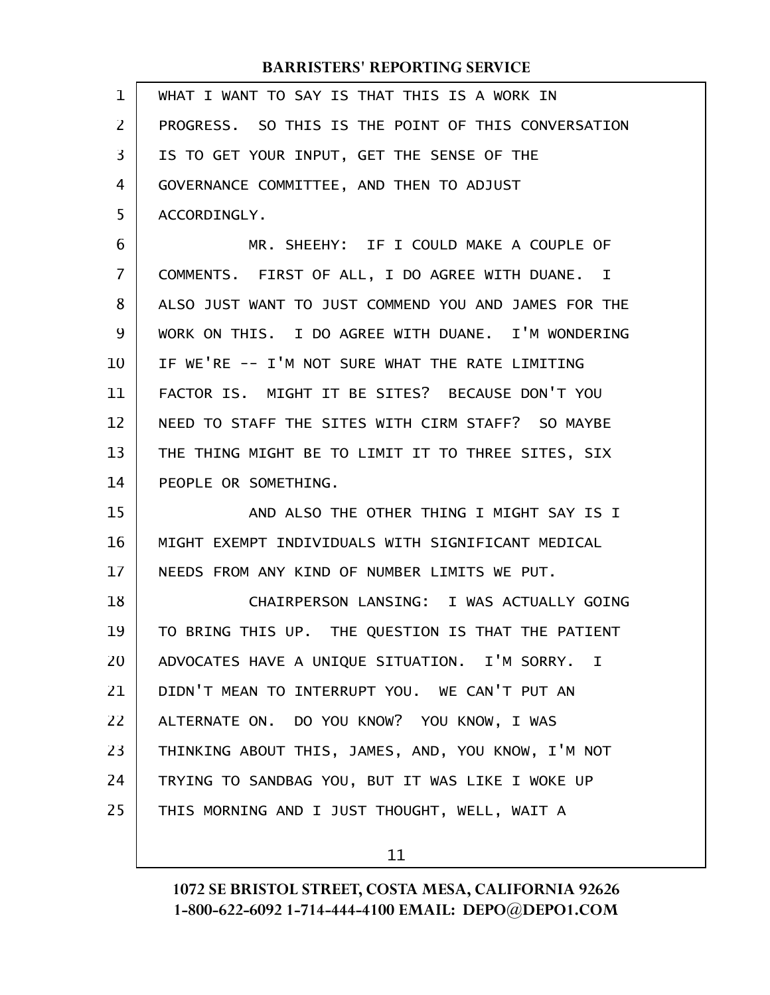| $\mathbf{1}$   | WHAT I WANT TO SAY IS THAT THIS IS A WORK IN         |
|----------------|------------------------------------------------------|
| $\overline{2}$ | PROGRESS. SO THIS IS THE POINT OF THIS CONVERSATION  |
| 3              | IS TO GET YOUR INPUT, GET THE SENSE OF THE           |
| 4              | GOVERNANCE COMMITTEE, AND THEN TO ADJUST             |
| 5              | ACCORDINGLY.                                         |
| 6              | MR. SHEEHY: IF I COULD MAKE A COUPLE OF              |
| $\overline{7}$ | COMMENTS. FIRST OF ALL, I DO AGREE WITH DUANE. I     |
| 8              | ALSO JUST WANT TO JUST COMMEND YOU AND JAMES FOR THE |
| 9              | WORK ON THIS. I DO AGREE WITH DUANE. I'M WONDERING   |
| 10             | IF WE'RE -- I'M NOT SURE WHAT THE RATE LIMITING      |
| 11             | FACTOR IS. MIGHT IT BE SITES? BECAUSE DON'T YOU      |
| 12             | NEED TO STAFF THE SITES WITH CIRM STAFF? SO MAYBE    |
| 13             | THE THING MIGHT BE TO LIMIT IT TO THREE SITES, SIX   |
| 14             | PEOPLE OR SOMETHING.                                 |
| 15             | AND ALSO THE OTHER THING I MIGHT SAY IS I            |
| 16             | MIGHT EXEMPT INDIVIDUALS WITH SIGNIFICANT MEDICAL    |
| 17             | NEEDS FROM ANY KIND OF NUMBER LIMITS WE PUT.         |
| 18             | CHAIRPERSON LANSING: I WAS ACTUALLY GOING            |
| 19             | TO BRING THIS UP. THE QUESTION IS THAT THE PATIENT   |
| 20             | ADVOCATES HAVE A UNIQUE SITUATION. I'M SORRY. I      |
| 21             | DIDN'T MEAN TO INTERRUPT YOU. WE CAN'T PUT AN        |
| 22             | ALTERNATE ON. DO YOU KNOW? YOU KNOW, I WAS           |
| 23             | THINKING ABOUT THIS, JAMES, AND, YOU KNOW, I'M NOT   |
| 24             | TRYING TO SANDBAG YOU, BUT IT WAS LIKE I WOKE UP     |
| 25             | THIS MORNING AND I JUST THOUGHT, WELL, WAIT A        |
|                |                                                      |

11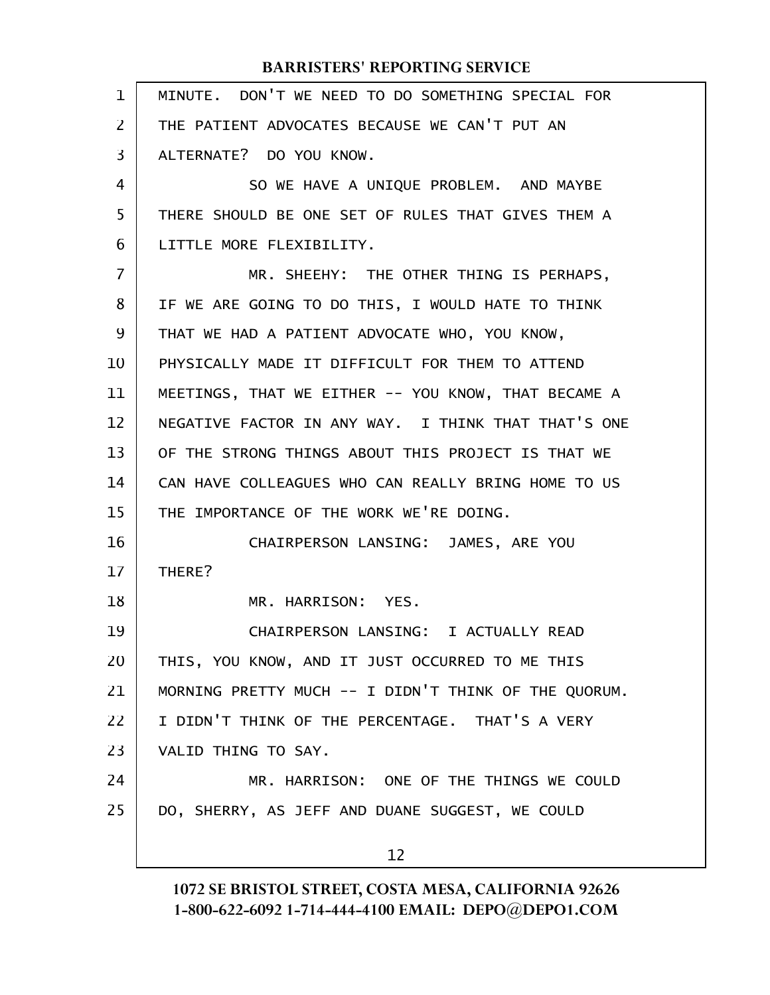| 1              | MINUTE. DON'T WE NEED TO DO SOMETHING SPECIAL FOR    |
|----------------|------------------------------------------------------|
| $\overline{2}$ | THE PATIENT ADVOCATES BECAUSE WE CAN'T PUT AN        |
| 3              | ALTERNATE? DO YOU KNOW.                              |
| $\overline{4}$ | SO WE HAVE A UNIQUE PROBLEM. AND MAYBE               |
| 5              | THERE SHOULD BE ONE SET OF RULES THAT GIVES THEM A   |
| 6              | LITTLE MORE FLEXIBILITY.                             |
| $\overline{7}$ | MR. SHEEHY: THE OTHER THING IS PERHAPS,              |
| 8              | IF WE ARE GOING TO DO THIS, I WOULD HATE TO THINK    |
| 9              | THAT WE HAD A PATIENT ADVOCATE WHO, YOU KNOW,        |
| 10             | PHYSICALLY MADE IT DIFFICULT FOR THEM TO ATTEND      |
| 11             | MEETINGS, THAT WE EITHER -- YOU KNOW, THAT BECAME A  |
| 12             | NEGATIVE FACTOR IN ANY WAY. I THINK THAT THAT'S ONE  |
| 13             | OF THE STRONG THINGS ABOUT THIS PROJECT IS THAT WE   |
| 14             | CAN HAVE COLLEAGUES WHO CAN REALLY BRING HOME TO US  |
| 15             | THE IMPORTANCE OF THE WORK WE'RE DOING.              |
| 16             | CHAIRPERSON LANSING: JAMES, ARE YOU                  |
| 17             | THERE?                                               |
| 18             | MR. HARRISON: YES.                                   |
| 19             | CHAIRPERSON LANSING: I ACTUALLY READ                 |
| 20             | THIS, YOU KNOW, AND IT JUST OCCURRED TO ME THIS      |
| 21             | MORNING PRETTY MUCH -- I DIDN'T THINK OF THE QUORUM. |
| 22             | I DIDN'T THINK OF THE PERCENTAGE. THAT'S A VERY      |
| 23             | VALID THING TO SAY.                                  |
| 24             | MR. HARRISON: ONE OF THE THINGS WE COULD             |
| 25             | DO, SHERRY, AS JEFF AND DUANE SUGGEST, WE COULD      |
|                | 12                                                   |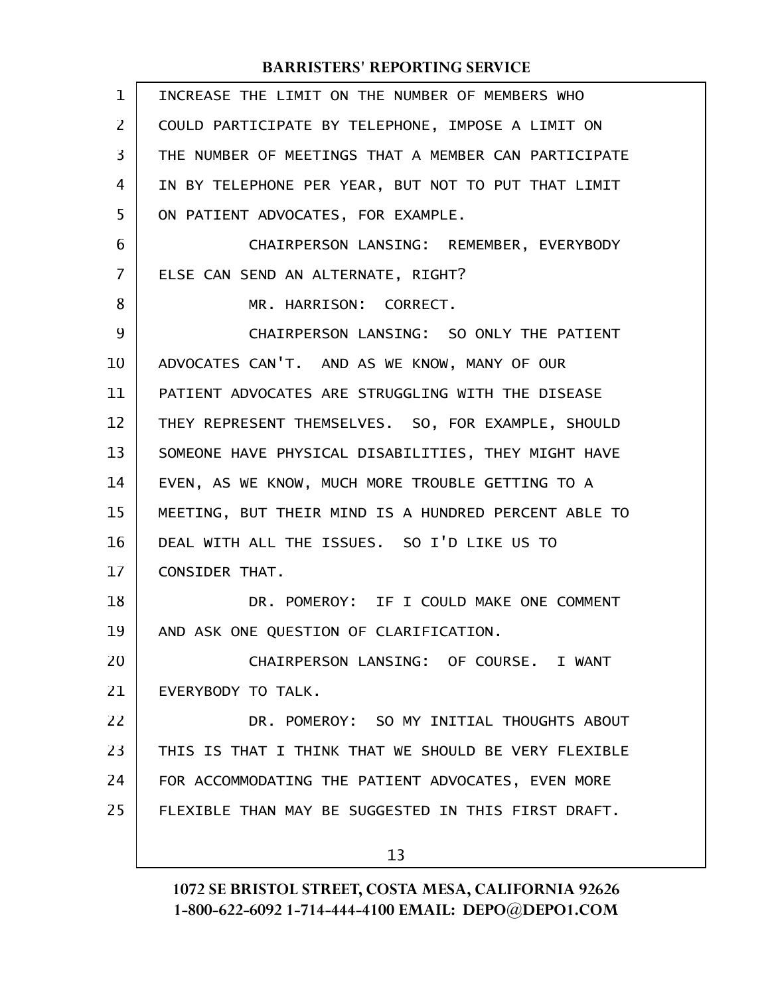| $\mathbf 1$ | INCREASE THE LIMIT ON THE NUMBER OF MEMBERS WHO      |
|-------------|------------------------------------------------------|
| 2           | COULD PARTICIPATE BY TELEPHONE, IMPOSE A LIMIT ON    |
| 3           | THE NUMBER OF MEETINGS THAT A MEMBER CAN PARTICIPATE |
| 4           | IN BY TELEPHONE PER YEAR, BUT NOT TO PUT THAT LIMIT  |
| 5           | ON PATIENT ADVOCATES, FOR EXAMPLE.                   |
| 6           | CHAIRPERSON LANSING: REMEMBER, EVERYBODY             |
| 7           | ELSE CAN SEND AN ALTERNATE, RIGHT?                   |
| 8           | MR. HARRISON: CORRECT.                               |
| 9           | CHAIRPERSON LANSING: SO ONLY THE PATIENT             |
| 10          | ADVOCATES CAN'T. AND AS WE KNOW, MANY OF OUR         |
| 11          | PATIENT ADVOCATES ARE STRUGGLING WITH THE DISEASE    |
| 12          | THEY REPRESENT THEMSELVES. SO, FOR EXAMPLE, SHOULD   |
| 13          | SOMEONE HAVE PHYSICAL DISABILITIES, THEY MIGHT HAVE  |
| 14          | EVEN, AS WE KNOW, MUCH MORE TROUBLE GETTING TO A     |
| 15          | MEETING, BUT THEIR MIND IS A HUNDRED PERCENT ABLE TO |
| 16          | DEAL WITH ALL THE ISSUES. SO I'D LIKE US TO          |
| 17          | <b>CONSIDER THAT.</b>                                |
| 18          | DR. POMEROY: IF I COULD MAKE ONE COMMENT             |
| 19          | AND ASK ONE QUESTION OF CLARIFICATION.               |
| 20          | CHAIRPERSON LANSING: OF COURSE. I WANT               |
| 21          | EVERYBODY TO TALK.                                   |
| 22          | DR. POMEROY: SO MY INITIAL THOUGHTS ABOUT            |
| 23          | THIS IS THAT I THINK THAT WE SHOULD BE VERY FLEXIBLE |
| 24          | FOR ACCOMMODATING THE PATIENT ADVOCATES, EVEN MORE   |
| 25          | FLEXIBLE THAN MAY BE SUGGESTED IN THIS FIRST DRAFT.  |
|             | 13                                                   |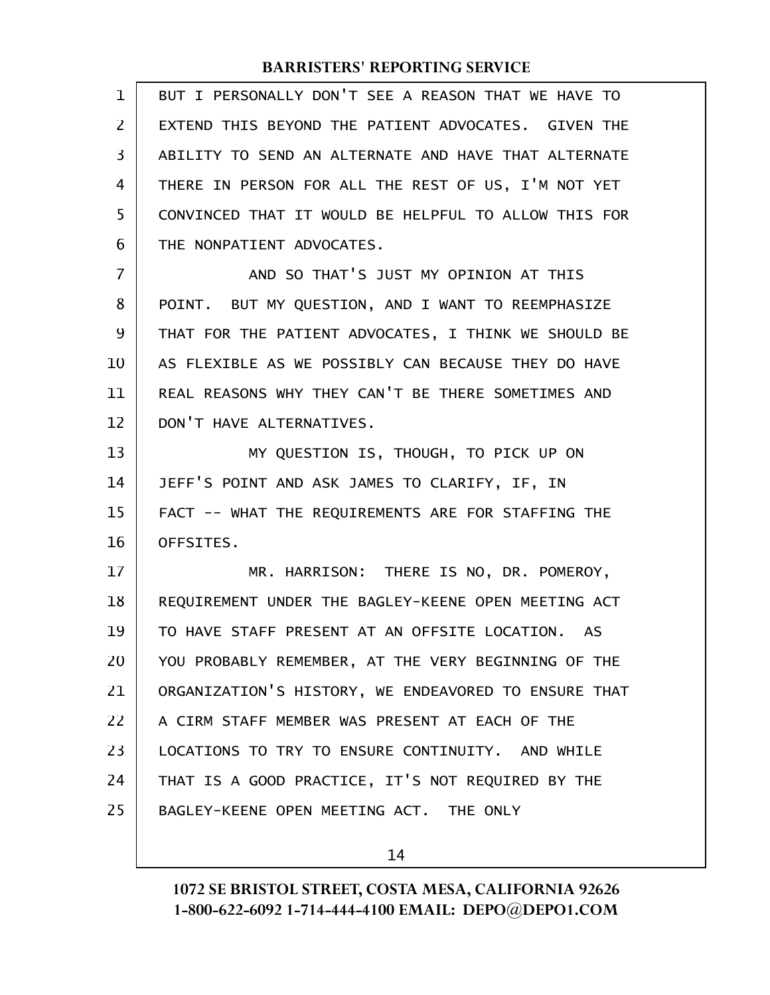| 1  | BUT I PERSONALLY DON'T SEE A REASON THAT WE HAVE TO  |  |
|----|------------------------------------------------------|--|
| 2  | EXTEND THIS BEYOND THE PATIENT ADVOCATES. GIVEN THE  |  |
| 3  | ABILITY TO SEND AN ALTERNATE AND HAVE THAT ALTERNATE |  |
| 4  | THERE IN PERSON FOR ALL THE REST OF US, I'M NOT YET  |  |
| 5  | CONVINCED THAT IT WOULD BE HELPFUL TO ALLOW THIS FOR |  |
| 6  | THE NONPATIENT ADVOCATES.                            |  |
| 7  | AND SO THAT'S JUST MY OPINION AT THIS                |  |
| 8  | POINT. BUT MY QUESTION, AND I WANT TO REEMPHASIZE    |  |
| 9  | THAT FOR THE PATIENT ADVOCATES, I THINK WE SHOULD BE |  |
| 10 | AS FLEXIBLE AS WE POSSIBLY CAN BECAUSE THEY DO HAVE  |  |
| 11 | REAL REASONS WHY THEY CAN'T BE THERE SOMETIMES AND   |  |
| 12 | DON'T HAVE ALTERNATIVES.                             |  |
| 13 | MY QUESTION IS, THOUGH, TO PICK UP ON                |  |
| 14 | JEFF'S POINT AND ASK JAMES TO CLARIFY, IF, IN        |  |
| 15 | FACT -- WHAT THE REQUIREMENTS ARE FOR STAFFING THE   |  |
| 16 | OFFSITES.                                            |  |
| 17 | MR. HARRISON: THERE IS NO, DR. POMEROY,              |  |
| 18 | REQUIREMENT UNDER THE BAGLEY-KEENE OPEN MEETING ACT  |  |
| 19 | TO HAVE STAFF PRESENT AT AN OFFSITE LOCATION.<br>AS. |  |
| 20 | YOU PROBABLY REMEMBER, AT THE VERY BEGINNING OF THE  |  |
| 21 | ORGANIZATION'S HISTORY, WE ENDEAVORED TO ENSURE THAT |  |
| 22 | A CIRM STAFF MEMBER WAS PRESENT AT EACH OF THE       |  |
| 23 | LOCATIONS TO TRY TO ENSURE CONTINUITY. AND WHILE     |  |
| 24 | THAT IS A GOOD PRACTICE, IT'S NOT REQUIRED BY THE    |  |
| 25 | BAGLEY-KEENE OPEN MEETING ACT. THE ONLY              |  |
|    |                                                      |  |

14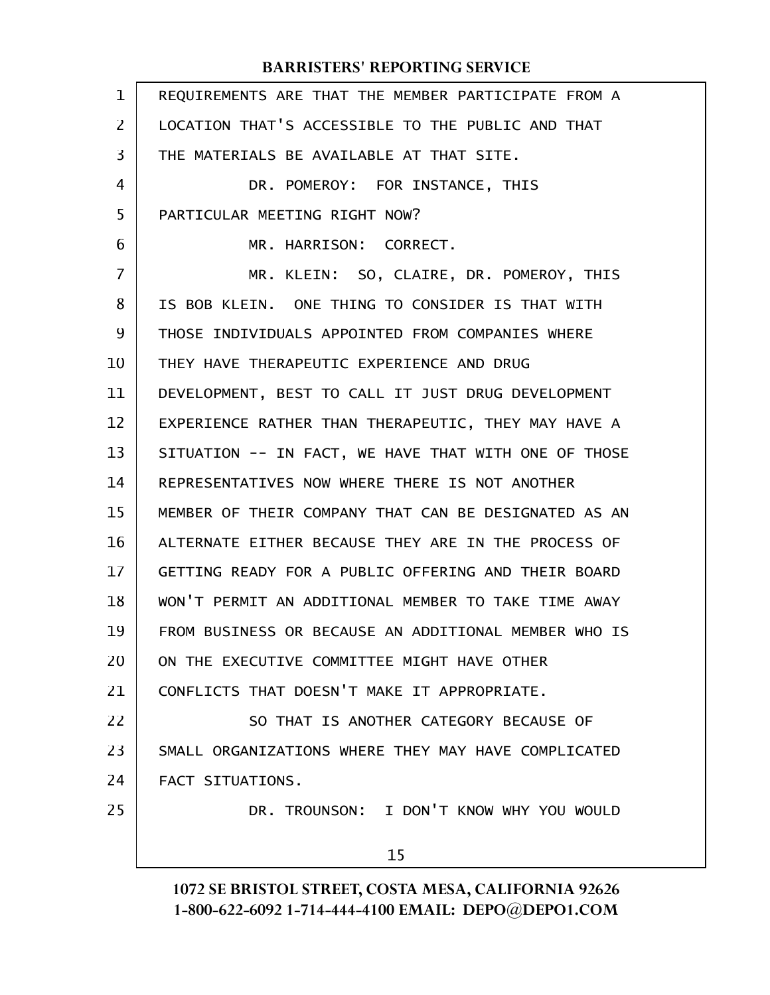| $\mathbf 1$    | REQUIREMENTS ARE THAT THE MEMBER PARTICIPATE FROM A  |  |
|----------------|------------------------------------------------------|--|
| 2              | LOCATION THAT'S ACCESSIBLE TO THE PUBLIC AND THAT    |  |
| 3              | THE MATERIALS BE AVAILABLE AT THAT SITE.             |  |
| $\overline{4}$ | DR. POMEROY: FOR INSTANCE, THIS                      |  |
| 5              | PARTICULAR MEETING RIGHT NOW?                        |  |
| 6              | MR. HARRISON: CORRECT.                               |  |
| 7              | MR. KLEIN: SO, CLAIRE, DR. POMEROY, THIS             |  |
| 8              | IS BOB KLEIN. ONE THING TO CONSIDER IS THAT WITH     |  |
| 9              | THOSE INDIVIDUALS APPOINTED FROM COMPANIES WHERE     |  |
| 10             | THEY HAVE THERAPEUTIC EXPERIENCE AND DRUG            |  |
| 11             | DEVELOPMENT, BEST TO CALL IT JUST DRUG DEVELOPMENT   |  |
| 12             | EXPERIENCE RATHER THAN THERAPEUTIC, THEY MAY HAVE A  |  |
| 13             | SITUATION -- IN FACT, WE HAVE THAT WITH ONE OF THOSE |  |
| 14             | REPRESENTATIVES NOW WHERE THERE IS NOT ANOTHER       |  |
| 15             | MEMBER OF THEIR COMPANY THAT CAN BE DESIGNATED AS AN |  |
| 16             | ALTERNATE EITHER BECAUSE THEY ARE IN THE PROCESS OF  |  |
| 17             | GETTING READY FOR A PUBLIC OFFERING AND THEIR BOARD  |  |
| 18             | WON'T PERMIT AN ADDITIONAL MEMBER TO TAKE TIME AWAY  |  |
| 19             | FROM BUSINESS OR BECAUSE AN ADDITIONAL MEMBER WHO IS |  |
| 20             | ON THE EXECUTIVE COMMITTEE MIGHT HAVE OTHER          |  |
| 21             | CONFLICTS THAT DOESN'T MAKE IT APPROPRIATE.          |  |
| 22             | SO THAT IS ANOTHER CATEGORY BECAUSE OF               |  |
| 23             | SMALL ORGANIZATIONS WHERE THEY MAY HAVE COMPLICATED  |  |
| 24             | FACT SITUATIONS.                                     |  |
| 25             | DR. TROUNSON: I DON'T KNOW WHY YOU WOULD             |  |
|                | 15                                                   |  |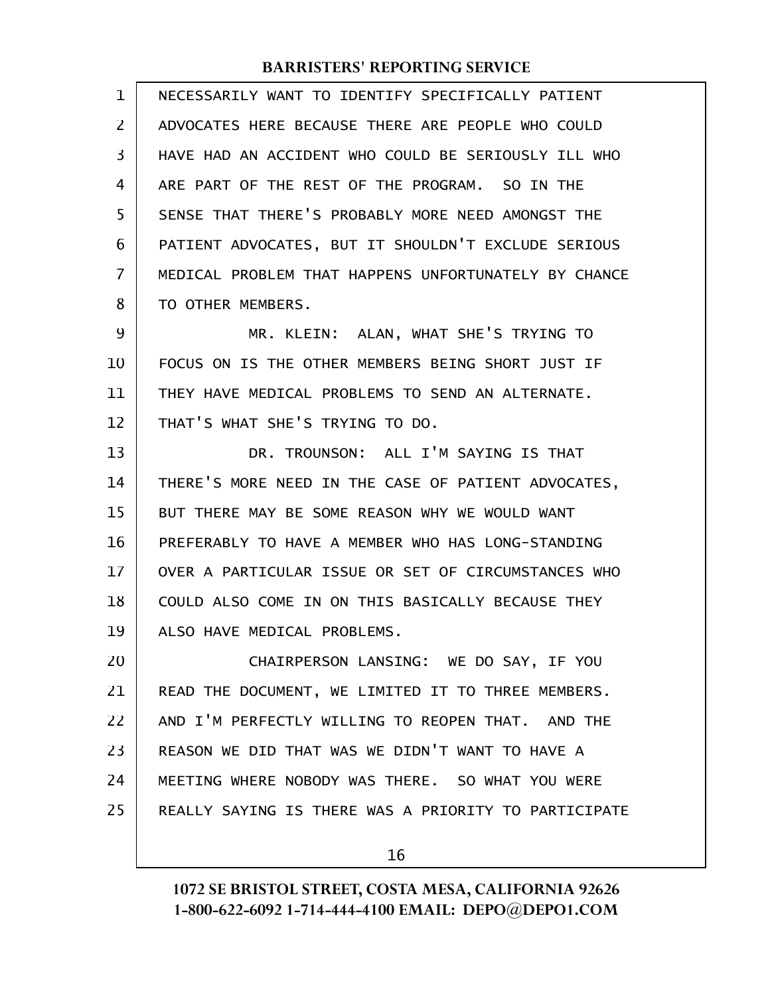| 1  | NECESSARILY WANT TO IDENTIFY SPECIFICALLY PATIENT    |  |
|----|------------------------------------------------------|--|
| 2  | ADVOCATES HERE BECAUSE THERE ARE PEOPLE WHO COULD    |  |
| 3  | HAVE HAD AN ACCIDENT WHO COULD BE SERIOUSLY ILL WHO  |  |
| 4  | ARE PART OF THE REST OF THE PROGRAM. SO IN THE       |  |
| 5  | SENSE THAT THERE'S PROBABLY MORE NEED AMONGST THE    |  |
| 6  | PATIENT ADVOCATES, BUT IT SHOULDN'T EXCLUDE SERIOUS  |  |
| 7  | MEDICAL PROBLEM THAT HAPPENS UNFORTUNATELY BY CHANCE |  |
| 8  | TO OTHER MEMBERS.                                    |  |
| 9  | MR. KLEIN: ALAN, WHAT SHE'S TRYING TO                |  |
| 10 | FOCUS ON IS THE OTHER MEMBERS BEING SHORT JUST IF    |  |
| 11 | THEY HAVE MEDICAL PROBLEMS TO SEND AN ALTERNATE.     |  |
| 12 | THAT'S WHAT SHE'S TRYING TO DO.                      |  |
| 13 | DR. TROUNSON: ALL I'M SAYING IS THAT                 |  |
| 14 | THERE'S MORE NEED IN THE CASE OF PATIENT ADVOCATES,  |  |
| 15 | BUT THERE MAY BE SOME REASON WHY WE WOULD WANT       |  |
| 16 | PREFERABLY TO HAVE A MEMBER WHO HAS LONG-STANDING    |  |
| 17 | OVER A PARTICULAR ISSUE OR SET OF CIRCUMSTANCES WHO  |  |
| 18 | COULD ALSO COME IN ON THIS BASICALLY BECAUSE THEY    |  |
| 19 | ALSO HAVE MEDICAL PROBLEMS.                          |  |
| 20 | CHAIRPERSON LANSING: WE DO SAY, IF YOU               |  |
| 21 | READ THE DOCUMENT, WE LIMITED IT TO THREE MEMBERS.   |  |
| 22 | AND I'M PERFECTLY WILLING TO REOPEN THAT. AND THE    |  |
| 23 | REASON WE DID THAT WAS WE DIDN'T WANT TO HAVE A      |  |
| 24 | MEETING WHERE NOBODY WAS THERE. SO WHAT YOU WERE     |  |
| 25 | REALLY SAYING IS THERE WAS A PRIORITY TO PARTICIPATE |  |
|    |                                                      |  |

16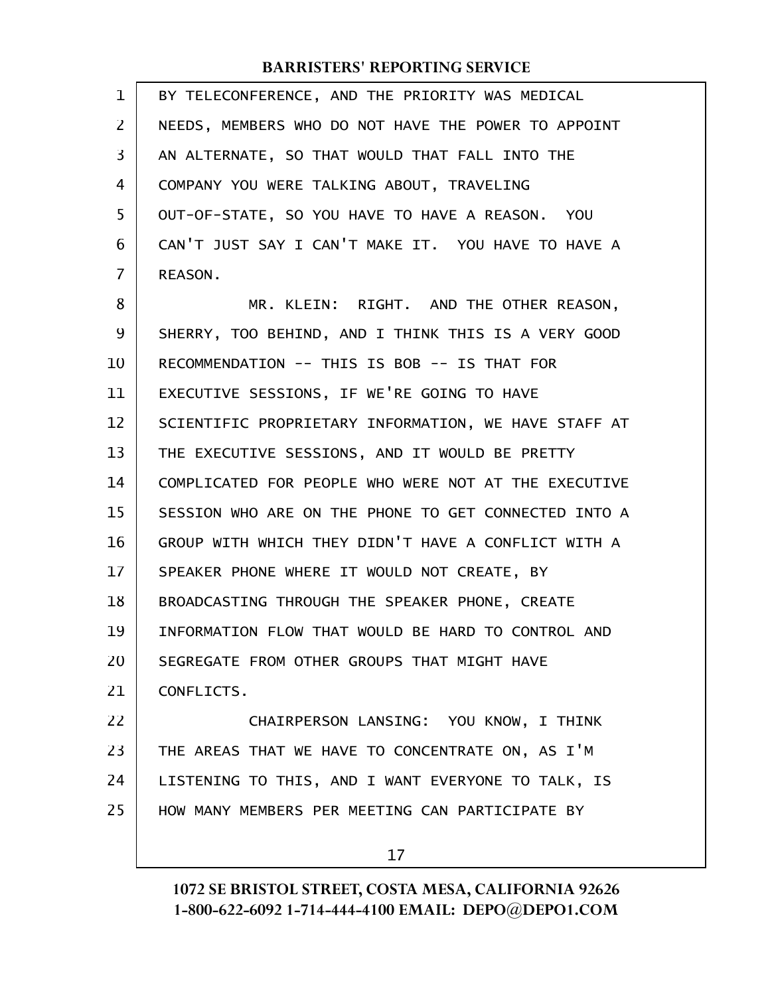| $\mathbf 1$ | BY TELECONFERENCE, AND THE PRIORITY WAS MEDICAL      |  |
|-------------|------------------------------------------------------|--|
| 2           | NEEDS, MEMBERS WHO DO NOT HAVE THE POWER TO APPOINT  |  |
| 3           | AN ALTERNATE, SO THAT WOULD THAT FALL INTO THE       |  |
| 4           | COMPANY YOU WERE TALKING ABOUT, TRAVELING            |  |
| 5           | OUT-OF-STATE, SO YOU HAVE TO HAVE A REASON. YOU      |  |
| 6           | CAN'T JUST SAY I CAN'T MAKE IT. YOU HAVE TO HAVE A   |  |
| 7           | REASON.                                              |  |
| 8           | MR. KLEIN: RIGHT. AND THE OTHER REASON,              |  |
| 9           | SHERRY, TOO BEHIND, AND I THINK THIS IS A VERY GOOD  |  |
| 10          | RECOMMENDATION -- THIS IS BOB -- IS THAT FOR         |  |
| 11          | EXECUTIVE SESSIONS, IF WE'RE GOING TO HAVE           |  |
| 12          | SCIENTIFIC PROPRIETARY INFORMATION, WE HAVE STAFF AT |  |
| 13          | THE EXECUTIVE SESSIONS, AND IT WOULD BE PRETTY       |  |
| 14          | COMPLICATED FOR PEOPLE WHO WERE NOT AT THE EXECUTIVE |  |
| 15          | SESSION WHO ARE ON THE PHONE TO GET CONNECTED INTO A |  |
| 16          | GROUP WITH WHICH THEY DIDN'T HAVE A CONFLICT WITH A  |  |
| 17          | SPEAKER PHONE WHERE IT WOULD NOT CREATE, BY          |  |
| 18          | BROADCASTING THROUGH THE SPEAKER PHONE, CREATE       |  |
| 19          | INFORMATION FLOW THAT WOULD BE HARD TO CONTROL AND   |  |
| 20          | SEGREGATE FROM OTHER GROUPS THAT MIGHT HAVE          |  |
| 21          | CONFLICTS.                                           |  |
| 22          | CHAIRPERSON LANSING: YOU KNOW, I THINK               |  |
| 23          | THE AREAS THAT WE HAVE TO CONCENTRATE ON, AS I'M     |  |
| 24          | LISTENING TO THIS, AND I WANT EVERYONE TO TALK, IS   |  |
| 25          | HOW MANY MEMBERS PER MEETING CAN PARTICIPATE BY      |  |
|             |                                                      |  |

17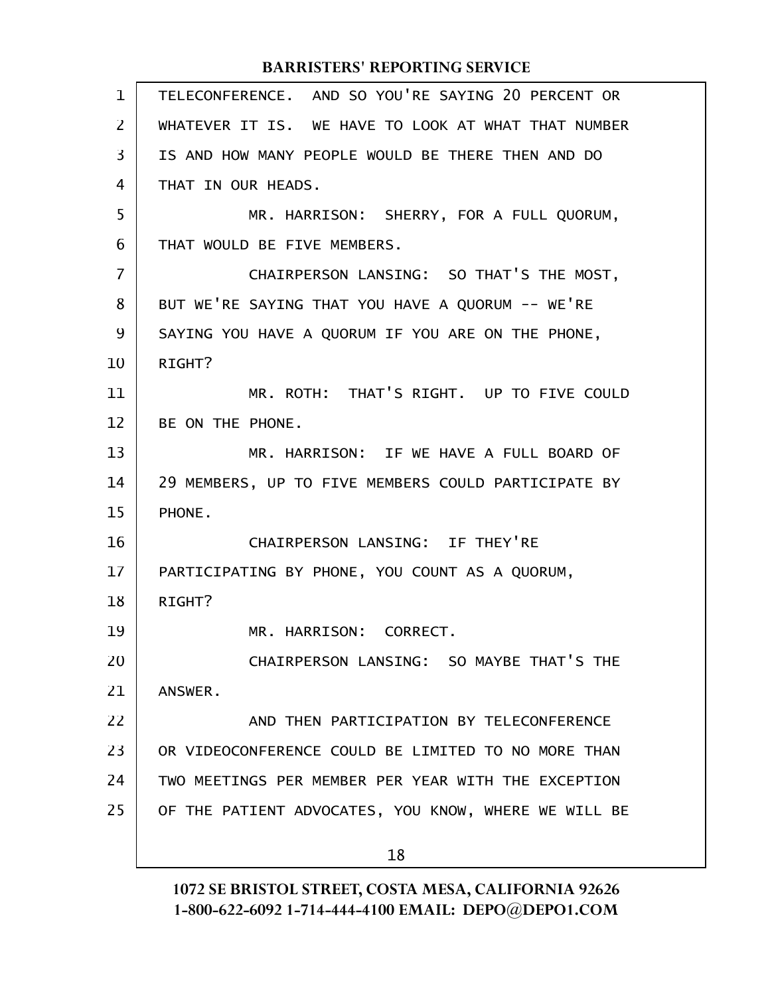| $\mathbf 1$    | TELECONFERENCE. AND SO YOU'RE SAYING 20 PERCENT OR   |  |
|----------------|------------------------------------------------------|--|
| $\overline{2}$ | WHATEVER IT IS. WE HAVE TO LOOK AT WHAT THAT NUMBER  |  |
| 3              | IS AND HOW MANY PEOPLE WOULD BE THERE THEN AND DO    |  |
| 4              | THAT IN OUR HEADS.                                   |  |
| 5              | MR. HARRISON: SHERRY, FOR A FULL QUORUM,             |  |
| 6              | THAT WOULD BE FIVE MEMBERS.                          |  |
| $\overline{7}$ | CHAIRPERSON LANSING: SO THAT'S THE MOST,             |  |
| 8              | BUT WE'RE SAYING THAT YOU HAVE A QUORUM -- WE'RE     |  |
| 9              | SAYING YOU HAVE A QUORUM IF YOU ARE ON THE PHONE,    |  |
| 10             | RIGHT?                                               |  |
| 11             | MR. ROTH: THAT'S RIGHT. UP TO FIVE COULD             |  |
| 12             | BE ON THE PHONE.                                     |  |
| 13             | MR. HARRISON: IF WE HAVE A FULL BOARD OF             |  |
| 14             | 29 MEMBERS, UP TO FIVE MEMBERS COULD PARTICIPATE BY  |  |
| 15             | PHONE.                                               |  |
| 16             | CHAIRPERSON LANSING: IF THEY'RE                      |  |
| 17             | PARTICIPATING BY PHONE, YOU COUNT AS A QUORUM,       |  |
| 18             | RIGHT?                                               |  |
| 19             | MR. HARRISON: CORRECT.                               |  |
| 20             | CHAIRPERSON LANSING: SO MAYBE THAT'S THE             |  |
| 21             | ANSWER.                                              |  |
| 22             | AND THEN PARTICIPATION BY TELECONFERENCE             |  |
| 23             | OR VIDEOCONFERENCE COULD BE LIMITED TO NO MORE THAN  |  |
| 24             | TWO MEETINGS PER MEMBER PER YEAR WITH THE EXCEPTION  |  |
| 25             | OF THE PATIENT ADVOCATES, YOU KNOW, WHERE WE WILL BE |  |
|                | 18                                                   |  |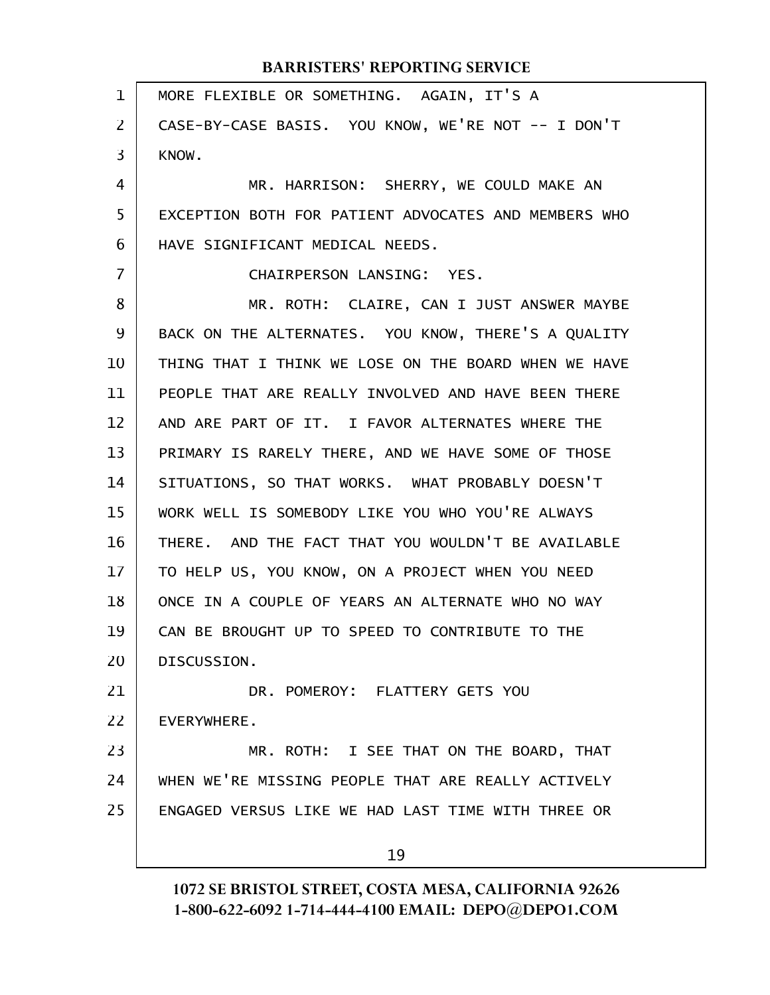MORE FLEXIBLE OR SOMETHING. AGAIN, IT'S A CASE-BY-CASE BASIS. YOU KNOW, WE'RE NOT -- I DON'T KNOW. MR. HARRISON: SHERRY, WE COULD MAKE AN EXCEPTION BOTH FOR PATIENT ADVOCATES AND MEMBERS WHO HAVE SIGNIFICANT MEDICAL NEEDS. CHAIRPERSON LANSING: YES. MR. ROTH: CLAIRE, CAN I JUST ANSWER MAYBE BACK ON THE ALTERNATES. YOU KNOW, THERE'S A QUALITY THING THAT I THINK WE LOSE ON THE BOARD WHEN WE HAVE PEOPLE THAT ARE REALLY INVOLVED AND HAVE BEEN THERE AND ARE PART OF IT. I FAVOR ALTERNATES WHERE THE PRIMARY IS RARELY THERE, AND WE HAVE SOME OF THOSE SITUATIONS, SO THAT WORKS. WHAT PROBABLY DOESN'T WORK WELL IS SOMEBODY LIKE YOU WHO YOU'RE ALWAYS THERE. AND THE FACT THAT YOU WOULDN'T BE AVAILABLE TO HELP US, YOU KNOW, ON A PROJECT WHEN YOU NEED ONCE IN A COUPLE OF YEARS AN ALTERNATE WHO NO WAY CAN BE BROUGHT UP TO SPEED TO CONTRIBUTE TO THE DISCUSSION. DR. POMEROY: FLATTERY GETS YOU EVERYWHERE. MR. ROTH: I SEE THAT ON THE BOARD, THAT WHEN WE'RE MISSING PEOPLE THAT ARE REALLY ACTIVELY ENGAGED VERSUS LIKE WE HAD LAST TIME WITH THREE OR 19 1 2 3 4 5 6 7 8 9 10 11 12 13 14 15 16 17 18 19 20 21 22 23 24 25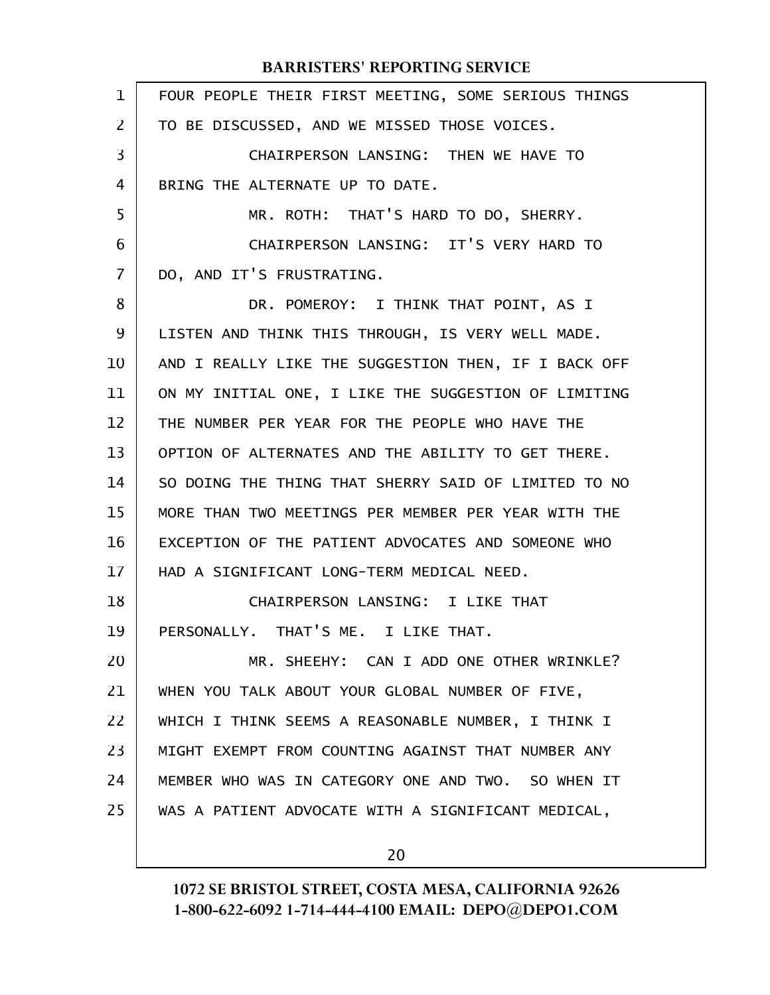| $\mathbf 1$ | FOUR PEOPLE THEIR FIRST MEETING, SOME SERIOUS THINGS |
|-------------|------------------------------------------------------|
| 2           | TO BE DISCUSSED, AND WE MISSED THOSE VOICES.         |
| 3           | CHAIRPERSON LANSING: THEN WE HAVE TO                 |
| 4           | BRING THE ALTERNATE UP TO DATE.                      |
| 5           | MR. ROTH: THAT'S HARD TO DO, SHERRY.                 |
| 6           | CHAIRPERSON LANSING: IT'S VERY HARD TO               |
| 7           | DO, AND IT'S FRUSTRATING.                            |
| 8           | DR. POMEROY: I THINK THAT POINT, AS I                |
| 9           | LISTEN AND THINK THIS THROUGH, IS VERY WELL MADE.    |
| 10          | AND I REALLY LIKE THE SUGGESTION THEN, IF I BACK OFF |
| 11          | ON MY INITIAL ONE, I LIKE THE SUGGESTION OF LIMITING |
| 12          | THE NUMBER PER YEAR FOR THE PEOPLE WHO HAVE THE      |
| 13          | OPTION OF ALTERNATES AND THE ABILITY TO GET THERE.   |
| 14          | SO DOING THE THING THAT SHERRY SAID OF LIMITED TO NO |
| 15          | MORE THAN TWO MEETINGS PER MEMBER PER YEAR WITH THE  |
| 16          | EXCEPTION OF THE PATIENT ADVOCATES AND SOMEONE WHO   |
| 17          | HAD A SIGNIFICANT LONG-TERM MEDICAL NEED.            |
| 18          | CHAIRPERSON LANSING: I LIKE THAT                     |
| 19          | PERSONALLY. THAT'S ME. I LIKE THAT.                  |
| 20          | MR. SHEEHY: CAN I ADD ONE OTHER WRINKLE?             |
| 21          | WHEN YOU TALK ABOUT YOUR GLOBAL NUMBER OF FIVE,      |
| 22          | WHICH I THINK SEEMS A REASONABLE NUMBER, I THINK I   |
| 23          | MIGHT EXEMPT FROM COUNTING AGAINST THAT NUMBER ANY   |
| 24          | MEMBER WHO WAS IN CATEGORY ONE AND TWO. SO WHEN IT   |
| 25          | WAS A PATIENT ADVOCATE WITH A SIGNIFICANT MEDICAL,   |
|             |                                                      |

20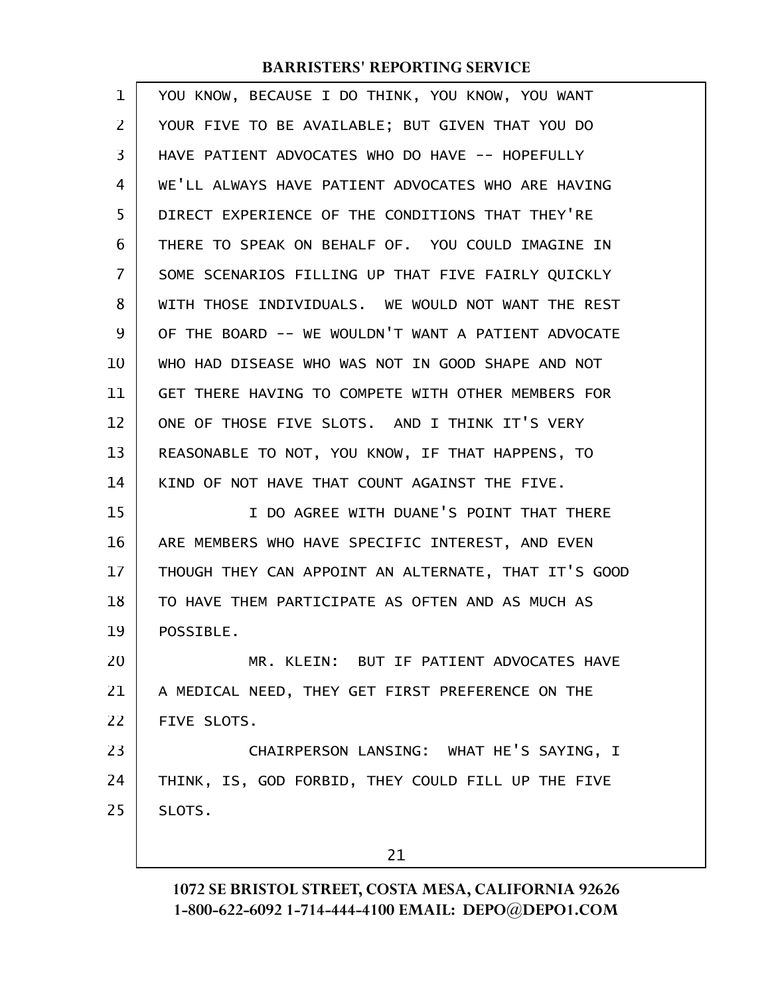| 1              | YOU KNOW, BECAUSE I DO THINK, YOU KNOW, YOU WANT     |  |
|----------------|------------------------------------------------------|--|
| $\overline{2}$ | YOUR FIVE TO BE AVAILABLE; BUT GIVEN THAT YOU DO     |  |
| 3              | HAVE PATIENT ADVOCATES WHO DO HAVE -- HOPEFULLY      |  |
| 4              | WE'LL ALWAYS HAVE PATIENT ADVOCATES WHO ARE HAVING   |  |
| 5              | DIRECT EXPERIENCE OF THE CONDITIONS THAT THEY'RE     |  |
| 6              | THERE TO SPEAK ON BEHALF OF. YOU COULD IMAGINE IN    |  |
| $\overline{7}$ | SOME SCENARIOS FILLING UP THAT FIVE FAIRLY QUICKLY   |  |
| 8              | WITH THOSE INDIVIDUALS. WE WOULD NOT WANT THE REST   |  |
| 9              | OF THE BOARD -- WE WOULDN'T WANT A PATIENT ADVOCATE  |  |
| 10             | WHO HAD DISEASE WHO WAS NOT IN GOOD SHAPE AND NOT    |  |
| 11             | GET THERE HAVING TO COMPETE WITH OTHER MEMBERS FOR   |  |
| 12             | ONE OF THOSE FIVE SLOTS. AND I THINK IT'S VERY       |  |
| 13             | REASONABLE TO NOT, YOU KNOW, IF THAT HAPPENS, TO     |  |
| 14             | KIND OF NOT HAVE THAT COUNT AGAINST THE FIVE.        |  |
| 15             | I DO AGREE WITH DUANE'S POINT THAT THERE             |  |
| 16             | ARE MEMBERS WHO HAVE SPECIFIC INTEREST, AND EVEN     |  |
| 17             | THOUGH THEY CAN APPOINT AN ALTERNATE, THAT IT'S GOOD |  |
| 18             | TO HAVE THEM PARTICIPATE AS OFTEN AND AS MUCH AS     |  |
| 19             | POSSIBLE.                                            |  |
| 20             | MR. KLEIN: BUT IF PATIENT ADVOCATES HAVE             |  |
| 21             | A MEDICAL NEED, THEY GET FIRST PREFERENCE ON THE     |  |
| 22             | FIVE SLOTS.                                          |  |
| 23             | CHAIRPERSON LANSING: WHAT HE'S SAYING, I             |  |
| 24             | THINK, IS, GOD FORBID, THEY COULD FILL UP THE FIVE   |  |
| 25             | SLOTS.                                               |  |
|                | 21                                                   |  |
|                |                                                      |  |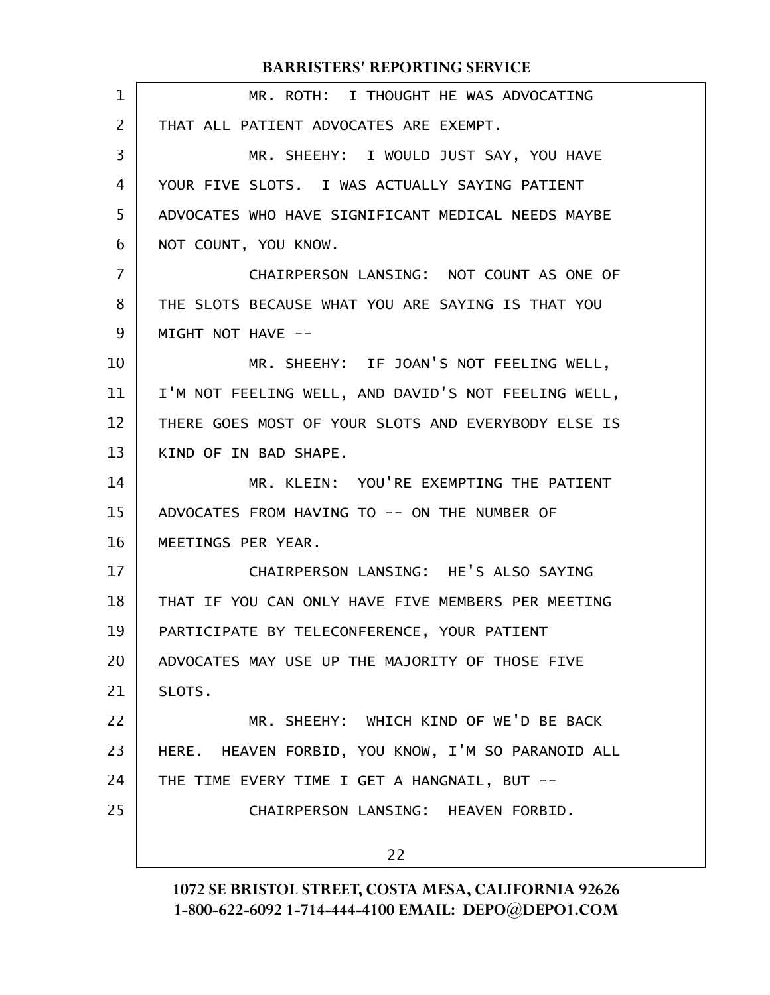| $\mathbf 1$    | MR. ROTH: I THOUGHT HE WAS ADVOCATING               |  |
|----------------|-----------------------------------------------------|--|
| 2              | THAT ALL PATIENT ADVOCATES ARE EXEMPT.              |  |
| 3              | MR. SHEEHY: I WOULD JUST SAY, YOU HAVE              |  |
| 4              | YOUR FIVE SLOTS. I WAS ACTUALLY SAYING PATIENT      |  |
| 5              | ADVOCATES WHO HAVE SIGNIFICANT MEDICAL NEEDS MAYBE  |  |
| 6              | NOT COUNT, YOU KNOW.                                |  |
| $\overline{7}$ | CHAIRPERSON LANSING: NOT COUNT AS ONE OF            |  |
| 8              | THE SLOTS BECAUSE WHAT YOU ARE SAYING IS THAT YOU   |  |
| 9              | MIGHT NOT HAVE --                                   |  |
| 10             | MR. SHEEHY: IF JOAN'S NOT FEELING WELL,             |  |
| 11             | I'M NOT FEELING WELL, AND DAVID'S NOT FEELING WELL, |  |
| 12             | THERE GOES MOST OF YOUR SLOTS AND EVERYBODY ELSE IS |  |
| 13             | KIND OF IN BAD SHAPE.                               |  |
| 14             | MR. KLEIN: YOU'RE EXEMPTING THE PATIENT             |  |
| 15             | ADVOCATES FROM HAVING TO -- ON THE NUMBER OF        |  |
| 16             | MEETINGS PER YEAR.                                  |  |
| 17             | CHAIRPERSON LANSING: HE'S ALSO SAYING               |  |
| 18             | THAT IF YOU CAN ONLY HAVE FIVE MEMBERS PER MEETING  |  |
| 19             | PARTICIPATE BY TELECONFERENCE, YOUR PATIENT         |  |
| 20             | ADVOCATES MAY USE UP THE MAJORITY OF THOSE FIVE     |  |
| 21             | SLOTS.                                              |  |
| 22             | MR. SHEEHY: WHICH KIND OF WE'D BE BACK              |  |
| 23             | HERE. HEAVEN FORBID, YOU KNOW, I'M SO PARANOID ALL  |  |
| 24             | THE TIME EVERY TIME I GET A HANGNAIL, BUT --        |  |
| 25             | CHAIRPERSON LANSING: HEAVEN FORBID.                 |  |
|                | 22                                                  |  |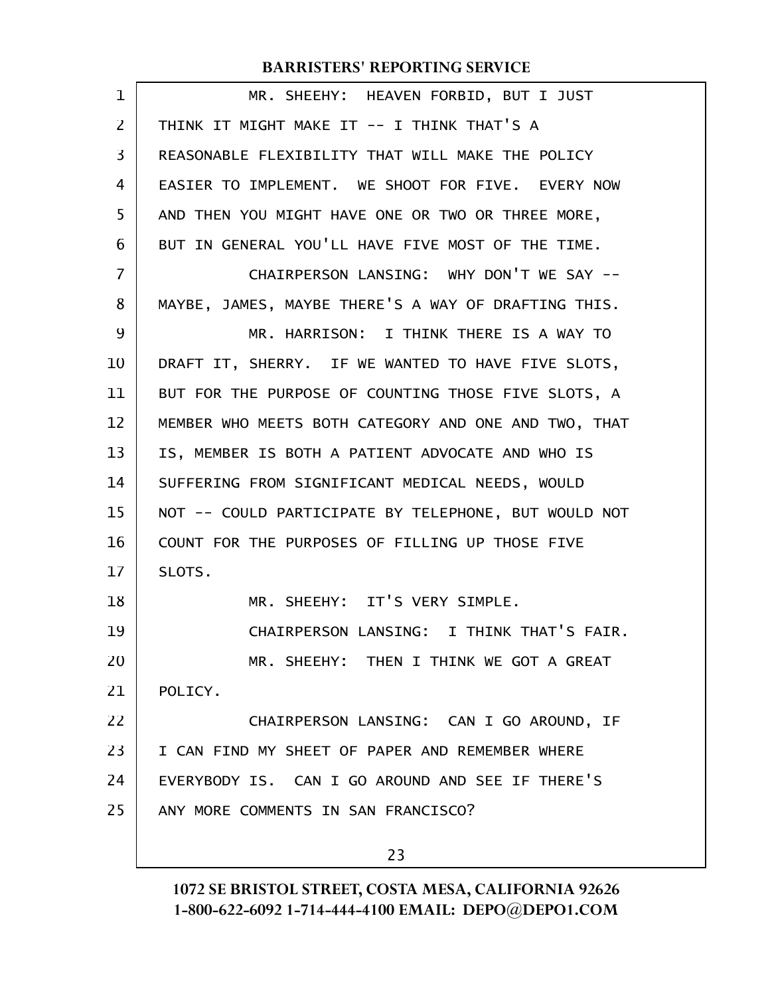| $\mathbf 1$    | MR. SHEEHY: HEAVEN FORBID, BUT I JUST                |  |
|----------------|------------------------------------------------------|--|
| $\overline{2}$ | THINK IT MIGHT MAKE IT -- I THINK THAT'S A           |  |
| 3              | REASONABLE FLEXIBILITY THAT WILL MAKE THE POLICY     |  |
| 4              | EASIER TO IMPLEMENT. WE SHOOT FOR FIVE. EVERY NOW    |  |
| 5              | AND THEN YOU MIGHT HAVE ONE OR TWO OR THREE MORE,    |  |
| 6              | BUT IN GENERAL YOU'LL HAVE FIVE MOST OF THE TIME.    |  |
| $\overline{7}$ | CHAIRPERSON LANSING: WHY DON'T WE SAY --             |  |
| 8              | MAYBE, JAMES, MAYBE THERE'S A WAY OF DRAFTING THIS.  |  |
| 9              | MR. HARRISON: I THINK THERE IS A WAY TO              |  |
| 10             | DRAFT IT, SHERRY. IF WE WANTED TO HAVE FIVE SLOTS,   |  |
| 11             | BUT FOR THE PURPOSE OF COUNTING THOSE FIVE SLOTS, A  |  |
| 12             | MEMBER WHO MEETS BOTH CATEGORY AND ONE AND TWO, THAT |  |
| 13             | IS, MEMBER IS BOTH A PATIENT ADVOCATE AND WHO IS     |  |
| 14             | SUFFERING FROM SIGNIFICANT MEDICAL NEEDS, WOULD      |  |
| 15             | NOT -- COULD PARTICIPATE BY TELEPHONE, BUT WOULD NOT |  |
| 16             | COUNT FOR THE PURPOSES OF FILLING UP THOSE FIVE      |  |
| 17             | SLOTS.                                               |  |
| 18             | MR. SHEEHY: IT'S VERY SIMPLE.                        |  |
| 19             | CHAIRPERSON LANSING: I THINK THAT'S FAIR.            |  |
| 20             | MR. SHEEHY: THEN I THINK WE GOT A GREAT              |  |
| 21             | POLICY.                                              |  |
| 22             | CHAIRPERSON LANSING: CAN I GO AROUND, IF             |  |
| 23             | I CAN FIND MY SHEET OF PAPER AND REMEMBER WHERE      |  |
| 24             | EVERYBODY IS. CAN I GO AROUND AND SEE IF THERE'S     |  |
| 25             | ANY MORE COMMENTS IN SAN FRANCISCO?                  |  |
|                |                                                      |  |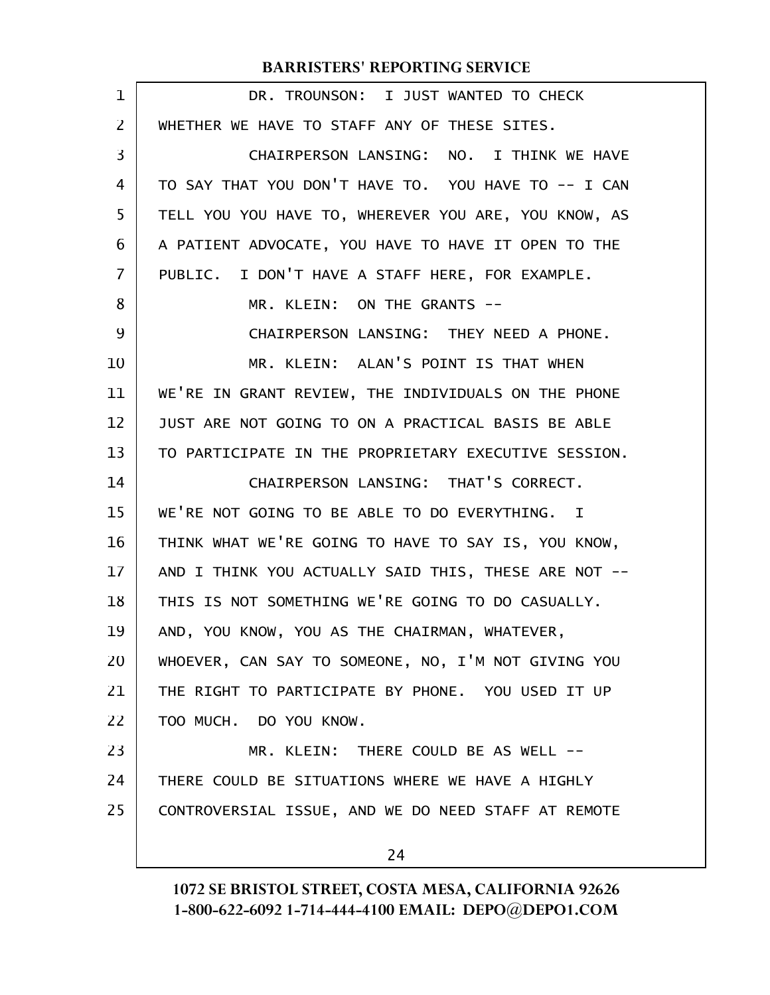| $\mathbf 1$    | DR. TROUNSON: I JUST WANTED TO CHECK                 |  |
|----------------|------------------------------------------------------|--|
| $\overline{2}$ | WHETHER WE HAVE TO STAFF ANY OF THESE SITES.         |  |
| 3              | CHAIRPERSON LANSING: NO. I THINK WE HAVE             |  |
| 4              | TO SAY THAT YOU DON'T HAVE TO. YOU HAVE TO -- I CAN  |  |
| 5              | TELL YOU YOU HAVE TO, WHEREVER YOU ARE, YOU KNOW, AS |  |
| 6              | A PATIENT ADVOCATE, YOU HAVE TO HAVE IT OPEN TO THE  |  |
| 7              | PUBLIC. I DON'T HAVE A STAFF HERE, FOR EXAMPLE.      |  |
| 8              | MR. KLEIN: ON THE GRANTS --                          |  |
| 9              | CHAIRPERSON LANSING: THEY NEED A PHONE.              |  |
| 10             | MR. KLEIN: ALAN'S POINT IS THAT WHEN                 |  |
| 11             | WE'RE IN GRANT REVIEW, THE INDIVIDUALS ON THE PHONE  |  |
| 12             | JUST ARE NOT GOING TO ON A PRACTICAL BASIS BE ABLE   |  |
| 13             | TO PARTICIPATE IN THE PROPRIETARY EXECUTIVE SESSION. |  |
| 14             | CHAIRPERSON LANSING: THAT'S CORRECT.                 |  |
| 15             | WE'RE NOT GOING TO BE ABLE TO DO EVERYTHING. I       |  |
| 16             | THINK WHAT WE'RE GOING TO HAVE TO SAY IS, YOU KNOW,  |  |
| 17             | AND I THINK YOU ACTUALLY SAID THIS, THESE ARE NOT -- |  |
| 18             | THIS IS NOT SOMETHING WE'RE GOING TO DO CASUALLY.    |  |
| 19             | AND, YOU KNOW, YOU AS THE CHAIRMAN, WHATEVER,        |  |
| 20             | WHOEVER, CAN SAY TO SOMEONE, NO, I'M NOT GIVING YOU  |  |
| 21             | THE RIGHT TO PARTICIPATE BY PHONE. YOU USED IT UP    |  |
| 22             | TOO MUCH. DO YOU KNOW.                               |  |
| 23             | MR. KLEIN: THERE COULD BE AS WELL --                 |  |
| 24             | THERE COULD BE SITUATIONS WHERE WE HAVE A HIGHLY     |  |
| 25             | CONTROVERSIAL ISSUE, AND WE DO NEED STAFF AT REMOTE  |  |
|                | 24                                                   |  |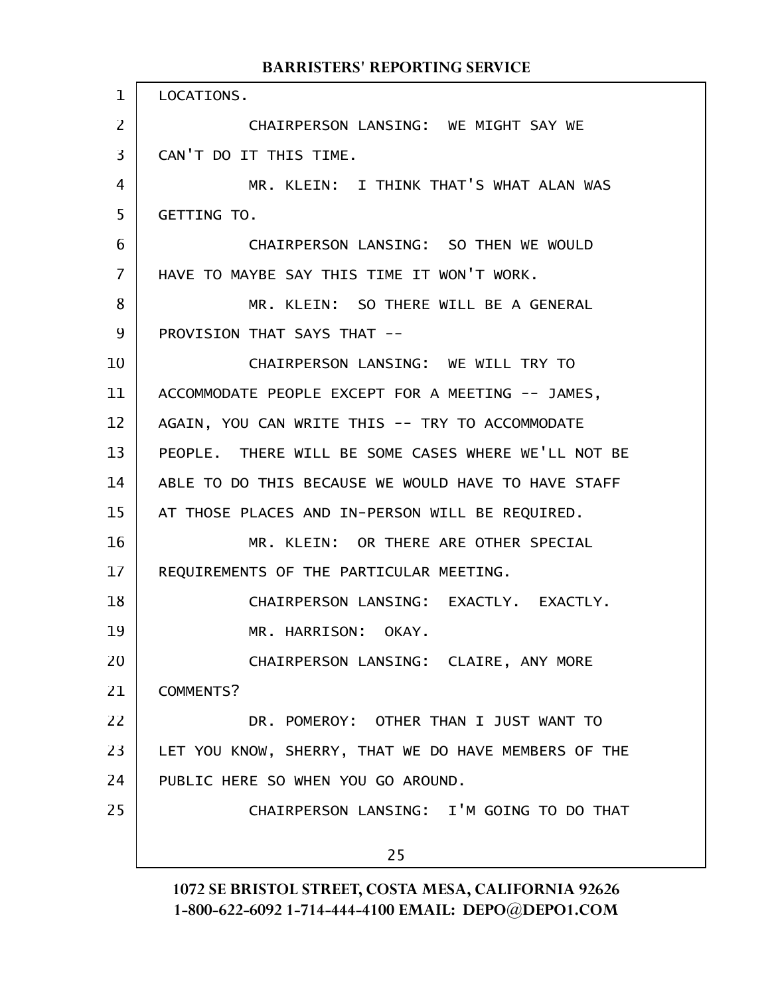LOCATIONS. CHAIRPERSON LANSING: WE MIGHT SAY WE CAN'T DO IT THIS TIME. MR. KLEIN: I THINK THAT'S WHAT ALAN WAS GETTING TO. CHAIRPERSON LANSING: SO THEN WE WOULD HAVE TO MAYBE SAY THIS TIME IT WON'T WORK. MR. KLEIN: SO THERE WILL BE A GENERAL PROVISION THAT SAYS THAT -- CHAIRPERSON LANSING: WE WILL TRY TO ACCOMMODATE PEOPLE EXCEPT FOR A MEETING -- JAMES, AGAIN, YOU CAN WRITE THIS -- TRY TO ACCOMMODATE PEOPLE. THERE WILL BE SOME CASES WHERE WE'LL NOT BE ABLE TO DO THIS BECAUSE WE WOULD HAVE TO HAVE STAFF AT THOSE PLACES AND IN-PERSON WILL BE REQUIRED. MR. KLEIN: OR THERE ARE OTHER SPECIAL REQUIREMENTS OF THE PARTICULAR MEETING. CHAIRPERSON LANSING: EXACTLY. EXACTLY. MR. HARRISON: OKAY. CHAIRPERSON LANSING: CLAIRE, ANY MORE COMMENTS? DR. POMEROY: OTHER THAN I JUST WANT TO LET YOU KNOW, SHERRY, THAT WE DO HAVE MEMBERS OF THE PUBLIC HERE SO WHEN YOU GO AROUND. CHAIRPERSON LANSING: I'M GOING TO DO THAT 25 1 2 3 4 5 6 7 8 9 10 11 12 13 14 15 16 17 18 19 20 21 22 23 24 25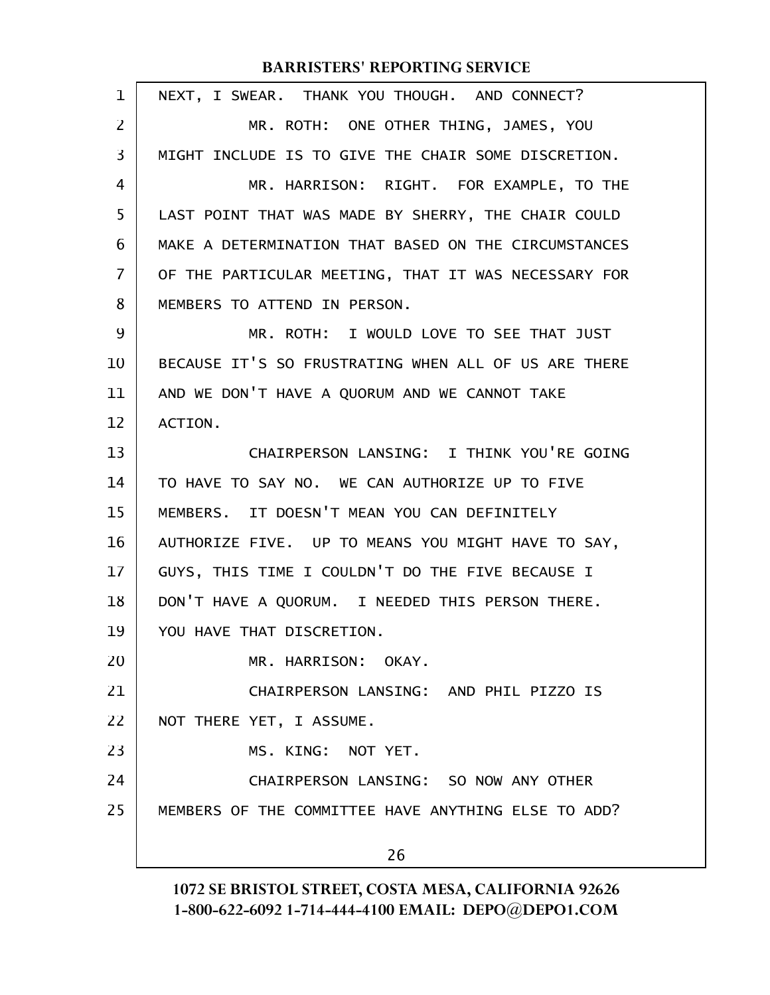| 1              | NEXT, I SWEAR. THANK YOU THOUGH. AND CONNECT?        |  |
|----------------|------------------------------------------------------|--|
| 2              | MR. ROTH: ONE OTHER THING, JAMES, YOU                |  |
| 3              | MIGHT INCLUDE IS TO GIVE THE CHAIR SOME DISCRETION.  |  |
| 4              | MR. HARRISON: RIGHT. FOR EXAMPLE, TO THE             |  |
| 5              | LAST POINT THAT WAS MADE BY SHERRY, THE CHAIR COULD  |  |
| 6              | MAKE A DETERMINATION THAT BASED ON THE CIRCUMSTANCES |  |
| $\overline{7}$ | OF THE PARTICULAR MEETING, THAT IT WAS NECESSARY FOR |  |
| 8              | MEMBERS TO ATTEND IN PERSON.                         |  |
| 9              | MR. ROTH: I WOULD LOVE TO SEE THAT JUST              |  |
| 10             | BECAUSE IT'S SO FRUSTRATING WHEN ALL OF US ARE THERE |  |
| 11             | AND WE DON'T HAVE A QUORUM AND WE CANNOT TAKE        |  |
| 12             | ACTION.                                              |  |
| 13             | CHAIRPERSON LANSING: I THINK YOU'RE GOING            |  |
| 14             | TO HAVE TO SAY NO. WE CAN AUTHORIZE UP TO FIVE       |  |
| 15             | MEMBERS. IT DOESN'T MEAN YOU CAN DEFINITELY          |  |
| 16             | AUTHORIZE FIVE. UP TO MEANS YOU MIGHT HAVE TO SAY,   |  |
| 17             | GUYS, THIS TIME I COULDN'T DO THE FIVE BECAUSE I     |  |
| 18             | DON'T HAVE A QUORUM. I NEEDED THIS PERSON THERE.     |  |
| 19             | YOU HAVE THAT DISCRETION.                            |  |
| 20             | MR. HARRISON: OKAY.                                  |  |
| 21             | CHAIRPERSON LANSING: AND PHIL PIZZO IS               |  |
| 22             | NOT THERE YET, I ASSUME.                             |  |
| 23             | MS. KING: NOT YET.                                   |  |
| 24             | CHAIRPERSON LANSING: SO NOW ANY OTHER                |  |
| 25             | MEMBERS OF THE COMMITTEE HAVE ANYTHING ELSE TO ADD?  |  |
|                | 26                                                   |  |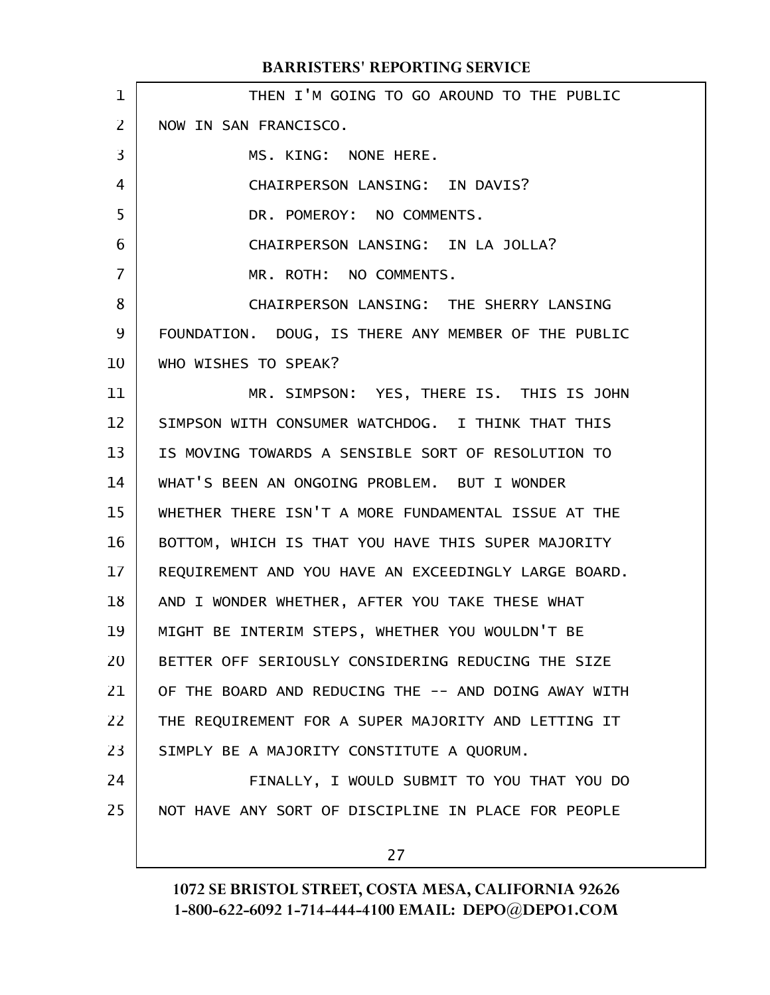|  | <b>BARRISTERS' REPORTING SERVICE</b> |
|--|--------------------------------------|
|--|--------------------------------------|

| 1              | THEN I'M GOING TO GO AROUND TO THE PUBLIC            |
|----------------|------------------------------------------------------|
| $\overline{2}$ | NOW IN SAN FRANCISCO.                                |
| 3              | MS. KING: NONE HERE.                                 |
| 4              | CHAIRPERSON LANSING: IN DAVIS?                       |
| 5              | DR. POMEROY: NO COMMENTS.                            |
| 6              | CHAIRPERSON LANSING: IN LA JOLLA?                    |
| $\overline{7}$ | MR. ROTH: NO COMMENTS.                               |
| 8              | CHAIRPERSON LANSING: THE SHERRY LANSING              |
| 9              | FOUNDATION. DOUG, IS THERE ANY MEMBER OF THE PUBLIC  |
| 10             | WHO WISHES TO SPEAK?                                 |
| 11             | MR. SIMPSON: YES, THERE IS. THIS IS JOHN             |
| 12             | SIMPSON WITH CONSUMER WATCHDOG. I THINK THAT THIS    |
| 13             | IS MOVING TOWARDS A SENSIBLE SORT OF RESOLUTION TO   |
| 14             | WHAT'S BEEN AN ONGOING PROBLEM. BUT I WONDER         |
| 15             | WHETHER THERE ISN'T A MORE FUNDAMENTAL ISSUE AT THE  |
| 16             | BOTTOM, WHICH IS THAT YOU HAVE THIS SUPER MAJORITY   |
| $17 \,$        | REQUIREMENT AND YOU HAVE AN EXCEEDINGLY LARGE BOARD. |
| 18             | AND I WONDER WHETHER, AFTER YOU TAKE THESE WHAT      |
| 19             | MIGHT BE INTERIM STEPS, WHETHER YOU WOULDN'T BE      |
| 20             | BETTER OFF SERIOUSLY CONSIDERING REDUCING THE SIZE   |
| 21             | OF THE BOARD AND REDUCING THE -- AND DOING AWAY WITH |
| 22             | THE REQUIREMENT FOR A SUPER MAJORITY AND LETTING IT  |
| 23             | SIMPLY BE A MAJORITY CONSTITUTE A QUORUM.            |
| 24             | FINALLY, I WOULD SUBMIT TO YOU THAT YOU DO           |
| 25             | NOT HAVE ANY SORT OF DISCIPLINE IN PLACE FOR PEOPLE  |
|                | 27                                                   |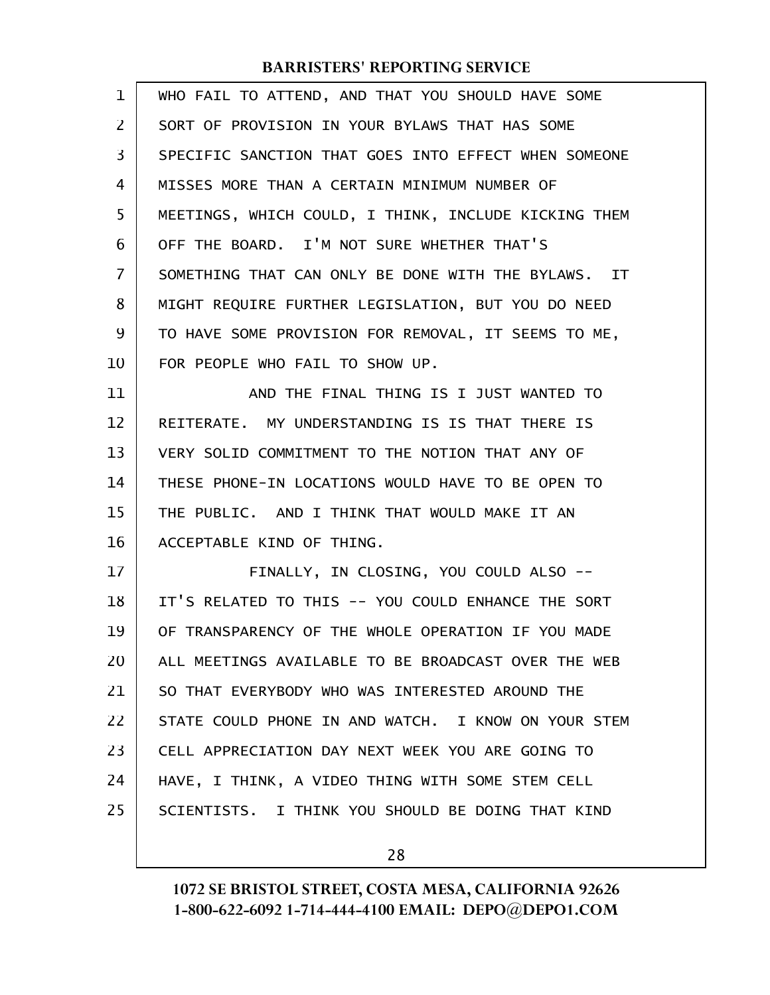| $\mathbf{1}$      | WHO FAIL TO ATTEND, AND THAT YOU SHOULD HAVE SOME    |
|-------------------|------------------------------------------------------|
| $\overline{2}$    | SORT OF PROVISION IN YOUR BYLAWS THAT HAS SOME       |
| 3                 | SPECIFIC SANCTION THAT GOES INTO EFFECT WHEN SOMEONE |
| 4                 | MISSES MORE THAN A CERTAIN MINIMUM NUMBER OF         |
| 5                 | MEETINGS, WHICH COULD, I THINK, INCLUDE KICKING THEM |
| 6                 | OFF THE BOARD. I'M NOT SURE WHETHER THAT'S           |
| 7                 | SOMETHING THAT CAN ONLY BE DONE WITH THE BYLAWS. IT  |
| 8                 | MIGHT REQUIRE FURTHER LEGISLATION, BUT YOU DO NEED   |
| 9                 | TO HAVE SOME PROVISION FOR REMOVAL, IT SEEMS TO ME,  |
| 10                | FOR PEOPLE WHO FAIL TO SHOW UP.                      |
| 11                | AND THE FINAL THING IS I JUST WANTED TO              |
| $12 \overline{ }$ | REITERATE. MY UNDERSTANDING IS IS THAT THERE IS      |
| 13                | VERY SOLID COMMITMENT TO THE NOTION THAT ANY OF      |
| 14                | THESE PHONE-IN LOCATIONS WOULD HAVE TO BE OPEN TO    |
| 15                | THE PUBLIC. AND I THINK THAT WOULD MAKE IT AN        |
| 16                | ACCEPTABLE KIND OF THING.                            |
| 17                | FINALLY, IN CLOSING, YOU COULD ALSO --               |
| 18                | IT'S RELATED TO THIS -- YOU COULD ENHANCE THE SORT   |
| 19                | OF TRANSPARENCY OF THE WHOLE OPERATION IF YOU MADE   |
| 20                | ALL MEETINGS AVAILABLE TO BE BROADCAST OVER THE WEB  |
| 21                | SO THAT EVERYBODY WHO WAS INTERESTED AROUND THE      |
| 22                | STATE COULD PHONE IN AND WATCH. I KNOW ON YOUR STEM  |
| 23                | CELL APPRECIATION DAY NEXT WEEK YOU ARE GOING TO     |
| 24                | HAVE, I THINK, A VIDEO THING WITH SOME STEM CELL     |
| 25                | SCIENTISTS. I THINK YOU SHOULD BE DOING THAT KIND    |
|                   |                                                      |

28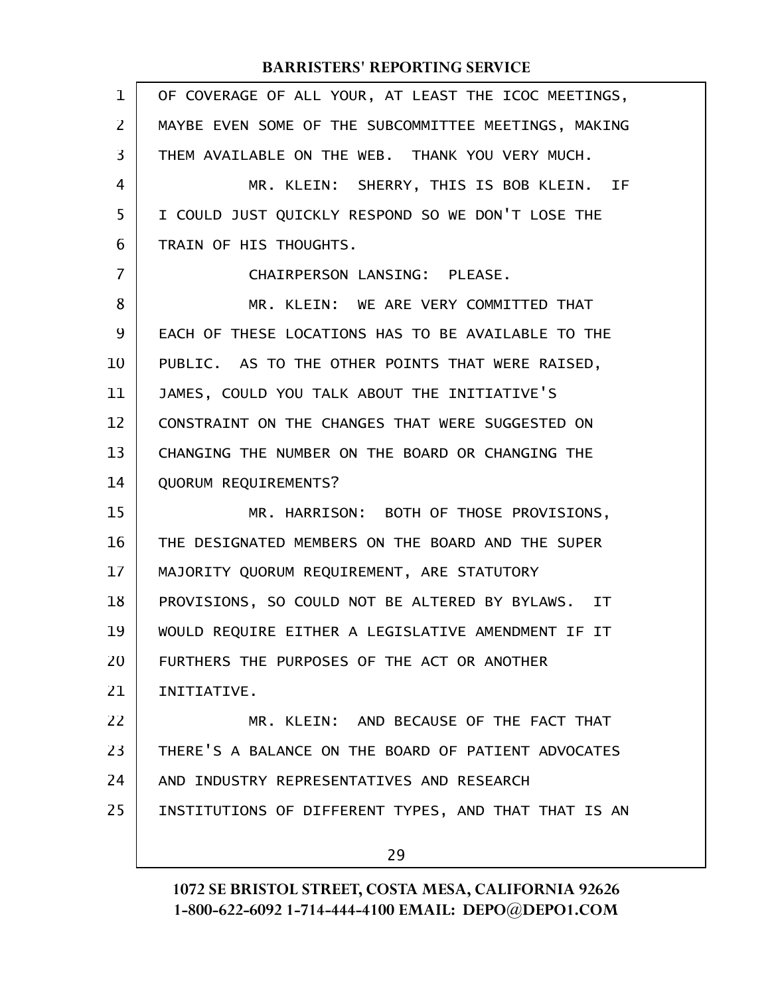| $\mathbf{1}$   | OF COVERAGE OF ALL YOUR, AT LEAST THE ICOC MEETINGS, |
|----------------|------------------------------------------------------|
| $\overline{2}$ | MAYBE EVEN SOME OF THE SUBCOMMITTEE MEETINGS, MAKING |
| 3              | THEM AVAILABLE ON THE WEB. THANK YOU VERY MUCH.      |
| 4              | MR. KLEIN: SHERRY, THIS IS BOB KLEIN. IF             |
| 5              | I COULD JUST QUICKLY RESPOND SO WE DON'T LOSE THE    |
| 6              | TRAIN OF HIS THOUGHTS.                               |
| $\overline{7}$ | CHAIRPERSON LANSING: PLEASE.                         |
| 8              | MR. KLEIN: WE ARE VERY COMMITTED THAT                |
| 9              | EACH OF THESE LOCATIONS HAS TO BE AVAILABLE TO THE   |
| 10             | PUBLIC. AS TO THE OTHER POINTS THAT WERE RAISED,     |
| 11             | JAMES, COULD YOU TALK ABOUT THE INITIATIVE'S         |
| 12             | CONSTRAINT ON THE CHANGES THAT WERE SUGGESTED ON     |
| 13             | CHANGING THE NUMBER ON THE BOARD OR CHANGING THE     |
| 14             | QUORUM REQUIREMENTS?                                 |
| 15             | MR. HARRISON: BOTH OF THOSE PROVISIONS,              |
| 16             | THE DESIGNATED MEMBERS ON THE BOARD AND THE SUPER    |
| 17             | MAJORITY QUORUM REQUIREMENT, ARE STATUTORY           |
| 18             | PROVISIONS, SO COULD NOT BE ALTERED BY BYLAWS. IT    |
| 19             | WOULD REQUIRE EITHER A LEGISLATIVE AMENDMENT IF IT   |
| 20             | FURTHERS THE PURPOSES OF THE ACT OR ANOTHER          |
| 21             | INITIATIVE.                                          |
| 22             | MR. KLEIN: AND BECAUSE OF THE FACT THAT              |
| 23             | THERE'S A BALANCE ON THE BOARD OF PATIENT ADVOCATES  |
| 24             | AND INDUSTRY REPRESENTATIVES AND RESEARCH            |
| 25             | INSTITUTIONS OF DIFFERENT TYPES, AND THAT THAT IS AN |
|                | 29                                                   |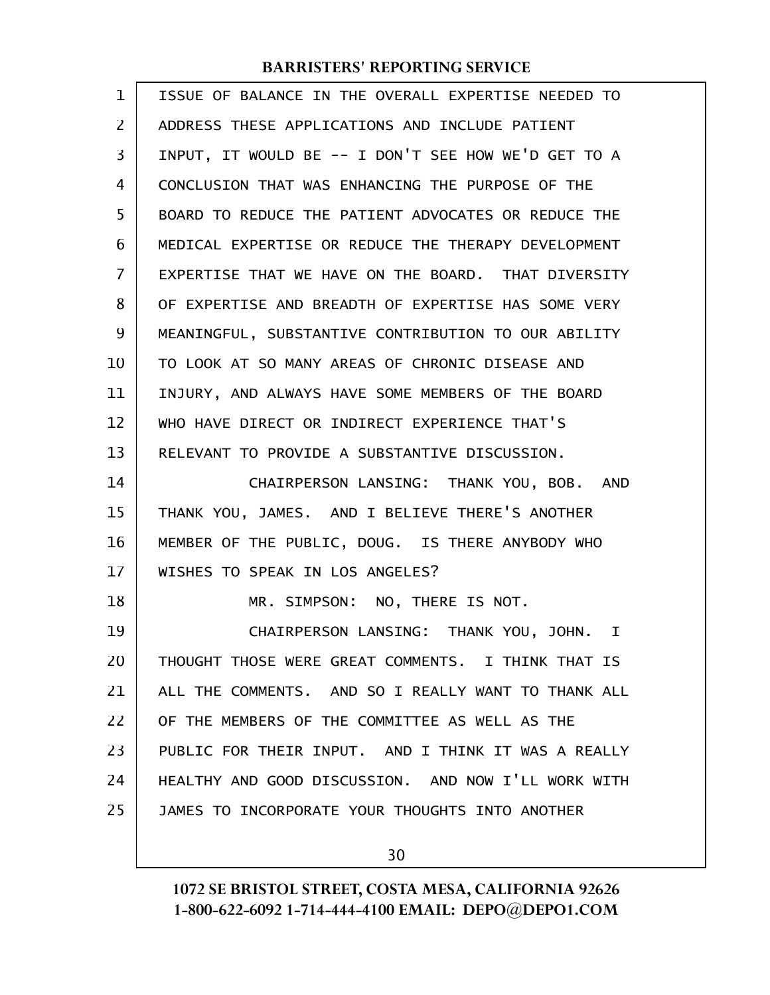| 1              | ISSUE OF BALANCE IN THE OVERALL EXPERTISE NEEDED TO |
|----------------|-----------------------------------------------------|
| $\overline{2}$ | ADDRESS THESE APPLICATIONS AND INCLUDE PATIENT      |
| 3              | INPUT, IT WOULD BE -- I DON'T SEE HOW WE'D GET TO A |
| 4              | CONCLUSION THAT WAS ENHANCING THE PURPOSE OF THE    |
| 5              | BOARD TO REDUCE THE PATIENT ADVOCATES OR REDUCE THE |
| 6              | MEDICAL EXPERTISE OR REDUCE THE THERAPY DEVELOPMENT |
| 7              | EXPERTISE THAT WE HAVE ON THE BOARD. THAT DIVERSITY |
| 8              | OF EXPERTISE AND BREADTH OF EXPERTISE HAS SOME VERY |
| 9              | MEANINGFUL, SUBSTANTIVE CONTRIBUTION TO OUR ABILITY |
| 10             | TO LOOK AT SO MANY AREAS OF CHRONIC DISEASE AND     |
| 11             | INJURY, AND ALWAYS HAVE SOME MEMBERS OF THE BOARD   |
| 12             | WHO HAVE DIRECT OR INDIRECT EXPERIENCE THAT'S       |
| 13             | RELEVANT TO PROVIDE A SUBSTANTIVE DISCUSSION.       |
| 14             | CHAIRPERSON LANSING: THANK YOU, BOB. AND            |
| 15             | THANK YOU, JAMES. AND I BELIEVE THERE'S ANOTHER     |
| 16             | MEMBER OF THE PUBLIC, DOUG. IS THERE ANYBODY WHO    |
| 17             | WISHES TO SPEAK IN LOS ANGELES?                     |
| 18             | MR. SIMPSON: NO, THERE IS NOT.                      |
| 19             | CHAIRPERSON LANSING: THANK YOU, JOHN. I             |
| 20             | THOUGHT THOSE WERE GREAT COMMENTS. I THINK THAT IS  |
| 21             | ALL THE COMMENTS. AND SO I REALLY WANT TO THANK ALL |
| 22             | OF THE MEMBERS OF THE COMMITTEE AS WELL AS THE      |
| 23             | PUBLIC FOR THEIR INPUT. AND I THINK IT WAS A REALLY |
| 24             | HEALTHY AND GOOD DISCUSSION. AND NOW I'LL WORK WITH |
| 25             | JAMES TO INCORPORATE YOUR THOUGHTS INTO ANOTHER     |
|                |                                                     |

30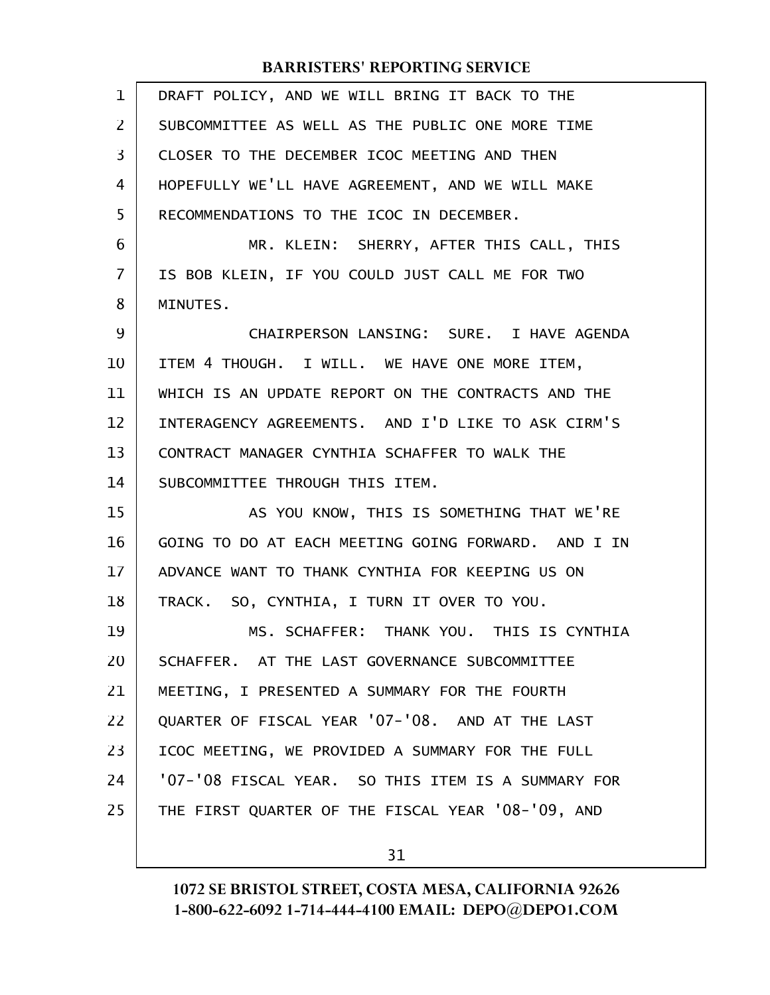| 1  | DRAFT POLICY, AND WE WILL BRING IT BACK TO THE      |
|----|-----------------------------------------------------|
| 2  | SUBCOMMITTEE AS WELL AS THE PUBLIC ONE MORE TIME    |
| 3  | CLOSER TO THE DECEMBER ICOC MEETING AND THEN        |
| 4  | HOPEFULLY WE'LL HAVE AGREEMENT, AND WE WILL MAKE    |
| 5  | RECOMMENDATIONS TO THE ICOC IN DECEMBER.            |
| 6  | MR. KLEIN: SHERRY, AFTER THIS CALL, THIS            |
| 7  | IS BOB KLEIN, IF YOU COULD JUST CALL ME FOR TWO     |
| 8  | MINUTES.                                            |
| 9  | CHAIRPERSON LANSING: SURE. I HAVE AGENDA            |
| 10 | ITEM 4 THOUGH. I WILL. WE HAVE ONE MORE ITEM,       |
| 11 | WHICH IS AN UPDATE REPORT ON THE CONTRACTS AND THE  |
| 12 | INTERAGENCY AGREEMENTS. AND I'D LIKE TO ASK CIRM'S  |
| 13 | CONTRACT MANAGER CYNTHIA SCHAFFER TO WALK THE       |
| 14 | SUBCOMMITTEE THROUGH THIS ITEM.                     |
| 15 | AS YOU KNOW, THIS IS SOMETHING THAT WE'RE           |
| 16 | GOING TO DO AT EACH MEETING GOING FORWARD. AND I IN |
| 17 | ADVANCE WANT TO THANK CYNTHIA FOR KEEPING US ON     |
| 18 | TRACK. SO, CYNTHIA, I TURN IT OVER TO YOU.          |
| 19 | MS. SCHAFFER: THANK YOU. THIS IS CYNTHIA            |
| 20 | SCHAFFER. AT THE LAST GOVERNANCE SUBCOMMITTEE       |
| 21 | MEETING, I PRESENTED A SUMMARY FOR THE FOURTH       |
| 22 | QUARTER OF FISCAL YEAR '07-'08. AND AT THE LAST     |
| 23 | ICOC MEETING, WE PROVIDED A SUMMARY FOR THE FULL    |
| 24 | '07-'08 FISCAL YEAR. SO THIS ITEM IS A SUMMARY FOR  |
| 25 | THE FIRST QUARTER OF THE FISCAL YEAR '08-'09, AND   |
|    |                                                     |

31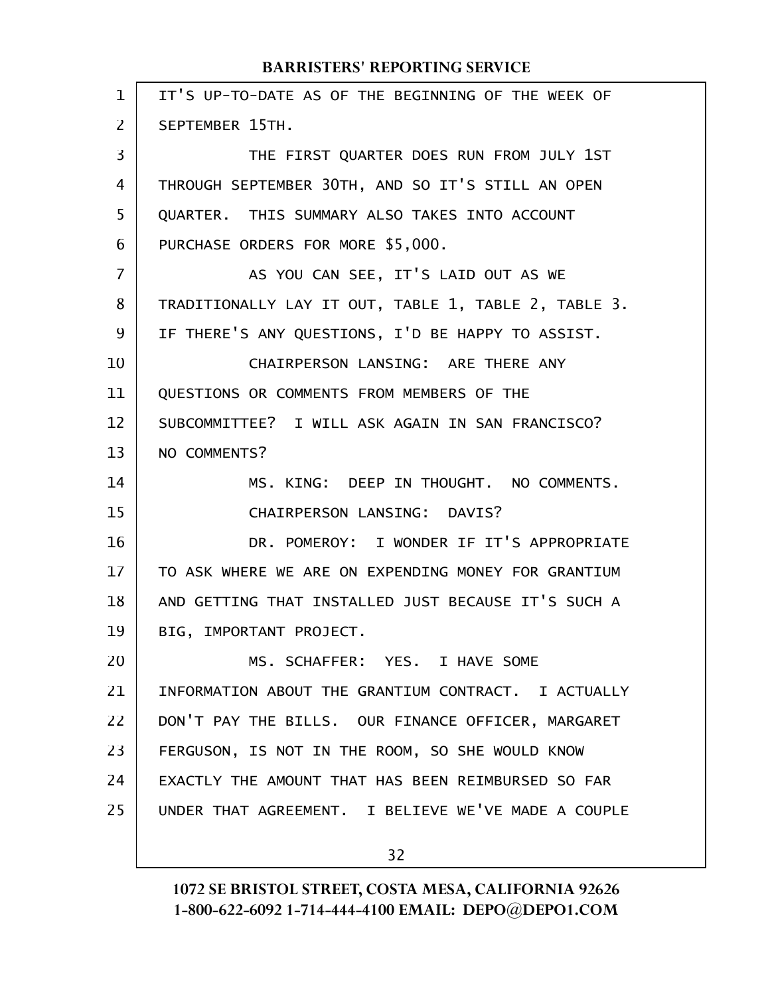| $\mathbf 1$ | IT'S UP-TO-DATE AS OF THE BEGINNING OF THE WEEK OF   |
|-------------|------------------------------------------------------|
| 2           | SEPTEMBER 15TH.                                      |
| 3           | THE FIRST QUARTER DOES RUN FROM JULY 1ST             |
| 4           | THROUGH SEPTEMBER 30TH, AND SO IT'S STILL AN OPEN    |
| 5           | QUARTER. THIS SUMMARY ALSO TAKES INTO ACCOUNT        |
| 6           | PURCHASE ORDERS FOR MORE \$5,000.                    |
| 7           | AS YOU CAN SEE, IT'S LAID OUT AS WE                  |
| 8           | TRADITIONALLY LAY IT OUT, TABLE 1, TABLE 2, TABLE 3. |
| 9           | IF THERE'S ANY QUESTIONS, I'D BE HAPPY TO ASSIST.    |
| 10          | CHAIRPERSON LANSING: ARE THERE ANY                   |
| 11          | QUESTIONS OR COMMENTS FROM MEMBERS OF THE            |
| 12          | SUBCOMMITTEE? I WILL ASK AGAIN IN SAN FRANCISCO?     |
| 13          | NO COMMENTS?                                         |
| 14          | MS. KING: DEEP IN THOUGHT. NO COMMENTS.              |
| 15          | CHAIRPERSON LANSING: DAVIS?                          |
| 16          | DR. POMEROY: I WONDER IF IT'S APPROPRIATE            |
| 17          | TO ASK WHERE WE ARE ON EXPENDING MONEY FOR GRANTIUM  |
| 18          | AND GETTING THAT INSTALLED JUST BECAUSE IT'S SUCH A  |
| 19          | BIG, IMPORTANT PROJECT.                              |
| 20          | MS. SCHAFFER: YES. I HAVE SOME                       |
| 21          | INFORMATION ABOUT THE GRANTIUM CONTRACT. I ACTUALLY  |
| 22          | DON'T PAY THE BILLS. OUR FINANCE OFFICER, MARGARET   |
| 23          | FERGUSON, IS NOT IN THE ROOM, SO SHE WOULD KNOW      |
| 24          | EXACTLY THE AMOUNT THAT HAS BEEN REIMBURSED SO FAR   |
| 25          | UNDER THAT AGREEMENT. I BELIEVE WE'VE MADE A COUPLE  |
|             |                                                      |

32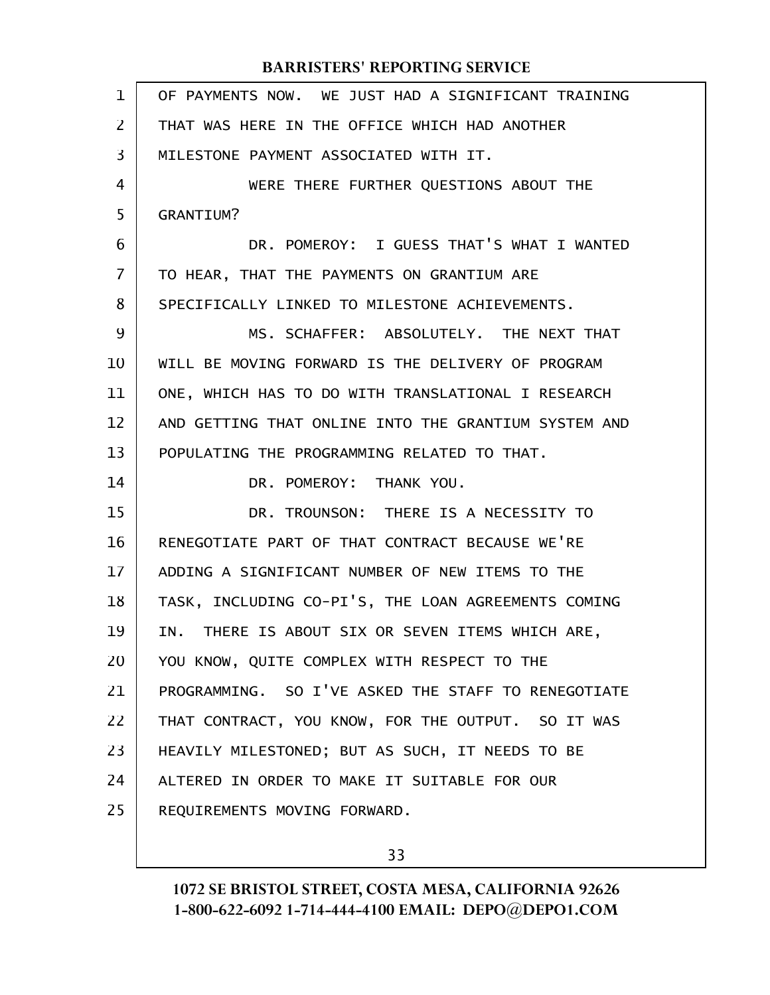| 1              | OF PAYMENTS NOW. WE JUST HAD A SIGNIFICANT TRAINING  |
|----------------|------------------------------------------------------|
| 2              | THAT WAS HERE IN THE OFFICE WHICH HAD ANOTHER        |
| 3              | MILESTONE PAYMENT ASSOCIATED WITH IT.                |
| 4              | WERE THERE FURTHER QUESTIONS ABOUT THE               |
| 5              | <b>GRANTIUM?</b>                                     |
| 6              | DR. POMEROY: I GUESS THAT'S WHAT I WANTED            |
| $\overline{7}$ | TO HEAR, THAT THE PAYMENTS ON GRANTIUM ARE           |
| 8              | SPECIFICALLY LINKED TO MILESTONE ACHIEVEMENTS.       |
| 9              | MS. SCHAFFER: ABSOLUTELY. THE NEXT THAT              |
| 10             | WILL BE MOVING FORWARD IS THE DELIVERY OF PROGRAM    |
| 11             | ONE, WHICH HAS TO DO WITH TRANSLATIONAL I RESEARCH   |
| 12             | AND GETTING THAT ONLINE INTO THE GRANTIUM SYSTEM AND |
| 13             | POPULATING THE PROGRAMMING RELATED TO THAT.          |
| 14             | DR. POMEROY: THANK YOU.                              |
| 15             | DR. TROUNSON: THERE IS A NECESSITY TO                |
| 16             | RENEGOTIATE PART OF THAT CONTRACT BECAUSE WE'RE      |
| 17             | ADDING A SIGNIFICANT NUMBER OF NEW ITEMS TO THE      |
| 18             | TASK, INCLUDING CO-PI'S, THE LOAN AGREEMENTS COMING  |
| 19             | IN. THERE IS ABOUT SIX OR SEVEN ITEMS WHICH ARE,     |
| 20             | YOU KNOW, QUITE COMPLEX WITH RESPECT TO THE          |
| 21             | PROGRAMMING. SO I'VE ASKED THE STAFF TO RENEGOTIATE  |
| 22             | THAT CONTRACT, YOU KNOW, FOR THE OUTPUT. SO IT WAS   |
| 23             | HEAVILY MILESTONED; BUT AS SUCH, IT NEEDS TO BE      |
| 24             | ALTERED IN ORDER TO MAKE IT SUITABLE FOR OUR         |
| 25             | REQUIREMENTS MOVING FORWARD.                         |
|                |                                                      |

33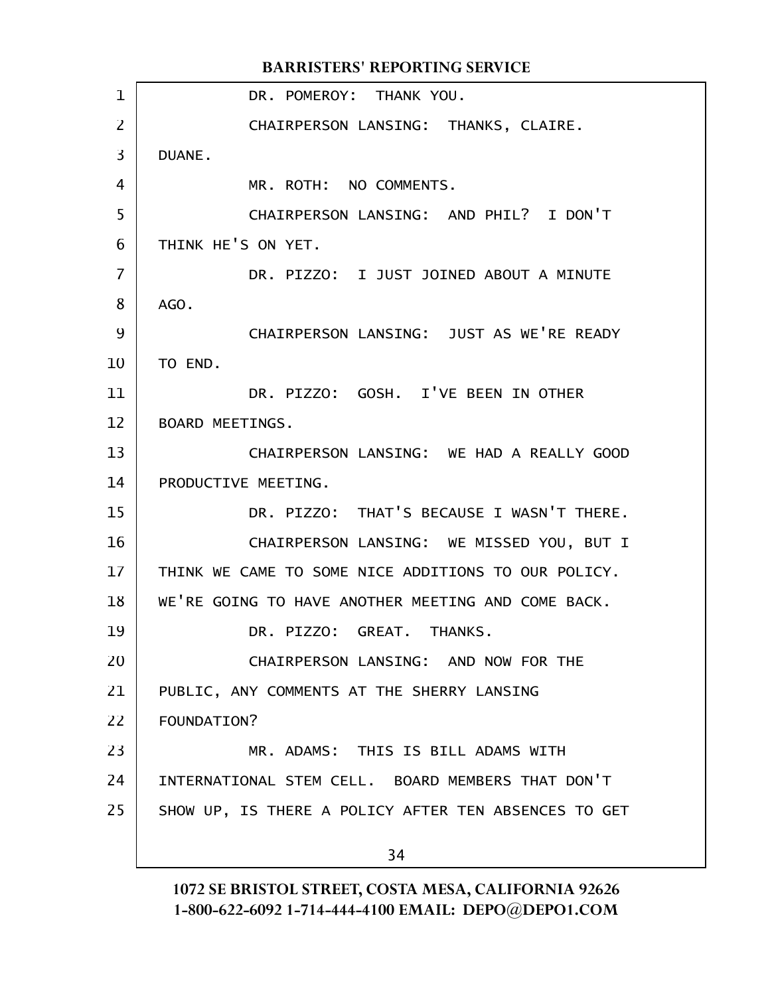DR. POMEROY: THANK YOU. CHAIRPERSON LANSING: THANKS, CLAIRE. DUANE. MR. ROTH: NO COMMENTS. CHAIRPERSON LANSING: AND PHIL? I DON'T THINK HE'S ON YET. DR. PIZZO: I JUST JOINED ABOUT A MINUTE AGO. CHAIRPERSON LANSING: JUST AS WE'RE READY TO END. DR. PIZZO: GOSH. I'VE BEEN IN OTHER BOARD MEETINGS. CHAIRPERSON LANSING: WE HAD A REALLY GOOD PRODUCTIVE MEETING. DR. PIZZO: THAT'S BECAUSE I WASN'T THERE. CHAIRPERSON LANSING: WE MISSED YOU, BUT I THINK WE CAME TO SOME NICE ADDITIONS TO OUR POLICY. WE'RE GOING TO HAVE ANOTHER MEETING AND COME BACK. DR. PIZZO: GREAT. THANKS. CHAIRPERSON LANSING: AND NOW FOR THE PUBLIC, ANY COMMENTS AT THE SHERRY LANSING FOUNDATION? MR. ADAMS: THIS IS BILL ADAMS WITH INTERNATIONAL STEM CELL. BOARD MEMBERS THAT DON'T SHOW UP, IS THERE A POLICY AFTER TEN ABSENCES TO GET 34 BARRISTERS' REPORTING SERVICE 1 2 3 4 5 6 7 8 9 10 11 12 13 14 15 16 17 18 19 20 21 22 23 24 25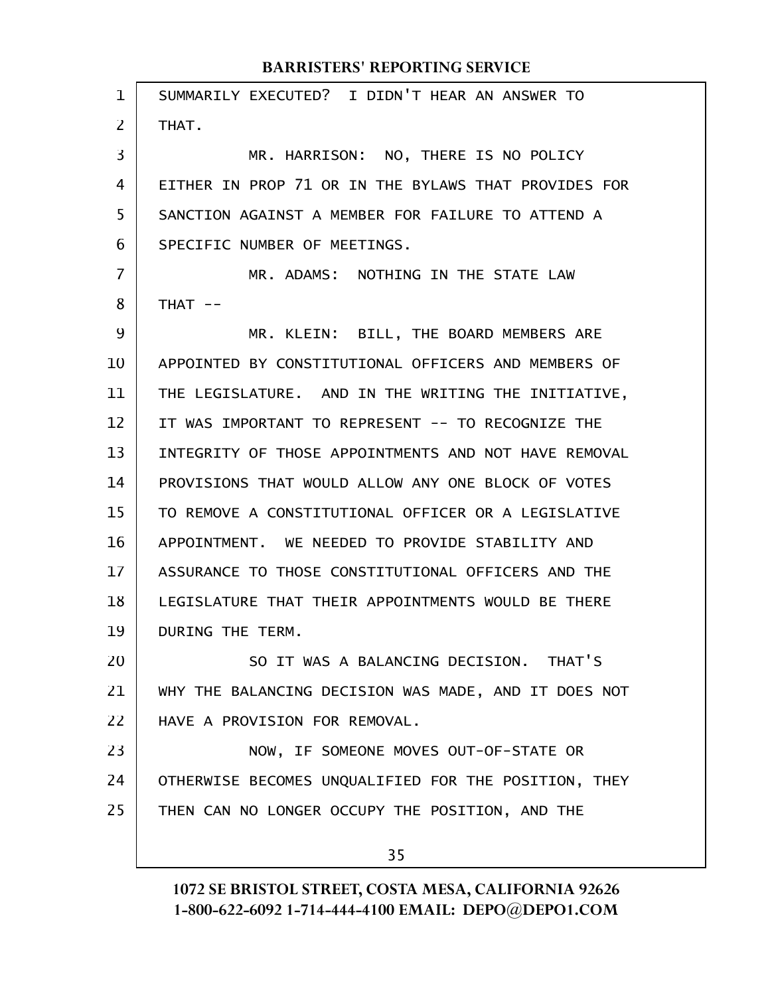SUMMARILY EXECUTED? I DIDN'T HEAR AN ANSWER TO THAT. MR. HARRISON: NO, THERE IS NO POLICY EITHER IN PROP 71 OR IN THE BYLAWS THAT PROVIDES FOR SANCTION AGAINST A MEMBER FOR FAILURE TO ATTEND A SPECIFIC NUMBER OF MEETINGS. MR. ADAMS: NOTHING IN THE STATE LAW  $THAT$  --MR. KLEIN: BILL, THE BOARD MEMBERS ARE APPOINTED BY CONSTITUTIONAL OFFICERS AND MEMBERS OF THE LEGISLATURE. AND IN THE WRITING THE INITIATIVE, IT WAS IMPORTANT TO REPRESENT -- TO RECOGNIZE THE INTEGRITY OF THOSE APPOINTMENTS AND NOT HAVE REMOVAL PROVISIONS THAT WOULD ALLOW ANY ONE BLOCK OF VOTES TO REMOVE A CONSTITUTIONAL OFFICER OR A LEGISLATIVE APPOINTMENT. WE NEEDED TO PROVIDE STABILITY AND ASSURANCE TO THOSE CONSTITUTIONAL OFFICERS AND THE LEGISLATURE THAT THEIR APPOINTMENTS WOULD BE THERE DURING THE TERM. SO IT WAS A BALANCING DECISION. THAT'S WHY THE BALANCING DECISION WAS MADE, AND IT DOES NOT HAVE A PROVISION FOR REMOVAL. NOW, IF SOMEONE MOVES OUT-OF-STATE OR OTHERWISE BECOMES UNQUALIFIED FOR THE POSITION, THEY THEN CAN NO LONGER OCCUPY THE POSITION, AND THE 35 1 2 3 4 5 6 7 8 9 10 11 12 13 14 15 16 17 18 19 20 21 22 23 24 25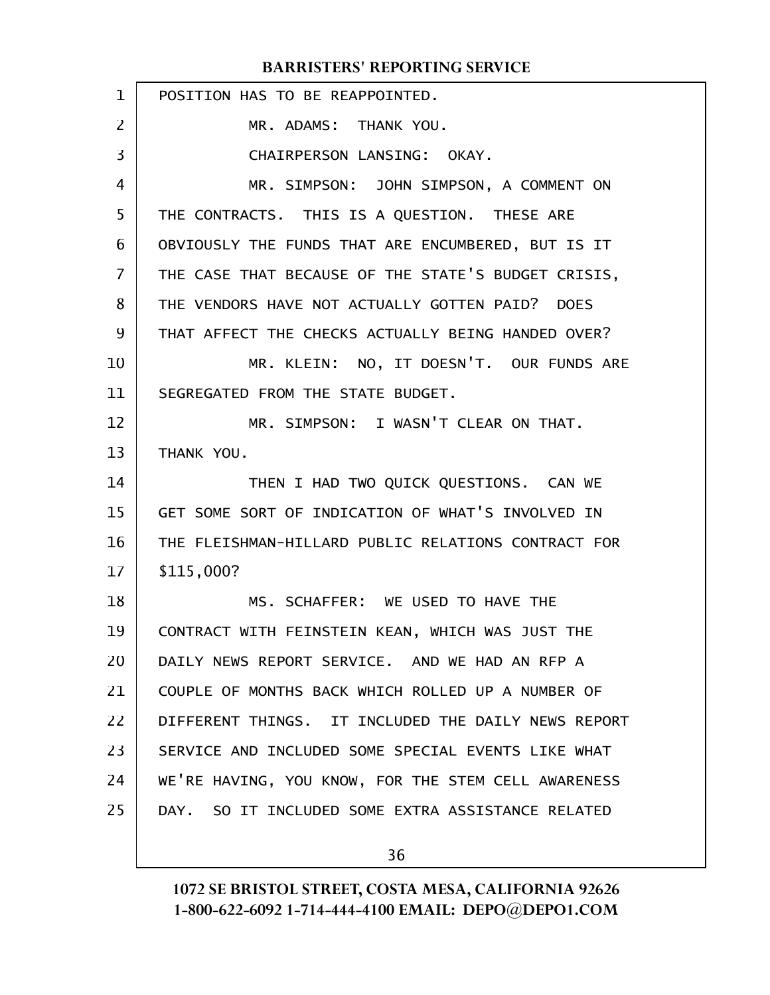| $\mathbf{1}$                           | POSITION HAS TO BE REAPPOINTED.                     |
|----------------------------------------|-----------------------------------------------------|
| $\overline{2}$                         | MR. ADAMS: THANK YOU.                               |
| 3                                      | CHAIRPERSON LANSING: OKAY.                          |
| 4                                      | MR. SIMPSON: JOHN SIMPSON, A COMMENT ON             |
| 5                                      | THE CONTRACTS. THIS IS A QUESTION. THESE ARE        |
| 6                                      | OBVIOUSLY THE FUNDS THAT ARE ENCUMBERED, BUT IS IT  |
| 7                                      | THE CASE THAT BECAUSE OF THE STATE'S BUDGET CRISIS, |
| 8                                      | THE VENDORS HAVE NOT ACTUALLY GOTTEN PAID? DOES     |
| 9                                      | THAT AFFECT THE CHECKS ACTUALLY BEING HANDED OVER?  |
| 10                                     | MR. KLEIN: NO, IT DOESN'T. OUR FUNDS ARE            |
| 11                                     | SEGREGATED FROM THE STATE BUDGET.                   |
| 12                                     | MR. SIMPSON: I WASN'T CLEAR ON THAT.                |
| 13                                     | THANK YOU.                                          |
| 14                                     | THEN I HAD TWO QUICK QUESTIONS. CAN WE              |
|                                        |                                                     |
|                                        | GET SOME SORT OF INDICATION OF WHAT'S INVOLVED IN   |
|                                        | THE FLEISHMAN-HILLARD PUBLIC RELATIONS CONTRACT FOR |
|                                        | \$115,000?                                          |
|                                        | MS. SCHAFFER: WE USED TO HAVE THE                   |
|                                        | CONTRACT WITH FEINSTEIN KEAN, WHICH WAS JUST THE    |
|                                        | DAILY NEWS REPORT SERVICE. AND WE HAD AN RFP A      |
| 15<br>16<br>17<br>18<br>19<br>20<br>21 | COUPLE OF MONTHS BACK WHICH ROLLED UP A NUMBER OF   |
| 22                                     | DIFFERENT THINGS. IT INCLUDED THE DAILY NEWS REPORT |
| 23                                     | SERVICE AND INCLUDED SOME SPECIAL EVENTS LIKE WHAT  |
| 24                                     | WE'RE HAVING, YOU KNOW, FOR THE STEM CELL AWARENESS |
| 25                                     | DAY. SO IT INCLUDED SOME EXTRA ASSISTANCE RELATED   |

36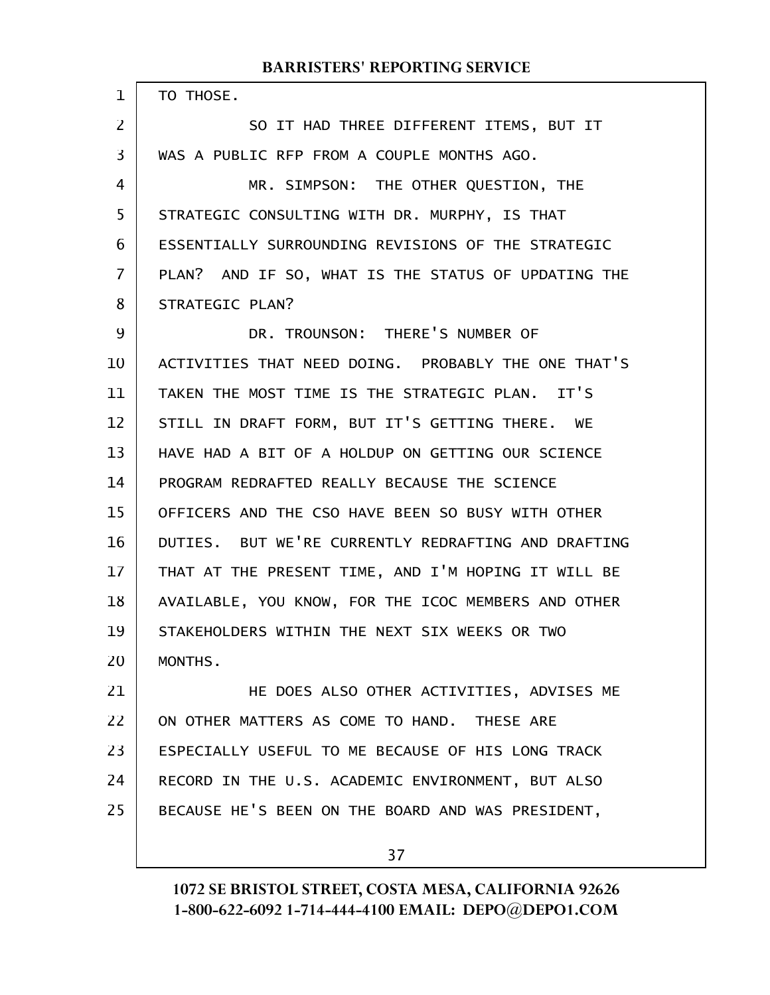| 1              | TO THOSE.                                           |
|----------------|-----------------------------------------------------|
| 2              | SO IT HAD THREE DIFFERENT ITEMS, BUT IT             |
| 3              | WAS A PUBLIC RFP FROM A COUPLE MONTHS AGO.          |
| $\overline{4}$ | MR. SIMPSON: THE OTHER QUESTION, THE                |
| 5              | STRATEGIC CONSULTING WITH DR. MURPHY, IS THAT       |
| 6              | ESSENTIALLY SURROUNDING REVISIONS OF THE STRATEGIC  |
| 7              | PLAN? AND IF SO, WHAT IS THE STATUS OF UPDATING THE |
| 8              | STRATEGIC PLAN?                                     |
| 9              | DR. TROUNSON: THERE'S NUMBER OF                     |
| 10             | ACTIVITIES THAT NEED DOING. PROBABLY THE ONE THAT'S |
| 11             | TAKEN THE MOST TIME IS THE STRATEGIC PLAN. IT'S     |
| 12             | STILL IN DRAFT FORM, BUT IT'S GETTING THERE. WE     |
| 13             | HAVE HAD A BIT OF A HOLDUP ON GETTING OUR SCIENCE   |
| 14             | PROGRAM REDRAFTED REALLY BECAUSE THE SCIENCE        |
| 15             | OFFICERS AND THE CSO HAVE BEEN SO BUSY WITH OTHER   |
| 16             | DUTIES. BUT WE'RE CURRENTLY REDRAFTING AND DRAFTING |
| 17             | THAT AT THE PRESENT TIME, AND I'M HOPING IT WILL BE |
| 18             | AVAILABLE, YOU KNOW, FOR THE ICOC MEMBERS AND OTHER |
| 19             | STAKEHOLDERS WITHIN THE NEXT SIX WEEKS OR TWO       |
| 20             | MONTHS.                                             |
| 21             | HE DOES ALSO OTHER ACTIVITIES, ADVISES ME           |
| 22             | ON OTHER MATTERS AS COME TO HAND. THESE ARE         |
| 23             | ESPECIALLY USEFUL TO ME BECAUSE OF HIS LONG TRACK   |
| 24             | RECORD IN THE U.S. ACADEMIC ENVIRONMENT, BUT ALSO   |
| 25             | BECAUSE HE'S BEEN ON THE BOARD AND WAS PRESIDENT,   |
|                | 37                                                  |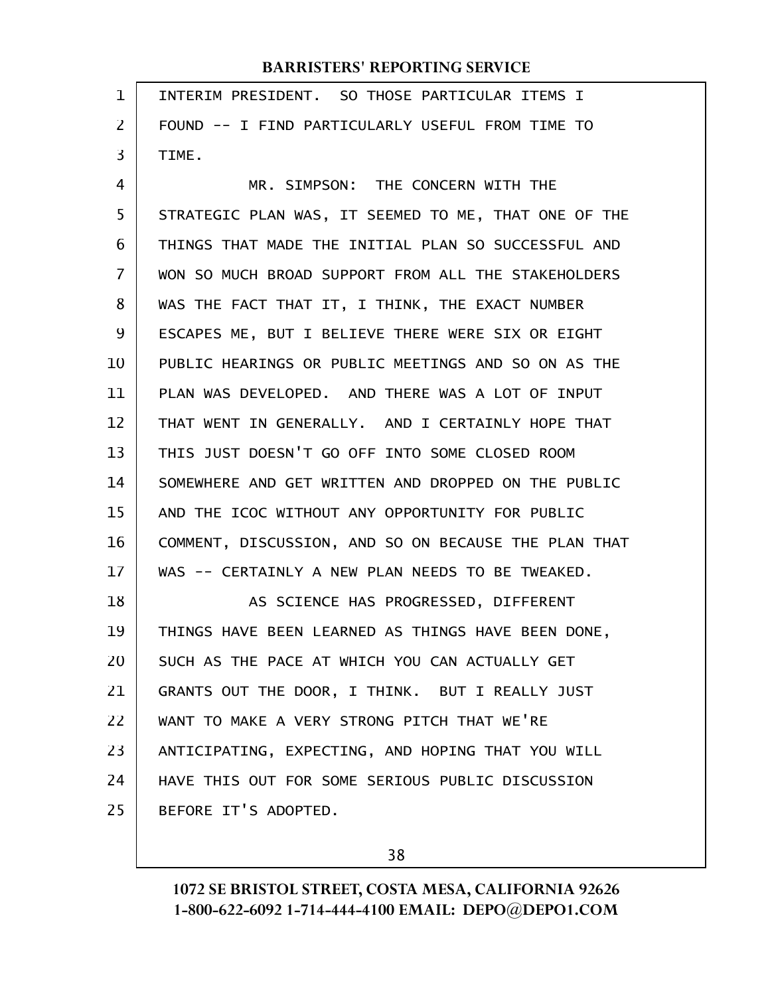| 1              | INTERIM PRESIDENT. SO THOSE PARTICULAR ITEMS I       |
|----------------|------------------------------------------------------|
| $\overline{2}$ | FOUND -- I FIND PARTICULARLY USEFUL FROM TIME TO     |
| 3              | TIME.                                                |
| $\overline{4}$ | MR. SIMPSON: THE CONCERN WITH THE                    |
| 5              | STRATEGIC PLAN WAS, IT SEEMED TO ME, THAT ONE OF THE |
| 6              | THINGS THAT MADE THE INITIAL PLAN SO SUCCESSFUL AND  |
| $\overline{7}$ | WON SO MUCH BROAD SUPPORT FROM ALL THE STAKEHOLDERS  |
| 8              | WAS THE FACT THAT IT, I THINK, THE EXACT NUMBER      |
| 9              | ESCAPES ME, BUT I BELIEVE THERE WERE SIX OR EIGHT    |
| 10             | PUBLIC HEARINGS OR PUBLIC MEETINGS AND SO ON AS THE  |
| 11             | PLAN WAS DEVELOPED. AND THERE WAS A LOT OF INPUT     |
| 12             | THAT WENT IN GENERALLY. AND I CERTAINLY HOPE THAT    |
| 13             | THIS JUST DOESN'T GO OFF INTO SOME CLOSED ROOM       |
| 14             | SOMEWHERE AND GET WRITTEN AND DROPPED ON THE PUBLIC  |
| 15             | AND THE ICOC WITHOUT ANY OPPORTUNITY FOR PUBLIC      |
| 16             | COMMENT, DISCUSSION, AND SO ON BECAUSE THE PLAN THAT |
| 17             | WAS -- CERTAINLY A NEW PLAN NEEDS TO BE TWEAKED.     |
| 18             | AS SCIENCE HAS PROGRESSED, DIFFERENT                 |
| 19             | THINGS HAVE BEEN LEARNED AS THINGS HAVE BEEN DONE,   |
| 20             | SUCH AS THE PACE AT WHICH YOU CAN ACTUALLY GET       |
| 21             | GRANTS OUT THE DOOR, I THINK. BUT I REALLY JUST      |
| 22             | WANT TO MAKE A VERY STRONG PITCH THAT WE'RE          |
| 23             | ANTICIPATING, EXPECTING, AND HOPING THAT YOU WILL    |
| 24             | HAVE THIS OUT FOR SOME SERIOUS PUBLIC DISCUSSION     |
| 25             | BEFORE IT'S ADOPTED.                                 |
|                |                                                      |

38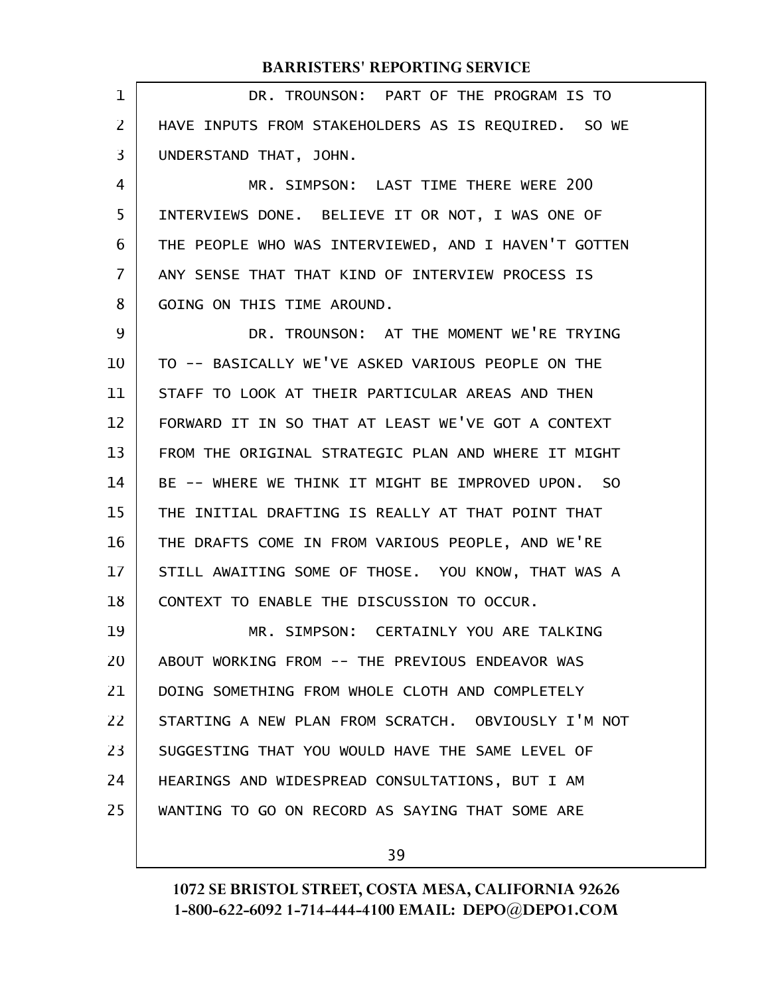DR. TROUNSON: PART OF THE PROGRAM IS TO HAVE INPUTS FROM STAKEHOLDERS AS IS REQUIRED. SO WE UNDERSTAND THAT, JOHN. MR. SIMPSON: LAST TIME THERE WERE 200 INTERVIEWS DONE. BELIEVE IT OR NOT, I WAS ONE OF THE PEOPLE WHO WAS INTERVIEWED, AND I HAVEN'T GOTTEN ANY SENSE THAT THAT KIND OF INTERVIEW PROCESS IS GOING ON THIS TIME AROUND. DR. TROUNSON: AT THE MOMENT WE'RE TRYING TO -- BASICALLY WE'VE ASKED VARIOUS PEOPLE ON THE STAFF TO LOOK AT THEIR PARTICULAR AREAS AND THEN FORWARD IT IN SO THAT AT LEAST WE'VE GOT A CONTEXT FROM THE ORIGINAL STRATEGIC PLAN AND WHERE IT MIGHT BE -- WHERE WE THINK IT MIGHT BE IMPROVED UPON. SO THE INITIAL DRAFTING IS REALLY AT THAT POINT THAT THE DRAFTS COME IN FROM VARIOUS PEOPLE, AND WE'RE STILL AWAITING SOME OF THOSE. YOU KNOW, THAT WAS A CONTEXT TO ENABLE THE DISCUSSION TO OCCUR. MR. SIMPSON: CERTAINLY YOU ARE TALKING ABOUT WORKING FROM -- THE PREVIOUS ENDEAVOR WAS DOING SOMETHING FROM WHOLE CLOTH AND COMPLETELY STARTING A NEW PLAN FROM SCRATCH. OBVIOUSLY I'M NOT SUGGESTING THAT YOU WOULD HAVE THE SAME LEVEL OF HEARINGS AND WIDESPREAD CONSULTATIONS, BUT I AM WANTING TO GO ON RECORD AS SAYING THAT SOME ARE 1 2 3 4 5 6 7 8 9 10 11 12 13 14 15 16 17 18 19 20 21 22 23 24 25

39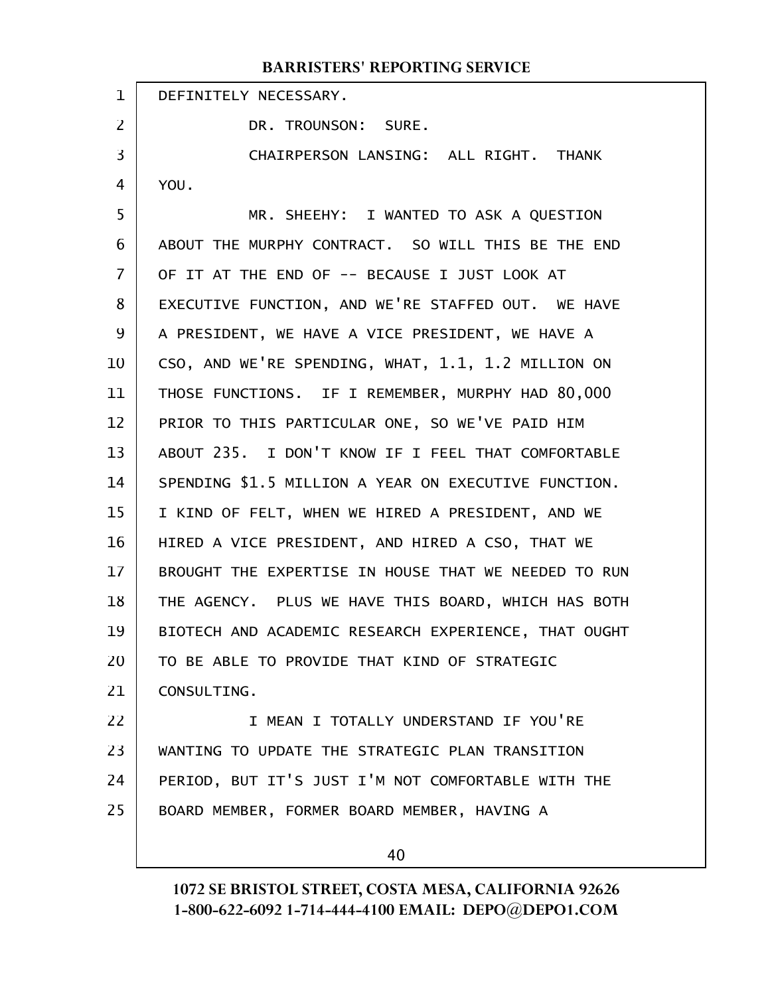|                | BARRISTERS REPORTING SERVICE                         |
|----------------|------------------------------------------------------|
| $\mathbf{1}$   | DEFINITELY NECESSARY.                                |
| $\overline{2}$ | DR. TROUNSON: SURE.                                  |
| 3              | CHAIRPERSON LANSING: ALL RIGHT. THANK                |
| 4              | YOU.                                                 |
| 5              | MR. SHEEHY: I WANTED TO ASK A QUESTION               |
| 6              | ABOUT THE MURPHY CONTRACT. SO WILL THIS BE THE END   |
| 7              | OF IT AT THE END OF -- BECAUSE I JUST LOOK AT        |
| 8              | EXECUTIVE FUNCTION, AND WE'RE STAFFED OUT. WE HAVE   |
| 9              | A PRESIDENT, WE HAVE A VICE PRESIDENT, WE HAVE A     |
| 10             | CSO, AND WE'RE SPENDING, WHAT, 1.1, 1.2 MILLION ON   |
| 11             | THOSE FUNCTIONS. IF I REMEMBER, MURPHY HAD 80,000    |
| 12             | PRIOR TO THIS PARTICULAR ONE, SO WE'VE PAID HIM      |
| 13             | ABOUT 235. I DON'T KNOW IF I FEEL THAT COMFORTABLE   |
| 14             | SPENDING \$1.5 MILLION A YEAR ON EXECUTIVE FUNCTION. |
| 15             | I KIND OF FELT, WHEN WE HIRED A PRESIDENT, AND WE    |
| 16             | HIRED A VICE PRESIDENT, AND HIRED A CSO, THAT WE     |
| 17             | BROUGHT THE EXPERTISE IN HOUSE THAT WE NEEDED TO RUN |
| 18             | THE AGENCY. PLUS WE HAVE THIS BOARD, WHICH HAS BOTH  |
| 19             | BIOTECH AND ACADEMIC RESEARCH EXPERIENCE, THAT OUGHT |
| 20             | TO BE ABLE TO PROVIDE THAT KIND OF STRATEGIC         |
| 21             | CONSULTING.                                          |
| 22             | I MEAN I TOTALLY UNDERSTAND IF YOU'RE                |
| 23             | WANTING TO UPDATE THE STRATEGIC PLAN TRANSITION      |
| 24             | PERIOD, BUT IT'S JUST I'M NOT COMFORTABLE WITH THE   |
| 25             | BOARD MEMBER, FORMER BOARD MEMBER, HAVING A          |
|                | 40                                                   |
|                |                                                      |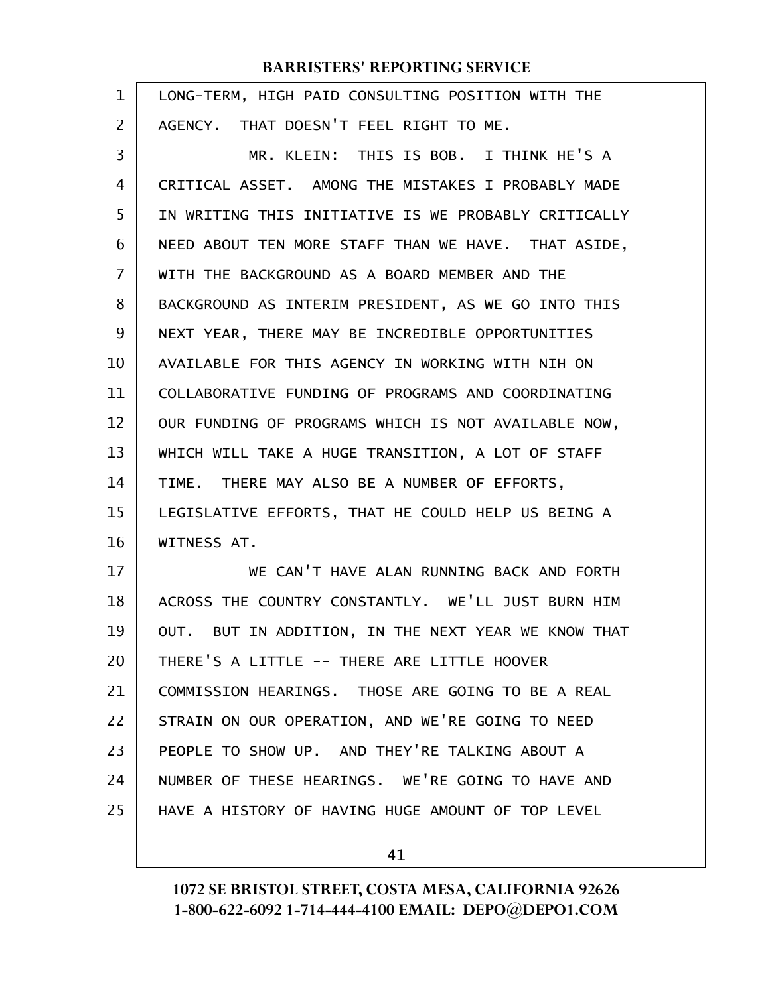| $\mathbf 1$    | LONG-TERM, HIGH PAID CONSULTING POSITION WITH THE    |
|----------------|------------------------------------------------------|
| $\overline{2}$ | AGENCY. THAT DOESN'T FEEL RIGHT TO ME.               |
| 3              | MR. KLEIN: THIS IS BOB. I THINK HE'S A               |
| 4              | CRITICAL ASSET. AMONG THE MISTAKES I PROBABLY MADE   |
| 5              | IN WRITING THIS INITIATIVE IS WE PROBABLY CRITICALLY |
| 6              | NEED ABOUT TEN MORE STAFF THAN WE HAVE. THAT ASIDE,  |
| 7              | WITH THE BACKGROUND AS A BOARD MEMBER AND THE        |
| 8              | BACKGROUND AS INTERIM PRESIDENT, AS WE GO INTO THIS  |
| 9              | NEXT YEAR, THERE MAY BE INCREDIBLE OPPORTUNITIES     |
| 10             | AVAILABLE FOR THIS AGENCY IN WORKING WITH NIH ON     |
| 11             | COLLABORATIVE FUNDING OF PROGRAMS AND COORDINATING   |
| 12             | OUR FUNDING OF PROGRAMS WHICH IS NOT AVAILABLE NOW,  |
| 13             | WHICH WILL TAKE A HUGE TRANSITION, A LOT OF STAFF    |
| 14             | TIME. THERE MAY ALSO BE A NUMBER OF EFFORTS,         |
| 15             | LEGISLATIVE EFFORTS, THAT HE COULD HELP US BEING A   |
| 16             | WITNESS AT.                                          |
| 17             | WE CAN'T HAVE ALAN RUNNING BACK AND FORTH            |
| 18             | ACROSS THE COUNTRY CONSTANTLY. WE'LL JUST BURN HIM   |
| 19             | OUT. BUT IN ADDITION, IN THE NEXT YEAR WE KNOW THAT  |
| 20             | THERE'S A LITTLE -- THERE ARE LITTLE HOOVER          |
| 21             | COMMISSION HEARINGS. THOSE ARE GOING TO BE A REAL    |
| 22             | STRAIN ON OUR OPERATION, AND WE'RE GOING TO NEED     |
| 23             | PEOPLE TO SHOW UP. AND THEY'RE TALKING ABOUT A       |
| 24             | NUMBER OF THESE HEARINGS. WE'RE GOING TO HAVE AND    |
| 25             | HAVE A HISTORY OF HAVING HUGE AMOUNT OF TOP LEVEL    |
|                |                                                      |

41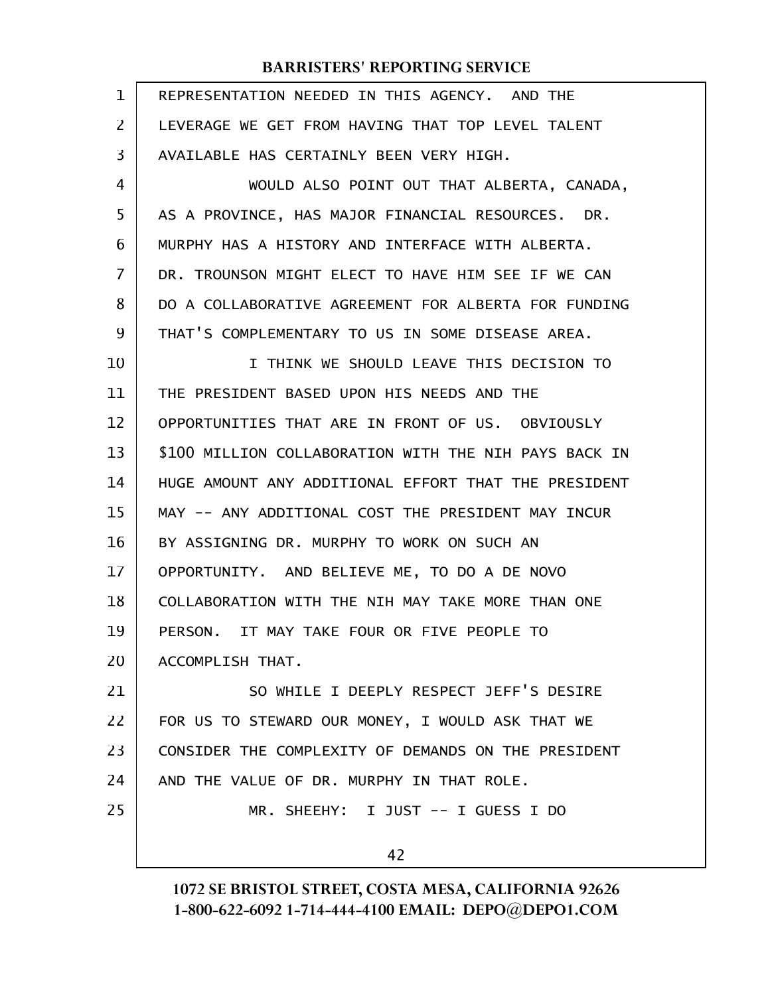| 1              | REPRESENTATION NEEDED IN THIS AGENCY. AND THE         |
|----------------|-------------------------------------------------------|
| 2              | LEVERAGE WE GET FROM HAVING THAT TOP LEVEL TALENT     |
| 3              | AVAILABLE HAS CERTAINLY BEEN VERY HIGH.               |
| 4              | WOULD ALSO POINT OUT THAT ALBERTA, CANADA,            |
| 5              | AS A PROVINCE, HAS MAJOR FINANCIAL RESOURCES. DR.     |
| 6              | MURPHY HAS A HISTORY AND INTERFACE WITH ALBERTA.      |
| $\overline{7}$ | DR. TROUNSON MIGHT ELECT TO HAVE HIM SEE IF WE CAN    |
| 8              | DO A COLLABORATIVE AGREEMENT FOR ALBERTA FOR FUNDING  |
| 9              | THAT'S COMPLEMENTARY TO US IN SOME DISEASE AREA.      |
| 10             | I THINK WE SHOULD LEAVE THIS DECISION TO              |
| 11             | THE PRESIDENT BASED UPON HIS NEEDS AND THE            |
| 12             | OPPORTUNITIES THAT ARE IN FRONT OF US. OBVIOUSLY      |
| 13             | \$100 MILLION COLLABORATION WITH THE NIH PAYS BACK IN |
| 14             | HUGE AMOUNT ANY ADDITIONAL EFFORT THAT THE PRESIDENT  |
| 15             | MAY -- ANY ADDITIONAL COST THE PRESIDENT MAY INCUR    |
| 16             | BY ASSIGNING DR. MURPHY TO WORK ON SUCH AN            |
| 17             | OPPORTUNITY. AND BELIEVE ME, TO DO A DE NOVO          |
| 18             | COLLABORATION WITH THE NIH MAY TAKE MORE THAN ONE     |
| 19             | PERSON. IT MAY TAKE FOUR OR FIVE PEOPLE TO            |
| 20             | ACCOMPLISH THAT.                                      |
| 21             | SO WHILE I DEEPLY RESPECT JEFF'S DESIRE               |
| 22             | FOR US TO STEWARD OUR MONEY, I WOULD ASK THAT WE      |
| 23             | CONSIDER THE COMPLEXITY OF DEMANDS ON THE PRESIDENT   |
| 24             | AND THE VALUE OF DR. MURPHY IN THAT ROLE.             |
| 25             | MR. SHEEHY: I JUST -- I GUESS I DO                    |
|                | 42                                                    |
|                |                                                       |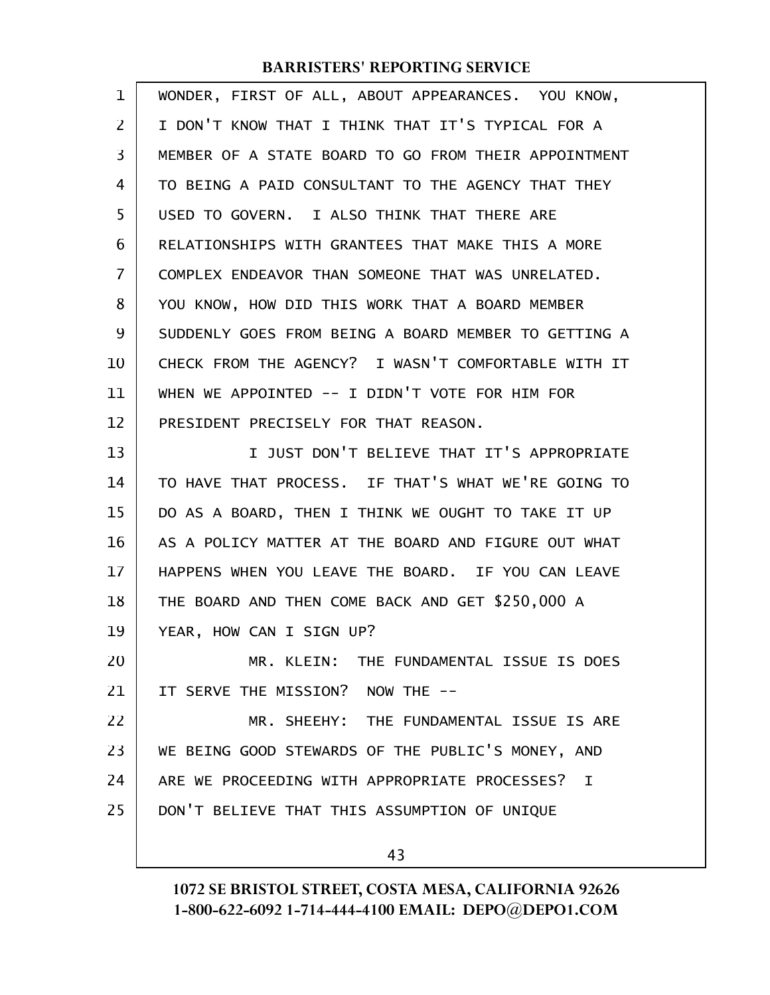| $\mathbf 1$ | WONDER, FIRST OF ALL, ABOUT APPEARANCES. YOU KNOW,   |
|-------------|------------------------------------------------------|
| 2           | I DON'T KNOW THAT I THINK THAT IT'S TYPICAL FOR A    |
| 3           | MEMBER OF A STATE BOARD TO GO FROM THEIR APPOINTMENT |
| 4           | TO BEING A PAID CONSULTANT TO THE AGENCY THAT THEY   |
| 5           | USED TO GOVERN. I ALSO THINK THAT THERE ARE          |
| 6           | RELATIONSHIPS WITH GRANTEES THAT MAKE THIS A MORE    |
| 7           | COMPLEX ENDEAVOR THAN SOMEONE THAT WAS UNRELATED.    |
| 8           | YOU KNOW, HOW DID THIS WORK THAT A BOARD MEMBER      |
| 9           | SUDDENLY GOES FROM BEING A BOARD MEMBER TO GETTING A |
| 10          | CHECK FROM THE AGENCY? I WASN'T COMFORTABLE WITH IT  |
| 11          | WHEN WE APPOINTED -- I DIDN'T VOTE FOR HIM FOR       |
| 12          | PRESIDENT PRECISELY FOR THAT REASON.                 |
| 13          | I JUST DON'T BELIEVE THAT IT'S APPROPRIATE           |
| 14          | TO HAVE THAT PROCESS. IF THAT'S WHAT WE'RE GOING TO  |
| 15          | DO AS A BOARD, THEN I THINK WE OUGHT TO TAKE IT UP   |
| 16          | AS A POLICY MATTER AT THE BOARD AND FIGURE OUT WHAT  |
| 17          | HAPPENS WHEN YOU LEAVE THE BOARD. IF YOU CAN LEAVE   |
| 18          | THE BOARD AND THEN COME BACK AND GET \$250,000 A     |
| 19          | YEAR, HOW CAN I SIGN UP?                             |
| 20          | MR. KLEIN: THE FUNDAMENTAL ISSUE IS DOES             |
| 21          | IT SERVE THE MISSION? NOW THE --                     |
| 22          | MR. SHEEHY: THE FUNDAMENTAL ISSUE IS ARE             |
| 23          | WE BEING GOOD STEWARDS OF THE PUBLIC'S MONEY, AND    |
| 24          | ARE WE PROCEEDING WITH APPROPRIATE PROCESSES? I      |
| 25          | DON'T BELIEVE THAT THIS ASSUMPTION OF UNIQUE         |
|             | 43                                                   |
|             |                                                      |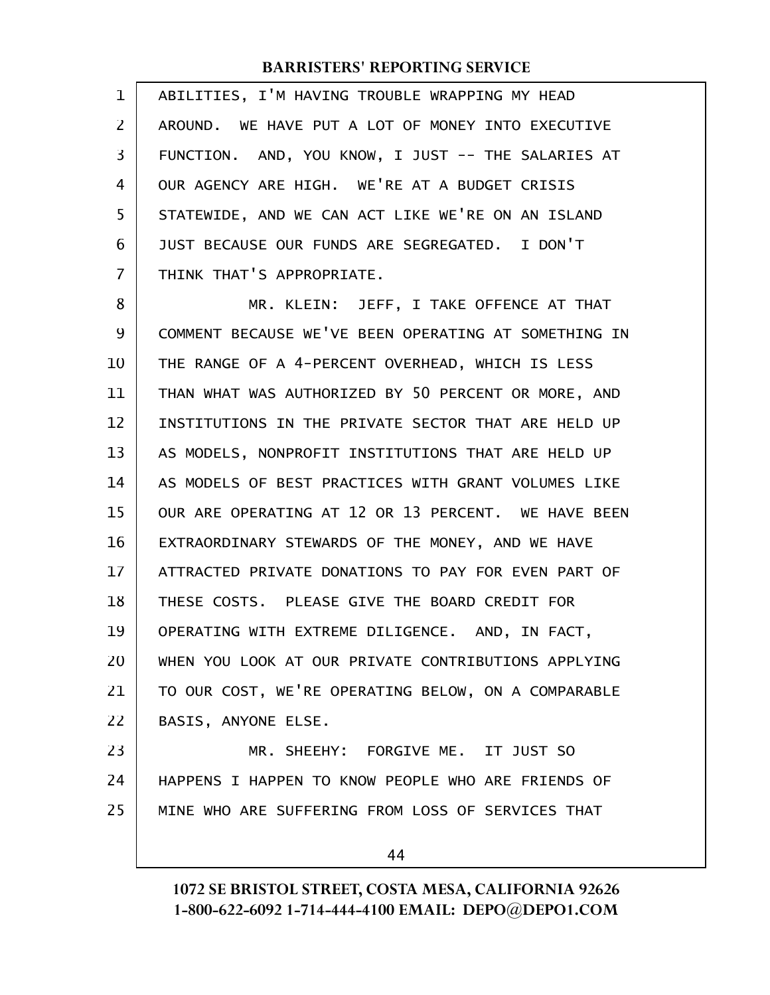| $\mathbf 1$ | ABILITIES, I'M HAVING TROUBLE WRAPPING MY HEAD       |
|-------------|------------------------------------------------------|
| 2           | AROUND. WE HAVE PUT A LOT OF MONEY INTO EXECUTIVE    |
| 3           | FUNCTION. AND, YOU KNOW, I JUST -- THE SALARIES AT   |
| 4           | OUR AGENCY ARE HIGH. WE'RE AT A BUDGET CRISIS        |
| 5           | STATEWIDE, AND WE CAN ACT LIKE WE'RE ON AN ISLAND    |
| 6           | JUST BECAUSE OUR FUNDS ARE SEGREGATED. I DON'T       |
| 7           | THINK THAT'S APPROPRIATE.                            |
| 8           | MR. KLEIN: JEFF, I TAKE OFFENCE AT THAT              |
| 9           | COMMENT BECAUSE WE'VE BEEN OPERATING AT SOMETHING IN |
| 10          | THE RANGE OF A 4-PERCENT OVERHEAD, WHICH IS LESS     |
| 11          | THAN WHAT WAS AUTHORIZED BY 50 PERCENT OR MORE, AND  |
| 12          | INSTITUTIONS IN THE PRIVATE SECTOR THAT ARE HELD UP  |
| 13          | AS MODELS, NONPROFIT INSTITUTIONS THAT ARE HELD UP   |
| 14          | AS MODELS OF BEST PRACTICES WITH GRANT VOLUMES LIKE  |
| 15          | OUR ARE OPERATING AT 12 OR 13 PERCENT. WE HAVE BEEN  |
| 16          | EXTRAORDINARY STEWARDS OF THE MONEY, AND WE HAVE     |
| 17          | ATTRACTED PRIVATE DONATIONS TO PAY FOR EVEN PART OF  |
| 18          | THESE COSTS. PLEASE GIVE THE BOARD CREDIT FOR        |
| 19          | OPERATING WITH EXTREME DILIGENCE. AND, IN FACT,      |
| 20          | WHEN YOU LOOK AT OUR PRIVATE CONTRIBUTIONS APPLYING  |
| 21          | TO OUR COST, WE'RE OPERATING BELOW, ON A COMPARABLE  |
| 22          | BASIS, ANYONE ELSE.                                  |
| 23          | MR. SHEEHY: FORGIVE ME. IT JUST SO                   |
| 24          | HAPPENS I HAPPEN TO KNOW PEOPLE WHO ARE FRIENDS OF   |
| 25          | MINE WHO ARE SUFFERING FROM LOSS OF SERVICES THAT    |
|             | 44                                                   |
|             |                                                      |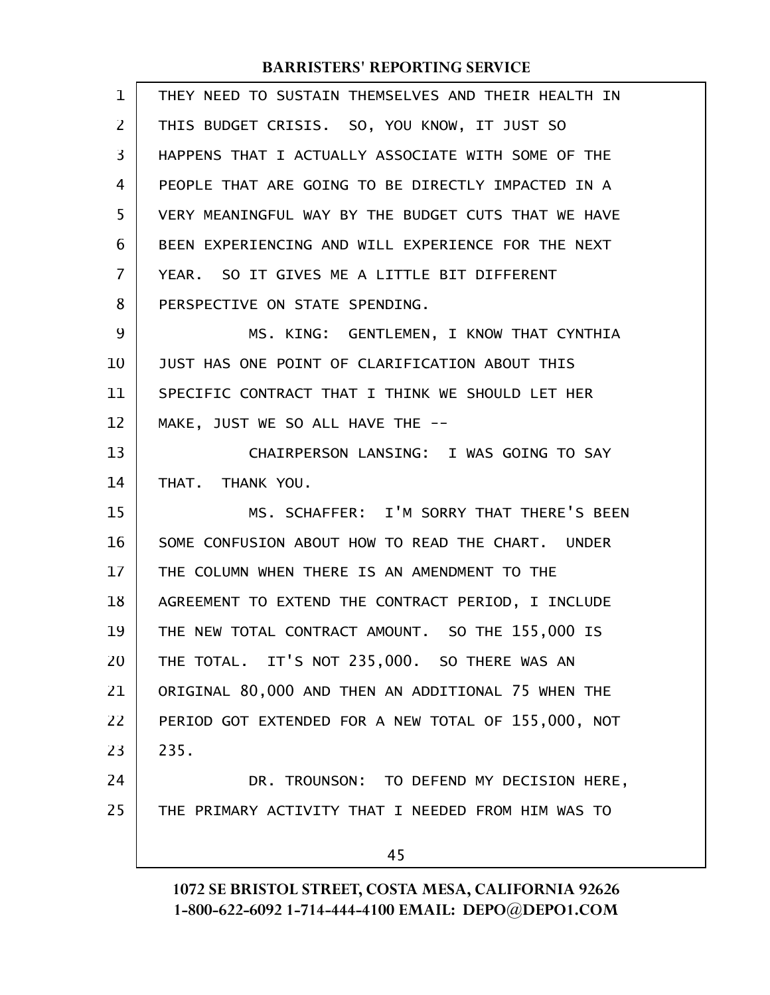| 1  | THEY NEED TO SUSTAIN THEMSELVES AND THEIR HEALTH IN |
|----|-----------------------------------------------------|
| 2  | THIS BUDGET CRISIS. SO, YOU KNOW, IT JUST SO        |
| 3  | HAPPENS THAT I ACTUALLY ASSOCIATE WITH SOME OF THE  |
| 4  | PEOPLE THAT ARE GOING TO BE DIRECTLY IMPACTED IN A  |
| 5  | VERY MEANINGFUL WAY BY THE BUDGET CUTS THAT WE HAVE |
| 6  | BEEN EXPERIENCING AND WILL EXPERIENCE FOR THE NEXT  |
| 7  | YEAR. SO IT GIVES ME A LITTLE BIT DIFFERENT         |
| 8  | PERSPECTIVE ON STATE SPENDING.                      |
| 9  | MS. KING: GENTLEMEN, I KNOW THAT CYNTHIA            |
| 10 | JUST HAS ONE POINT OF CLARIFICATION ABOUT THIS      |
| 11 | SPECIFIC CONTRACT THAT I THINK WE SHOULD LET HER    |
| 12 | MAKE, JUST WE SO ALL HAVE THE --                    |
| 13 | CHAIRPERSON LANSING: I WAS GOING TO SAY             |
| 14 | THAT. THANK YOU.                                    |
| 15 | MS. SCHAFFER: I'M SORRY THAT THERE'S BEEN           |
| 16 | SOME CONFUSION ABOUT HOW TO READ THE CHART. UNDER   |
| 17 | THE COLUMN WHEN THERE IS AN AMENDMENT TO THE        |
| 18 | AGREEMENT TO EXTEND THE CONTRACT PERIOD, I INCLUDE  |
| 19 | THE NEW TOTAL CONTRACT AMOUNT. SO THE 155,000 IS    |
| 20 | THE TOTAL. IT'S NOT 235,000. SO THERE WAS AN        |
| 21 | ORIGINAL 80,000 AND THEN AN ADDITIONAL 75 WHEN THE  |
| 22 | PERIOD GOT EXTENDED FOR A NEW TOTAL OF 155,000, NOT |
| 23 | 235.                                                |
| 24 | DR. TROUNSON: TO DEFEND MY DECISION HERE,           |
| 25 | THE PRIMARY ACTIVITY THAT I NEEDED FROM HIM WAS TO  |
|    | 45                                                  |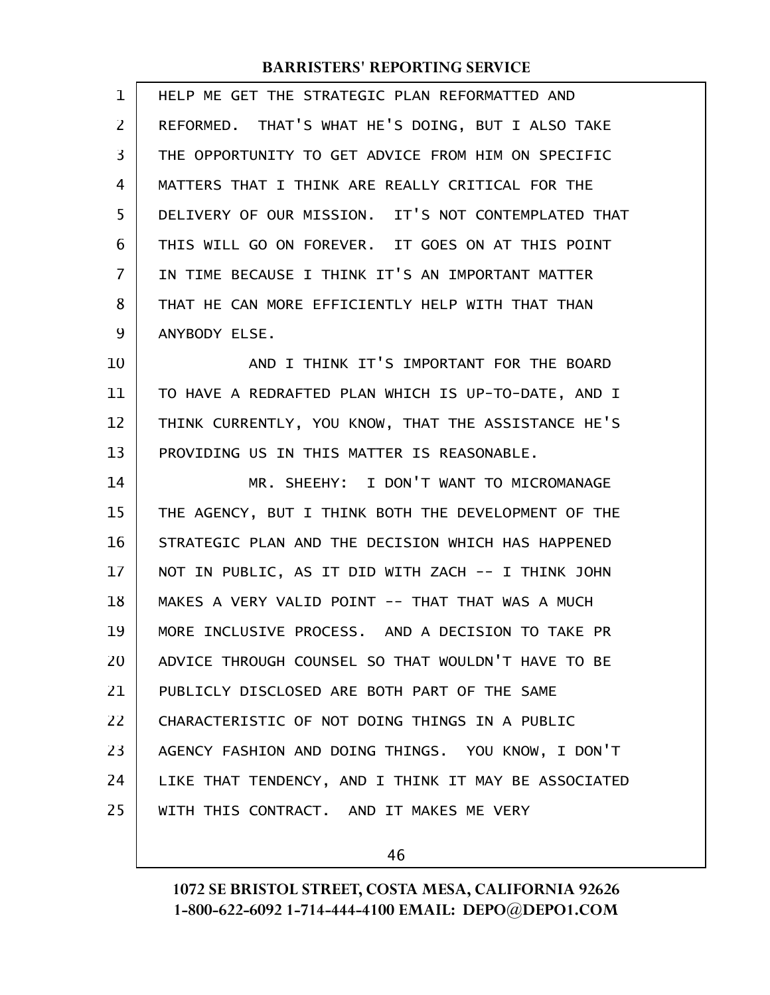| 1  | HELP ME GET THE STRATEGIC PLAN REFORMATTED AND       |
|----|------------------------------------------------------|
| 2  | REFORMED. THAT'S WHAT HE'S DOING, BUT I ALSO TAKE    |
| 3  | THE OPPORTUNITY TO GET ADVICE FROM HIM ON SPECIFIC   |
| 4  | MATTERS THAT I THINK ARE REALLY CRITICAL FOR THE     |
| 5  | DELIVERY OF OUR MISSION. IT'S NOT CONTEMPLATED THAT  |
| 6  | THIS WILL GO ON FOREVER. IT GOES ON AT THIS POINT    |
| 7  | IN TIME BECAUSE I THINK IT'S AN IMPORTANT MATTER     |
| 8  | THAT HE CAN MORE EFFICIENTLY HELP WITH THAT THAN     |
| 9  | ANYBODY ELSE.                                        |
| 10 | AND I THINK IT'S IMPORTANT FOR THE BOARD             |
| 11 | TO HAVE A REDRAFTED PLAN WHICH IS UP-TO-DATE, AND I  |
| 12 | THINK CURRENTLY, YOU KNOW, THAT THE ASSISTANCE HE'S  |
| 13 | PROVIDING US IN THIS MATTER IS REASONABLE.           |
| 14 | MR. SHEEHY: I DON'T WANT TO MICROMANAGE              |
| 15 | THE AGENCY, BUT I THINK BOTH THE DEVELOPMENT OF THE  |
| 16 | STRATEGIC PLAN AND THE DECISION WHICH HAS HAPPENED   |
| 17 | NOT IN PUBLIC, AS IT DID WITH ZACH -- I THINK JOHN   |
| 18 | MAKES A VERY VALID POINT -- THAT THAT WAS A MUCH     |
| 19 | MORE INCLUSIVE PROCESS. AND A DECISION TO TAKE PR    |
| 20 | ADVICE THROUGH COUNSEL SO THAT WOULDN'T HAVE TO BE   |
| 21 | PUBLICLY DISCLOSED ARE BOTH PART OF THE SAME         |
| 22 | CHARACTERISTIC OF NOT DOING THINGS IN A PUBLIC       |
| 23 | AGENCY FASHION AND DOING THINGS. YOU KNOW, I DON'T   |
| 24 | LIKE THAT TENDENCY, AND I THINK IT MAY BE ASSOCIATED |
| 25 | WITH THIS CONTRACT. AND IT MAKES ME VERY             |
|    |                                                      |

46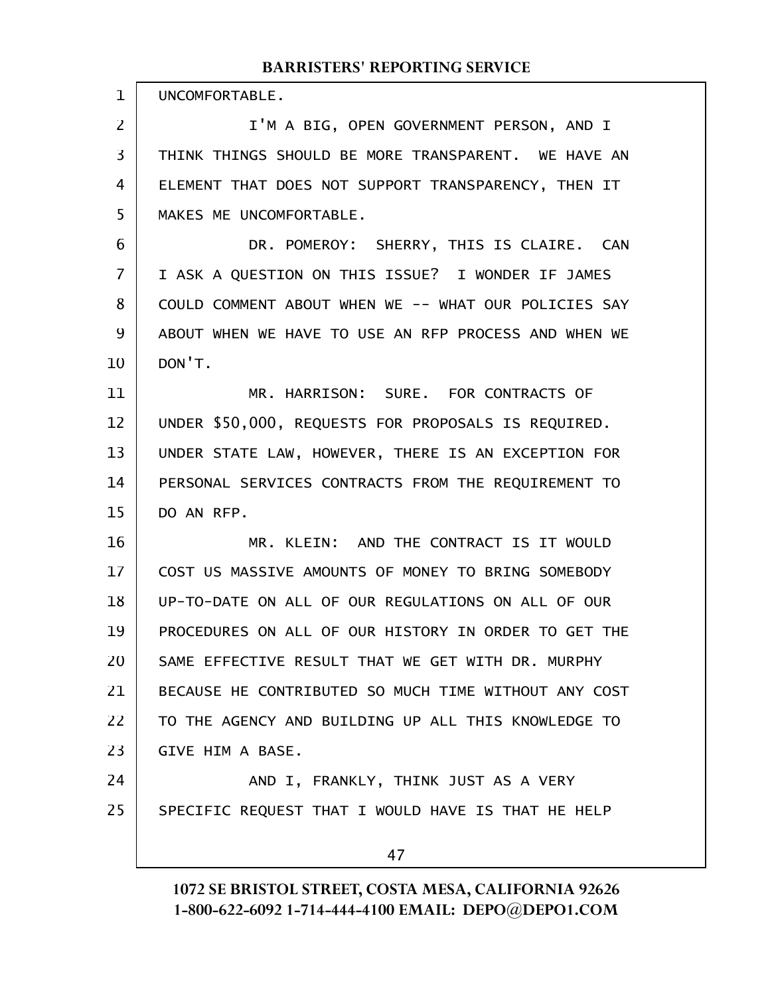UNCOMFORTABLE. 1

I'M A BIG, OPEN GOVERNMENT PERSON, AND I THINK THINGS SHOULD BE MORE TRANSPARENT. WE HAVE AN ELEMENT THAT DOES NOT SUPPORT TRANSPARENCY, THEN IT MAKES ME UNCOMFORTABLE. 2 3 4 5

DR. POMEROY: SHERRY, THIS IS CLAIRE. CAN I ASK A QUESTION ON THIS ISSUE? I WONDER IF JAMES COULD COMMENT ABOUT WHEN WE -- WHAT OUR POLICIES SAY ABOUT WHEN WE HAVE TO USE AN RFP PROCESS AND WHEN WE DON'T. 6 7 8 9 10

MR. HARRISON: SURE. FOR CONTRACTS OF UNDER \$50,000, REQUESTS FOR PROPOSALS IS REQUIRED. UNDER STATE LAW, HOWEVER, THERE IS AN EXCEPTION FOR PERSONAL SERVICES CONTRACTS FROM THE REQUIREMENT TO DO AN RFP. 11 12 13 14 15

MR. KLEIN: AND THE CONTRACT IS IT WOULD COST US MASSIVE AMOUNTS OF MONEY TO BRING SOMEBODY UP-TO-DATE ON ALL OF OUR REGULATIONS ON ALL OF OUR PROCEDURES ON ALL OF OUR HISTORY IN ORDER TO GET THE SAME EFFECTIVE RESULT THAT WE GET WITH DR. MURPHY BECAUSE HE CONTRIBUTED SO MUCH TIME WITHOUT ANY COST TO THE AGENCY AND BUILDING UP ALL THIS KNOWLEDGE TO GIVE HIM A BASE. 16 17 18 19 20 21 22 23

AND I, FRANKLY, THINK JUST AS A VERY SPECIFIC REQUEST THAT I WOULD HAVE IS THAT HE HELP 24 25

47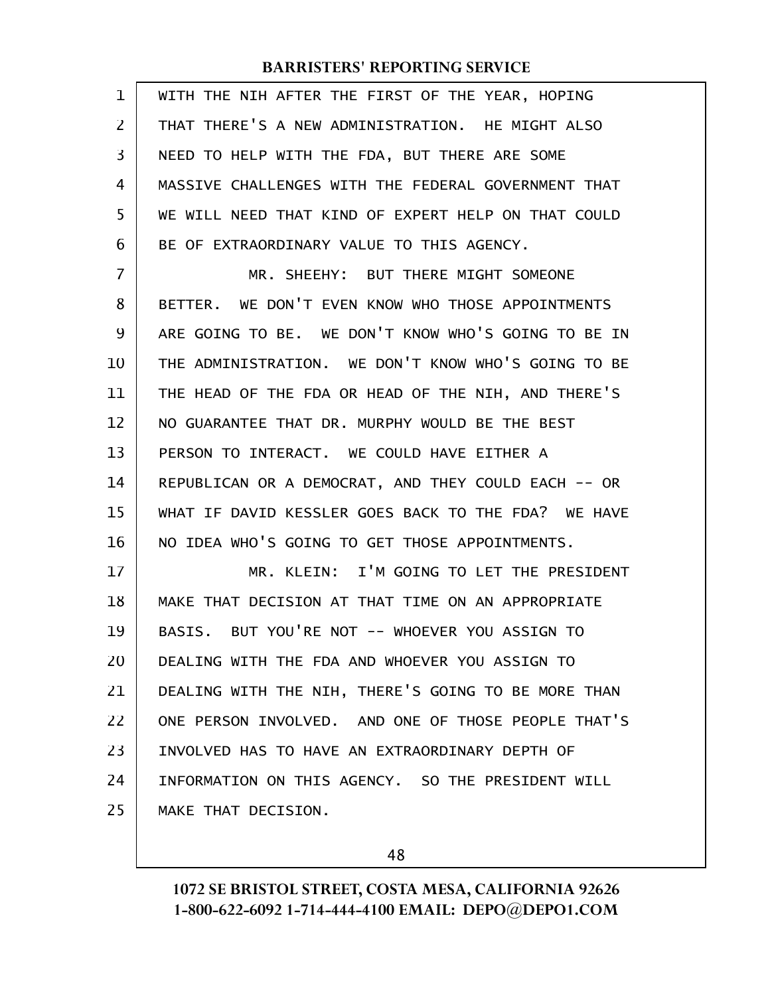| $\mathbf 1$ | WITH THE NIH AFTER THE FIRST OF THE YEAR, HOPING    |
|-------------|-----------------------------------------------------|
| 2           | THAT THERE'S A NEW ADMINISTRATION. HE MIGHT ALSO    |
| 3           | NEED TO HELP WITH THE FDA, BUT THERE ARE SOME       |
| 4           | MASSIVE CHALLENGES WITH THE FEDERAL GOVERNMENT THAT |
| 5           | WE WILL NEED THAT KIND OF EXPERT HELP ON THAT COULD |
| 6           | BE OF EXTRAORDINARY VALUE TO THIS AGENCY.           |
| 7           | MR. SHEEHY: BUT THERE MIGHT SOMEONE                 |
| 8           | BETTER. WE DON'T EVEN KNOW WHO THOSE APPOINTMENTS   |
| 9           | ARE GOING TO BE. WE DON'T KNOW WHO'S GOING TO BE IN |
| 10          | THE ADMINISTRATION. WE DON'T KNOW WHO'S GOING TO BE |
| 11          | THE HEAD OF THE FDA OR HEAD OF THE NIH, AND THERE'S |
| 12          | NO GUARANTEE THAT DR. MURPHY WOULD BE THE BEST      |
| 13          | PERSON TO INTERACT. WE COULD HAVE EITHER A          |
| 14          | REPUBLICAN OR A DEMOCRAT, AND THEY COULD EACH -- OR |
| 15          | WHAT IF DAVID KESSLER GOES BACK TO THE FDA? WE HAVE |
| 16          | NO IDEA WHO'S GOING TO GET THOSE APPOINTMENTS.      |
| 17          | MR. KLEIN: I'M GOING TO LET THE PRESIDENT           |
| 18          | MAKE THAT DECISION AT THAT TIME ON AN APPROPRIATE   |
| 19          | BASIS. BUT YOU'RE NOT -- WHOEVER YOU ASSIGN TO      |
| 20          | DEALING WITH THE FDA AND WHOEVER YOU ASSIGN TO      |
| 21          | DEALING WITH THE NIH, THERE'S GOING TO BE MORE THAN |
| 22          | ONE PERSON INVOLVED. AND ONE OF THOSE PEOPLE THAT'S |
| 23          | INVOLVED HAS TO HAVE AN EXTRAORDINARY DEPTH OF      |
| 24          | INFORMATION ON THIS AGENCY. SO THE PRESIDENT WILL   |
| 25          | MAKE THAT DECISION.                                 |

48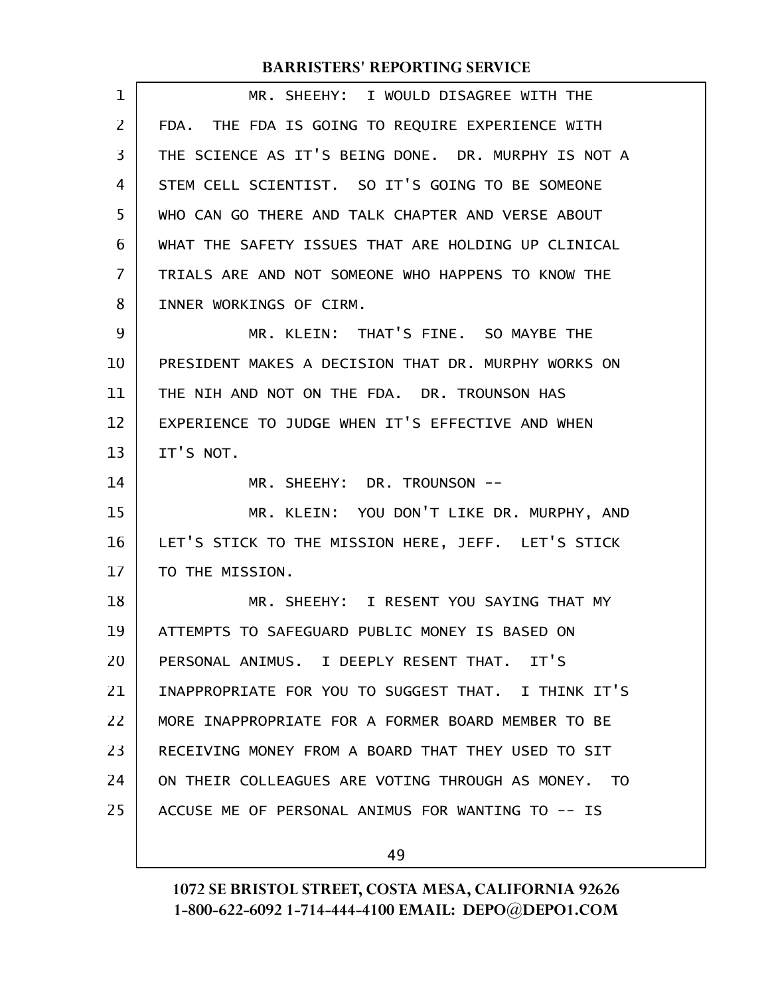| $\mathbf 1$ | MR. SHEEHY: I WOULD DISAGREE WITH THE               |
|-------------|-----------------------------------------------------|
| 2           | FDA. THE FDA IS GOING TO REQUIRE EXPERIENCE WITH    |
| 3           | THE SCIENCE AS IT'S BEING DONE. DR. MURPHY IS NOT A |
| 4           | STEM CELL SCIENTIST. SO IT'S GOING TO BE SOMEONE    |
| 5           | WHO CAN GO THERE AND TALK CHAPTER AND VERSE ABOUT   |
| 6           | WHAT THE SAFETY ISSUES THAT ARE HOLDING UP CLINICAL |
| 7           | TRIALS ARE AND NOT SOMEONE WHO HAPPENS TO KNOW THE  |
| 8           | INNER WORKINGS OF CIRM.                             |
| 9           | MR. KLEIN: THAT'S FINE. SO MAYBE THE                |
| 10          | PRESIDENT MAKES A DECISION THAT DR. MURPHY WORKS ON |
| 11          | THE NIH AND NOT ON THE FDA. DR. TROUNSON HAS        |
| 12          | EXPERIENCE TO JUDGE WHEN IT'S EFFECTIVE AND WHEN    |
| 13          | IT'S NOT.                                           |
|             |                                                     |
| 14          | MR. SHEEHY: DR. TROUNSON --                         |
| 15          | MR. KLEIN: YOU DON'T LIKE DR. MURPHY, AND           |
| 16          | LET'S STICK TO THE MISSION HERE, JEFF. LET'S STICK  |
| 17          | TO THE MISSION.                                     |
| 18          | MR. SHEEHY: I RESENT YOU SAYING THAT MY             |
| 19          | ATTEMPTS TO SAFEGUARD PUBLIC MONEY IS BASED ON      |
| 20          | PERSONAL ANIMUS. I DEEPLY RESENT THAT. IT'S         |
| 21          | INAPPROPRIATE FOR YOU TO SUGGEST THAT. I THINK IT'S |
| 22          | MORE INAPPROPRIATE FOR A FORMER BOARD MEMBER TO BE  |
| 23          | RECEIVING MONEY FROM A BOARD THAT THEY USED TO SIT  |
| 24          | ON THEIR COLLEAGUES ARE VOTING THROUGH AS MONEY. TO |
| 25          | ACCUSE ME OF PERSONAL ANIMUS FOR WANTING TO -- IS   |

49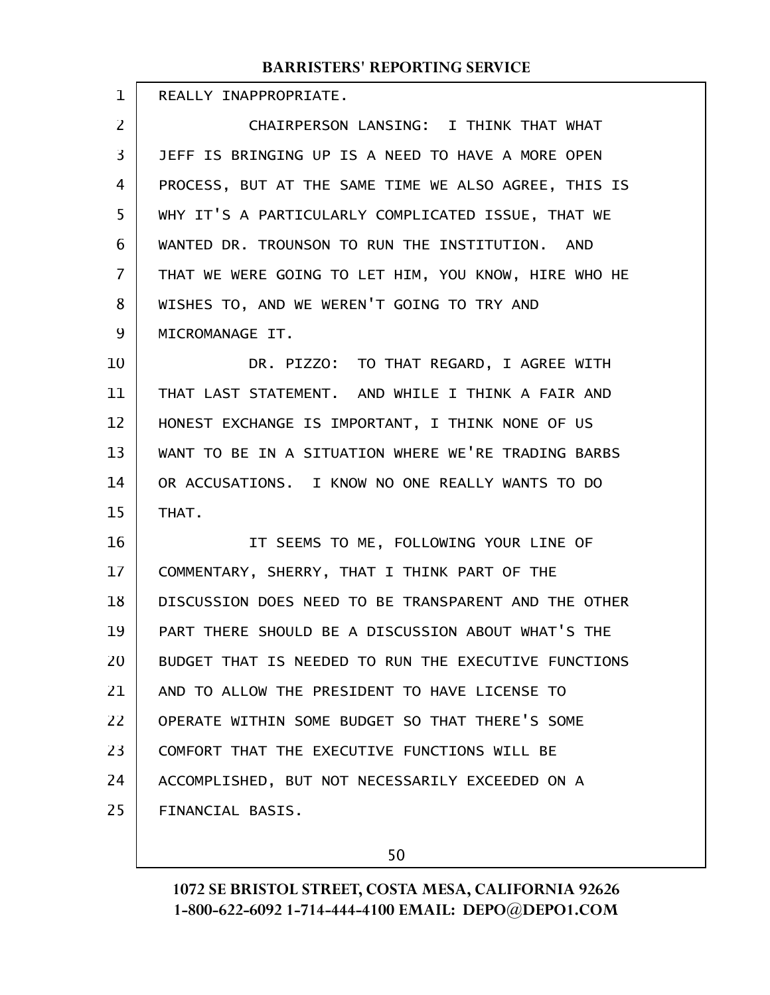| <b>BARRISTERS' REPORTING SERVICE</b>                 |
|------------------------------------------------------|
| REALLY INAPPROPRIATE.                                |
| CHAIRPERSON LANSING: I THINK THAT WHAT               |
| JEFF IS BRINGING UP IS A NEED TO HAVE A MORE OPEN    |
| PROCESS, BUT AT THE SAME TIME WE ALSO AGREE, THIS IS |
| WHY IT'S A PARTICULARLY COMPLICATED ISSUE, THAT WE   |
| WANTED DR. TROUNSON TO RUN THE INSTITUTION. AND      |
| THAT WE WERE GOING TO LET HIM, YOU KNOW, HIRE WHO HE |
| WISHES TO, AND WE WEREN'T GOING TO TRY AND           |
| MICROMANAGE IT.                                      |
| DR. PIZZO: TO THAT REGARD, I AGREE WITH              |
| THAT LAST STATEMENT. AND WHILE I THINK A FAIR AND    |
| HONEST EXCHANGE IS IMPORTANT, I THINK NONE OF US     |
| WANT TO BE IN A SITUATION WHERE WE'RE TRADING BARBS  |
| OR ACCUSATIONS. I KNOW NO ONE REALLY WANTS TO DO     |
| THAT.                                                |
| IT SEEMS TO ME, FOLLOWING YOUR LINE OF               |
| COMMENTARY, SHERRY, THAT I THINK PART OF THE         |
| DISCUSSION DOES NEED TO BE TRANSPARENT AND THE OTHER |
| PART THERE SHOULD BE A DISCUSSION ABOUT WHAT'S THE   |
| BUDGET THAT IS NEEDED TO RUN THE EXECUTIVE FUNCTIONS |
| AND TO ALLOW THE PRESIDENT TO HAVE LICENSE TO        |
| OPERATE WITHIN SOME BUDGET SO THAT THERE'S SOME      |
|                                                      |

COMFORT THAT THE EXECUTIVE FUNCTIONS WILL BE ACCOMPLISHED, BUT NOT NECESSARILY EXCEEDED ON A FINANCIAL BASIS. 23 24 25

50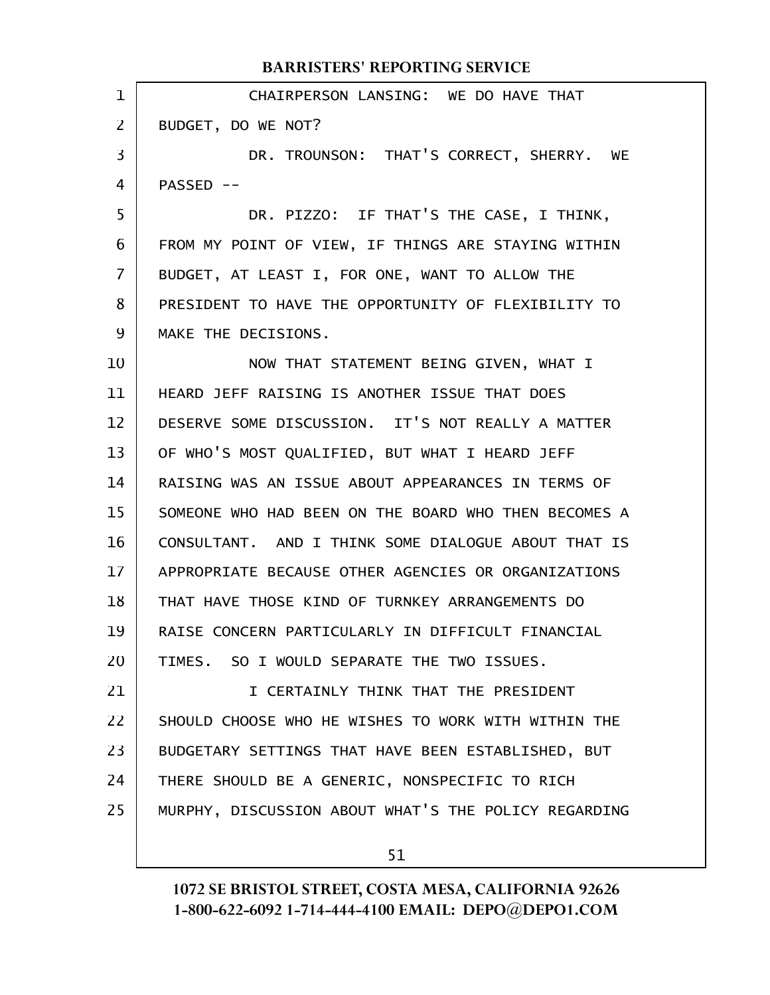|                | <b>BARRISTERS' REPORTING SERVICE</b>                 |
|----------------|------------------------------------------------------|
| $\mathbf{1}$   | CHAIRPERSON LANSING: WE DO HAVE THAT                 |
| $\overline{2}$ | BUDGET, DO WE NOT?                                   |
| 3              | DR. TROUNSON: THAT'S CORRECT, SHERRY. WE             |
| 4              | PASSED --                                            |
| 5              | DR. PIZZO: IF THAT'S THE CASE, I THINK,              |
| 6              | FROM MY POINT OF VIEW, IF THINGS ARE STAYING WITHIN  |
| $\mathbf{7}$   | BUDGET, AT LEAST I, FOR ONE, WANT TO ALLOW THE       |
| 8              | PRESIDENT TO HAVE THE OPPORTUNITY OF FLEXIBILITY TO  |
| 9              | MAKE THE DECISIONS.                                  |
| 10             | NOW THAT STATEMENT BEING GIVEN, WHAT I               |
| 11             | HEARD JEFF RAISING IS ANOTHER ISSUE THAT DOES        |
| 12             | DESERVE SOME DISCUSSION. IT'S NOT REALLY A MATTER    |
| 13             | OF WHO'S MOST QUALIFIED, BUT WHAT I HEARD JEFF       |
| 14             | RAISING WAS AN ISSUE ABOUT APPEARANCES IN TERMS OF   |
| 15             | SOMEONE WHO HAD BEEN ON THE BOARD WHO THEN BECOMES A |
| 16             | CONSULTANT. AND I THINK SOME DIALOGUE ABOUT THAT IS  |
| 17             | APPROPRIATE BECAUSE OTHER AGENCIES OR ORGANIZATIONS  |
| 18             | THAT HAVE THOSE KIND OF TURNKEY ARRANGEMENTS DO      |
| 19             | RAISE CONCERN PARTICULARLY IN DIFFICULT FINANCIAL    |
| 20             | TIMES. SO I WOULD SEPARATE THE TWO ISSUES.           |
| 21             | I CERTAINLY THINK THAT THE PRESIDENT                 |
| 22             | SHOULD CHOOSE WHO HE WISHES TO WORK WITH WITHIN THE  |
| 23             | BUDGETARY SETTINGS THAT HAVE BEEN ESTABLISHED, BUT   |
| 24             | THERE SHOULD BE A GENERIC, NONSPECIFIC TO RICH       |
| 25             | MURPHY, DISCUSSION ABOUT WHAT'S THE POLICY REGARDING |
|                |                                                      |

51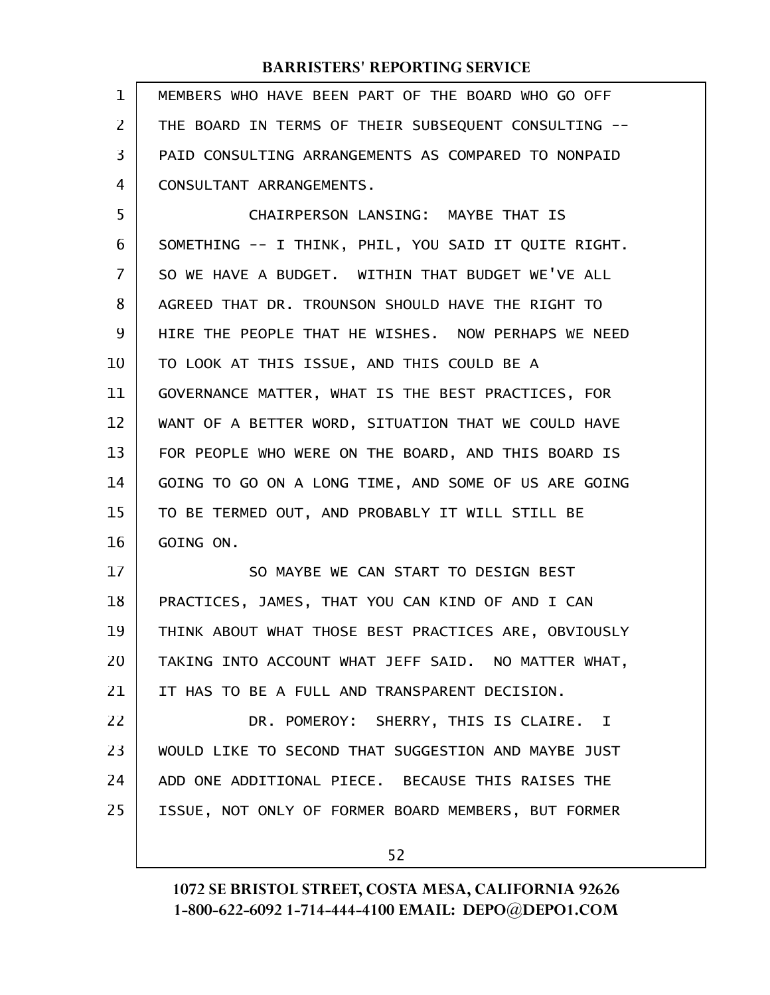| 1              | MEMBERS WHO HAVE BEEN PART OF THE BOARD WHO GO OFF   |
|----------------|------------------------------------------------------|
| $\overline{2}$ | THE BOARD IN TERMS OF THEIR SUBSEQUENT CONSULTING -- |
| 3              | PAID CONSULTING ARRANGEMENTS AS COMPARED TO NONPAID  |
| 4              | CONSULTANT ARRANGEMENTS.                             |
| 5              | CHAIRPERSON LANSING: MAYBE THAT IS                   |
| 6              | SOMETHING -- I THINK, PHIL, YOU SAID IT QUITE RIGHT. |
| 7              | SO WE HAVE A BUDGET. WITHIN THAT BUDGET WE'VE ALL    |
| 8              | AGREED THAT DR. TROUNSON SHOULD HAVE THE RIGHT TO    |
| 9              | HIRE THE PEOPLE THAT HE WISHES. NOW PERHAPS WE NEED  |
| 10             | TO LOOK AT THIS ISSUE, AND THIS COULD BE A           |
| 11             | GOVERNANCE MATTER, WHAT IS THE BEST PRACTICES, FOR   |
| 12             | WANT OF A BETTER WORD, SITUATION THAT WE COULD HAVE  |
| 13             | FOR PEOPLE WHO WERE ON THE BOARD, AND THIS BOARD IS  |
| 14             | GOING TO GO ON A LONG TIME, AND SOME OF US ARE GOING |
| 15             | TO BE TERMED OUT, AND PROBABLY IT WILL STILL BE      |
| 16             | GOING ON.                                            |
| 17             | SO MAYBE WE CAN START TO DESIGN BEST                 |
| 18             | PRACTICES, JAMES, THAT YOU CAN KIND OF AND I CAN     |
| 19             | THINK ABOUT WHAT THOSE BEST PRACTICES ARE, OBVIOUSLY |
| 20             | TAKING INTO ACCOUNT WHAT JEFF SAID. NO MATTER WHAT,  |
| 21             | IT HAS TO BE A FULL AND TRANSPARENT DECISION.        |
| 22             | DR. POMEROY: SHERRY, THIS IS CLAIRE. I               |
| 23             | WOULD LIKE TO SECOND THAT SUGGESTION AND MAYBE JUST  |
| 24             | ADD ONE ADDITIONAL PIECE. BECAUSE THIS RAISES THE    |
| 25             | ISSUE, NOT ONLY OF FORMER BOARD MEMBERS, BUT FORMER  |
|                |                                                      |

52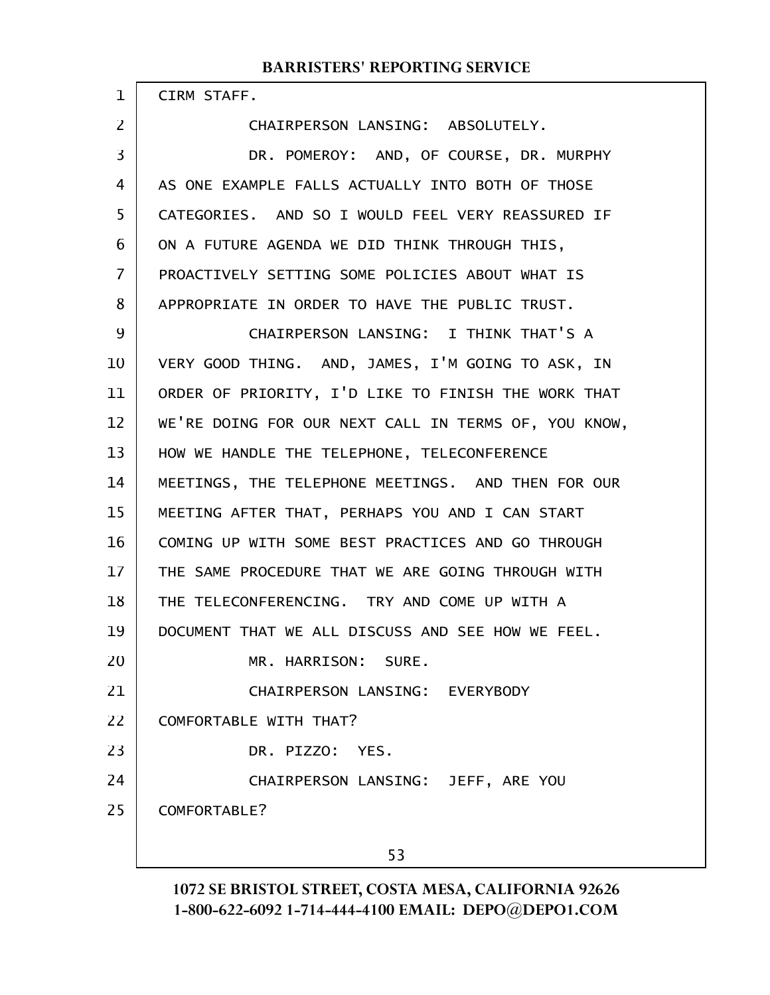CIRM STAFF.

1

2

CHAIRPERSON LANSING: ABSOLUTELY.

DR. POMEROY: AND, OF COURSE, DR. MURPHY AS ONE EXAMPLE FALLS ACTUALLY INTO BOTH OF THOSE CATEGORIES. AND SO I WOULD FEEL VERY REASSURED IF ON A FUTURE AGENDA WE DID THINK THROUGH THIS, PROACTIVELY SETTING SOME POLICIES ABOUT WHAT IS APPROPRIATE IN ORDER TO HAVE THE PUBLIC TRUST. CHAIRPERSON LANSING: I THINK THAT'S A VERY GOOD THING. AND, JAMES, I'M GOING TO ASK, IN ORDER OF PRIORITY, I'D LIKE TO FINISH THE WORK THAT WE'RE DOING FOR OUR NEXT CALL IN TERMS OF, YOU KNOW, HOW WE HANDLE THE TELEPHONE, TELECONFERENCE MEETINGS, THE TELEPHONE MEETINGS. AND THEN FOR OUR MEETING AFTER THAT, PERHAPS YOU AND I CAN START COMING UP WITH SOME BEST PRACTICES AND GO THROUGH THE SAME PROCEDURE THAT WE ARE GOING THROUGH WITH THE TELECONFERENCING. TRY AND COME UP WITH A DOCUMENT THAT WE ALL DISCUSS AND SEE HOW WE FEEL. MR. HARRISON: SURE. CHAIRPERSON LANSING: EVERYBODY COMFORTABLE WITH THAT? DR. PIZZO: YES. CHAIRPERSON LANSING: JEFF, ARE YOU COMFORTABLE? 53 3 4 5 6 7 8 9 10 11 12 13 14 15 16 17 18 19 20 21 22 23 24 25

1072 SE BRISTOL STREET, COSTA MESA, CALIFORNIA 92626 1-800-622-6092 1-714-444-4100 EMAIL: DEPO@DEPO1.COM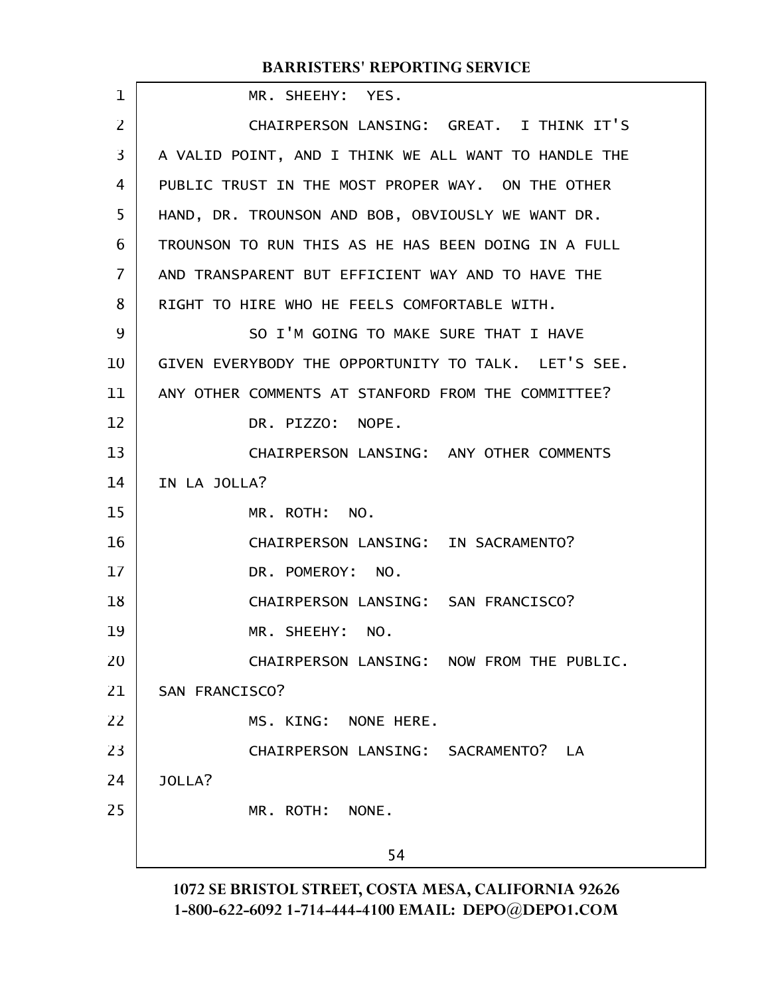| 1  | MR. SHEEHY: YES.                                     |
|----|------------------------------------------------------|
| 2  | CHAIRPERSON LANSING: GREAT. I THINK IT'S             |
| 3  | A VALID POINT, AND I THINK WE ALL WANT TO HANDLE THE |
| 4  | PUBLIC TRUST IN THE MOST PROPER WAY. ON THE OTHER    |
| 5  | HAND, DR. TROUNSON AND BOB, OBVIOUSLY WE WANT DR.    |
| 6  | TROUNSON TO RUN THIS AS HE HAS BEEN DOING IN A FULL  |
| 7  | AND TRANSPARENT BUT EFFICIENT WAY AND TO HAVE THE    |
| 8  | RIGHT TO HIRE WHO HE FEELS COMFORTABLE WITH.         |
| 9  | SO I'M GOING TO MAKE SURE THAT I HAVE                |
| 10 | GIVEN EVERYBODY THE OPPORTUNITY TO TALK. LET'S SEE.  |
| 11 | ANY OTHER COMMENTS AT STANFORD FROM THE COMMITTEE?   |
| 12 | DR. PIZZO: NOPE.                                     |
| 13 | CHAIRPERSON LANSING: ANY OTHER COMMENTS              |
| 14 | IN LA JOLLA?                                         |
| 15 | MR. ROTH: NO.                                        |
| 16 | CHAIRPERSON LANSING: IN SACRAMENTO?                  |
| 17 | DR. POMEROY: NO.                                     |
| 18 | CHAIRPERSON LANSING: SAN FRANCISCO?                  |
| 19 | MR. SHEEHY: NO.                                      |
| 20 | CHAIRPERSON LANSING: NOW FROM THE PUBLIC.            |
| 21 | SAN FRANCISCO?                                       |
| 22 | MS. KING: NONE HERE.                                 |
| 23 | CHAIRPERSON LANSING: SACRAMENTO? LA                  |
| 24 | JOLLA?                                               |
| 25 | MR. ROTH: NONE.                                      |
|    | 54                                                   |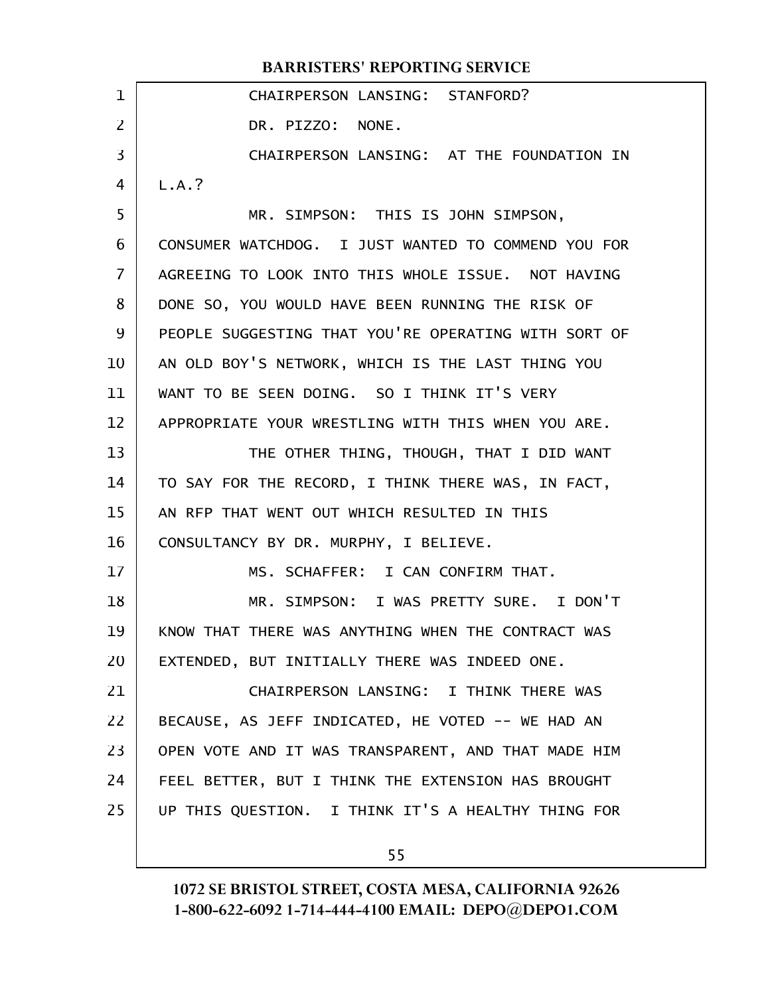|                | <b>BARRISTERS' REPORTING SERVICE</b>                 |
|----------------|------------------------------------------------------|
| $\mathbf 1$    | CHAIRPERSON LANSING: STANFORD?                       |
| $\overline{2}$ | DR. PIZZO: NONE.                                     |
| 3              | CHAIRPERSON LANSING: AT THE FOUNDATION IN            |
| 4              | L.A.?                                                |
| 5              | MR. SIMPSON: THIS IS JOHN SIMPSON,                   |
| 6              | CONSUMER WATCHDOG. I JUST WANTED TO COMMEND YOU FOR  |
| $\overline{7}$ | AGREEING TO LOOK INTO THIS WHOLE ISSUE. NOT HAVING   |
| 8              | DONE SO, YOU WOULD HAVE BEEN RUNNING THE RISK OF     |
| 9              | PEOPLE SUGGESTING THAT YOU'RE OPERATING WITH SORT OF |
| 10             | AN OLD BOY'S NETWORK, WHICH IS THE LAST THING YOU    |
| 11             | WANT TO BE SEEN DOING. SO I THINK IT'S VERY          |
| 12             | APPROPRIATE YOUR WRESTLING WITH THIS WHEN YOU ARE.   |
| 13             | THE OTHER THING, THOUGH, THAT I DID WANT             |
| 14             | TO SAY FOR THE RECORD, I THINK THERE WAS, IN FACT,   |
| 15             | AN RFP THAT WENT OUT WHICH RESULTED IN THIS          |
| 16             | CONSULTANCY BY DR. MURPHY, I BELIEVE.                |
| 17             | MS. SCHAFFER: I CAN CONFIRM THAT.                    |
| 18             | MR. SIMPSON: I WAS PRETTY SURE. I DON'T              |
| 19             | KNOW THAT THERE WAS ANYTHING WHEN THE CONTRACT WAS   |
| 20             | EXTENDED, BUT INITIALLY THERE WAS INDEED ONE.        |
| 21             | CHAIRPERSON LANSING: I THINK THERE WAS               |
| 22             | BECAUSE, AS JEFF INDICATED, HE VOTED -- WE HAD AN    |
| 23             | OPEN VOTE AND IT WAS TRANSPARENT, AND THAT MADE HIM  |
| 24             | FEEL BETTER, BUT I THINK THE EXTENSION HAS BROUGHT   |
| 25             | UP THIS QUESTION. I THINK IT'S A HEALTHY THING FOR   |
|                |                                                      |
|                | 55                                                   |

1072 SE BRISTOL STREET, COSTA MESA, CALIFORNIA 92626 1-800-622-6092 1-714-444-4100 EMAIL: DEPO@DEPO1.COM

 $\overline{\phantom{a}}$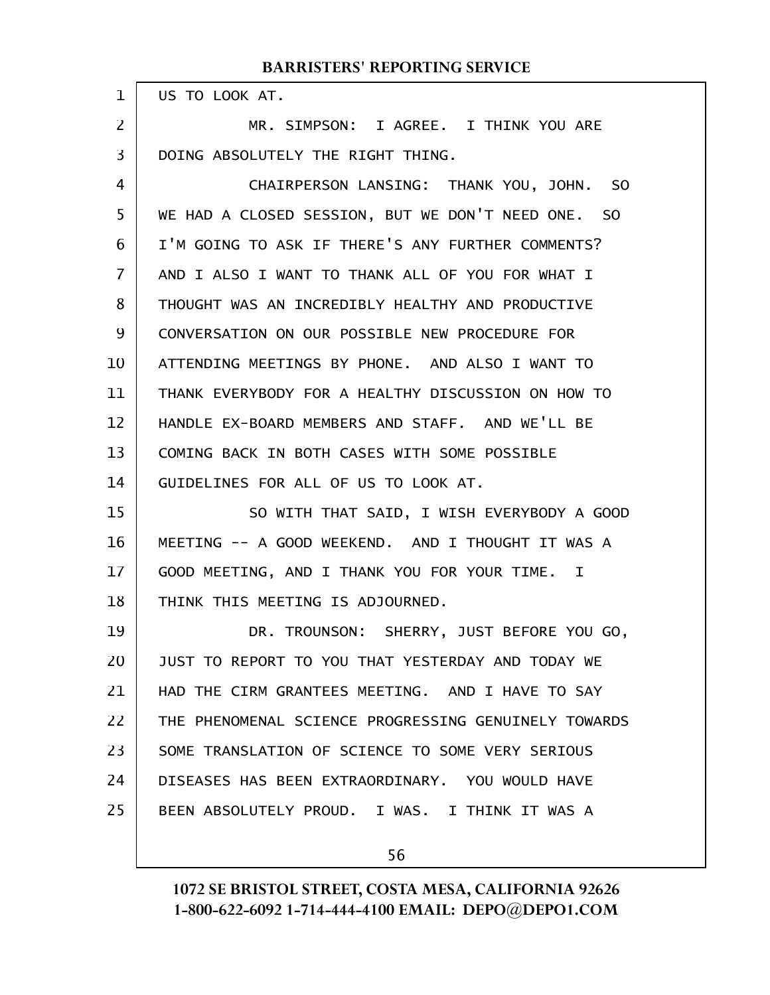US TO LOOK AT.

1

MR. SIMPSON: I AGREE. I THINK YOU ARE DOING ABSOLUTELY THE RIGHT THING. 2 3

CHAIRPERSON LANSING: THANK YOU, JOHN. SO WE HAD A CLOSED SESSION, BUT WE DON'T NEED ONE. SO I'M GOING TO ASK IF THERE'S ANY FURTHER COMMENTS? AND I ALSO I WANT TO THANK ALL OF YOU FOR WHAT I THOUGHT WAS AN INCREDIBLY HEALTHY AND PRODUCTIVE CONVERSATION ON OUR POSSIBLE NEW PROCEDURE FOR ATTENDING MEETINGS BY PHONE. AND ALSO I WANT TO THANK EVERYBODY FOR A HEALTHY DISCUSSION ON HOW TO HANDLE EX-BOARD MEMBERS AND STAFF. AND WE'LL BE COMING BACK IN BOTH CASES WITH SOME POSSIBLE GUIDELINES FOR ALL OF US TO LOOK AT. 4 5 6 7 8 9 10 11 12 13 14

SO WITH THAT SAID, I WISH EVERYBODY A GOOD MEETING -- A GOOD WEEKEND. AND I THOUGHT IT WAS A GOOD MEETING, AND I THANK YOU FOR YOUR TIME. I THINK THIS MEETING IS ADJOURNED. 15 16 17 18

DR. TROUNSON: SHERRY, JUST BEFORE YOU GO, JUST TO REPORT TO YOU THAT YESTERDAY AND TODAY WE HAD THE CIRM GRANTEES MEETING. AND I HAVE TO SAY THE PHENOMENAL SCIENCE PROGRESSING GENUINELY TOWARDS SOME TRANSLATION OF SCIENCE TO SOME VERY SERIOUS DISEASES HAS BEEN EXTRAORDINARY. YOU WOULD HAVE BEEN ABSOLUTELY PROUD. I WAS. I THINK IT WAS A 19 20 21 22 23 24 25

56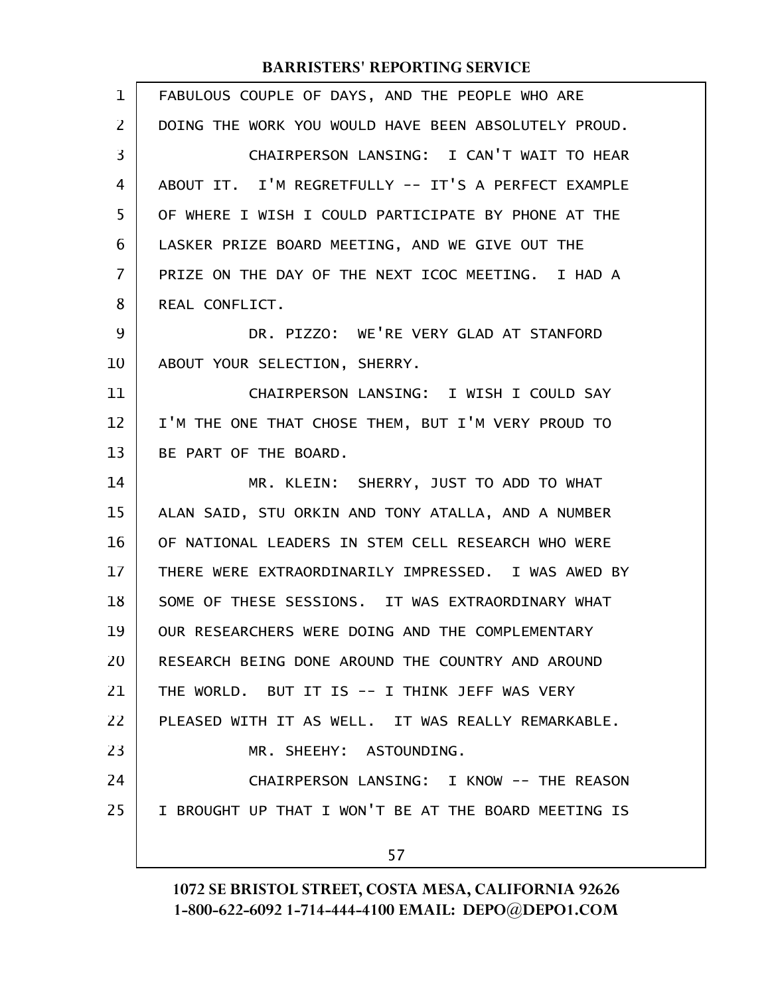| $\mathbf 1$ | FABULOUS COUPLE OF DAYS, AND THE PEOPLE WHO ARE      |
|-------------|------------------------------------------------------|
| 2           | DOING THE WORK YOU WOULD HAVE BEEN ABSOLUTELY PROUD. |
| 3           | CHAIRPERSON LANSING: I CAN'T WAIT TO HEAR            |
| 4           | ABOUT IT. I'M REGRETFULLY -- IT'S A PERFECT EXAMPLE  |
| 5           | OF WHERE I WISH I COULD PARTICIPATE BY PHONE AT THE  |
| 6           | LASKER PRIZE BOARD MEETING, AND WE GIVE OUT THE      |
| 7           | PRIZE ON THE DAY OF THE NEXT ICOC MEETING. I HAD A   |
| 8           | REAL CONFLICT.                                       |
| 9           | DR. PIZZO: WE'RE VERY GLAD AT STANFORD               |
| 10          | ABOUT YOUR SELECTION, SHERRY.                        |
| 11          | CHAIRPERSON LANSING: I WISH I COULD SAY              |
| 12          | I'M THE ONE THAT CHOSE THEM, BUT I'M VERY PROUD TO   |
| 13          | BE PART OF THE BOARD.                                |
| 14          | MR. KLEIN: SHERRY, JUST TO ADD TO WHAT               |
| 15          | ALAN SAID, STU ORKIN AND TONY ATALLA, AND A NUMBER   |
| 16          | OF NATIONAL LEADERS IN STEM CELL RESEARCH WHO WERE   |
| 17          | THERE WERE EXTRAORDINARILY IMPRESSED. I WAS AWED BY  |
| 18          | SOME OF THESE SESSIONS. IT WAS EXTRAORDINARY WHAT    |
| 19          | OUR RESEARCHERS WERE DOING AND THE COMPLEMENTARY     |
| 20          | RESEARCH BEING DONE AROUND THE COUNTRY AND AROUND    |
| 21          | THE WORLD. BUT IT IS -- I THINK JEFF WAS VERY        |
| 22          | PLEASED WITH IT AS WELL. IT WAS REALLY REMARKABLE.   |
| 23          | MR. SHEEHY: ASTOUNDING.                              |
| 24          | CHAIRPERSON LANSING: I KNOW -- THE REASON            |
| 25          | I BROUGHT UP THAT I WON'T BE AT THE BOARD MEETING IS |
|             | 57                                                   |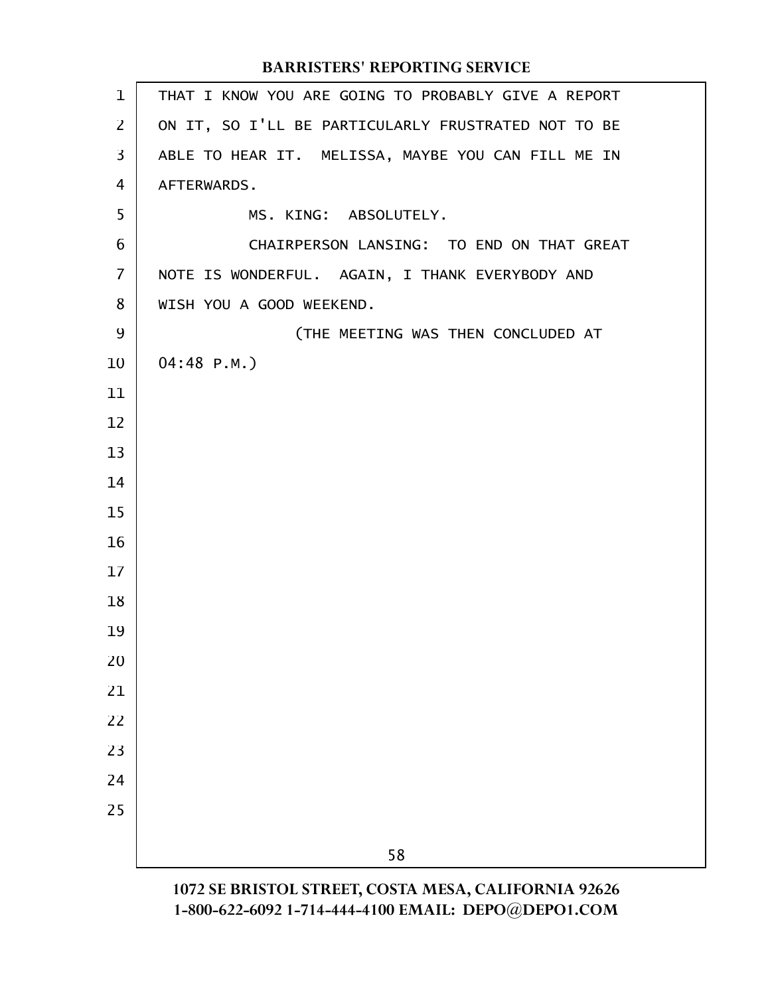| $\mathbf{1}$   | THAT I KNOW YOU ARE GOING TO PROBABLY GIVE A REPORT |
|----------------|-----------------------------------------------------|
| $\overline{2}$ | ON IT, SO I'LL BE PARTICULARLY FRUSTRATED NOT TO BE |
| 3              | ABLE TO HEAR IT. MELISSA, MAYBE YOU CAN FILL ME IN  |
| 4              | AFTERWARDS.                                         |
| 5              | MS. KING: ABSOLUTELY.                               |
| 6              | CHAIRPERSON LANSING: TO END ON THAT GREAT           |
| $\overline{I}$ | NOTE IS WONDERFUL. AGAIN, I THANK EVERYBODY AND     |
| 8              | WISH YOU A GOOD WEEKEND.                            |
| 9              | (THE MEETING WAS THEN CONCLUDED AT                  |
| 10             | $04:48$ P.M.)                                       |
| 11             |                                                     |
| 12             |                                                     |
| 13             |                                                     |
| 14             |                                                     |
| 15             |                                                     |
| 16             |                                                     |
| 17             |                                                     |
| 18             |                                                     |
| 19             |                                                     |
| 20             |                                                     |
| 21             |                                                     |
| 22             |                                                     |
| 23             |                                                     |
| 24             |                                                     |
| 25             |                                                     |
|                | 58                                                  |
|                | 1072 SE DDISTOI STDEET COSTA MESA CALIEODNIA 02626  |